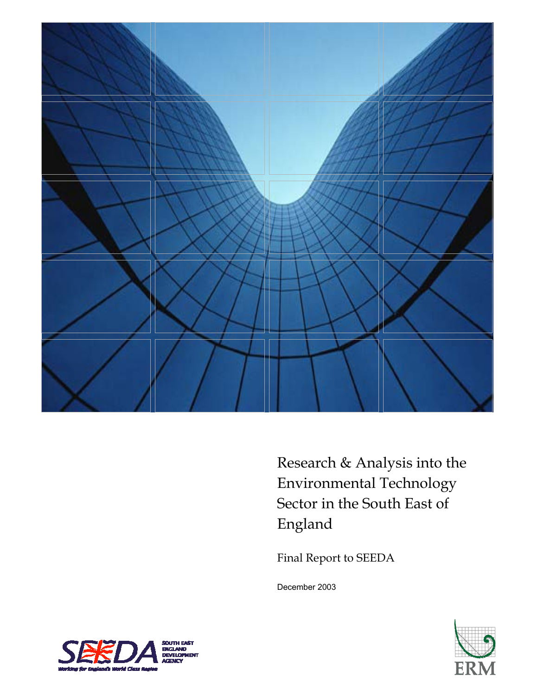

Research & Analysis into the Environmental Technology Sector in the South East of England

Final Report to SEEDA

December 2003



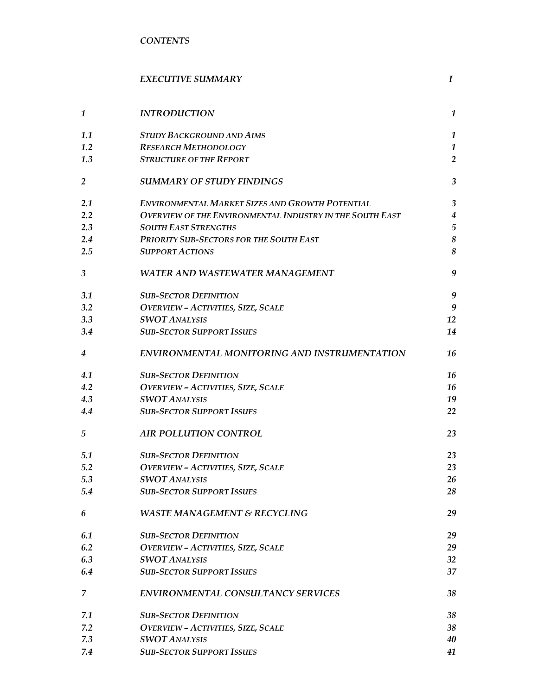|                | <b>EXECUTIVE SUMMARY</b>                                        | $\mathbf{I}$     |
|----------------|-----------------------------------------------------------------|------------------|
| $\mathbf{1}$   | <b>INTRODUCTION</b>                                             | 1                |
| 1.1            | <b>STUDY BACKGROUND AND AIMS</b>                                | 1                |
| 1.2            | <b>RESEARCH METHODOLOGY</b>                                     | $\mathbf{1}$     |
| 1.3            | <b>STRUCTURE OF THE REPORT</b>                                  | $\overline{2}$   |
| $\overline{2}$ | <b>SUMMARY OF STUDY FINDINGS</b>                                | 3                |
| 2.1            | ENVIRONMENTAL MARKET SIZES AND GROWTH POTENTIAL                 | 3                |
| 2.2            | <b>OVERVIEW OF THE ENVIRONMENTAL INDUSTRY IN THE SOUTH EAST</b> | $\boldsymbol{4}$ |
| 2.3            | <b>SOUTH EAST STRENGTHS</b>                                     | $\sqrt{5}$       |
| 2.4            | <b>PRIORITY SUB-SECTORS FOR THE SOUTH EAST</b>                  | $\boldsymbol{8}$ |
| 2.5            | <b>SUPPORT ACTIONS</b>                                          | 8                |
| 3              | <b>WATER AND WASTEWATER MANAGEMENT</b>                          | 9                |
| 3.1            | <b>SUB-SECTOR DEFINITION</b>                                    | $\boldsymbol{9}$ |
| 3.2            | <b>OVERVIEW - ACTIVITIES, SIZE, SCALE</b>                       | $\boldsymbol{9}$ |
| 3.3            | <b>SWOT ANALYSIS</b>                                            | 12               |
| 3.4            | <b>SUB-SECTOR SUPPORT ISSUES</b>                                | 14               |
| 4              | ENVIRONMENTAL MONITORING AND INSTRUMENTATION                    | 16               |
| 4.1            | <b>SUB-SECTOR DEFINITION</b>                                    | 16               |
| 4.2            | <b>OVERVIEW-ACTIVITIES, SIZE, SCALE</b>                         | 16               |
| 4.3            | <b>SWOT ANALYSIS</b>                                            | 19               |
| 4.4            | <b>SUB-SECTOR SUPPORT ISSUES</b>                                | 22               |
| 5              | <b>AIR POLLUTION CONTROL</b>                                    | 23               |
| 5.1            | <b>SUB-SECTOR DEFINITION</b>                                    | 23               |
| 5.2            | <b>OVERVIEW-ACTIVITIES, SIZE, SCALE</b>                         | 23               |
| 5.3            | <b>SWOT ANALYSIS</b>                                            | 26               |
| 5.4            | <b>SUB-SECTOR SUPPORT ISSUES</b>                                | 28               |
| 6              | <b>WASTE MANAGEMENT &amp; RECYCLING</b>                         | 29               |
| 6.1            | <b>SUB-SECTOR DEFINITION</b>                                    | 29               |
| 6.2            | <b>OVERVIEW-ACTIVITIES, SIZE, SCALE</b>                         | 29               |
| 6.3            | <b>SWOT ANALYSIS</b>                                            | 32               |
| 6.4            | <b>SUB-SECTOR SUPPORT ISSUES</b>                                | 37               |
| 7              | ENVIRONMENTAL CONSULTANCY SERVICES                              | 38               |
| 7.1            | <b>SUB-SECTOR DEFINITION</b>                                    | 38               |
| 7.2            | <b>OVERVIEW-ACTIVITIES, SIZE, SCALE</b>                         | 38               |
| 7.3            | <b>SWOT ANALYSIS</b>                                            | 40               |
| 7.4            | <b>SUB-SECTOR SUPPORT ISSUES</b>                                | 41               |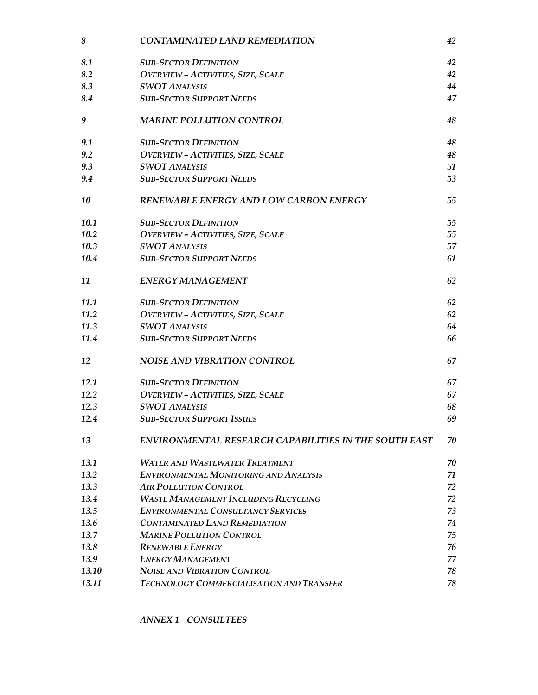| 8<br><b>CONTAMINATED LAND REMEDIATION</b>                   | 42 |
|-------------------------------------------------------------|----|
| 8.1<br><b>SUB-SECTOR DEFINITION</b>                         | 42 |
| 8.2<br><b>OVERVIEW - ACTIVITIES, SIZE, SCALE</b>            | 42 |
| 8.3<br><b>SWOT ANALYSIS</b>                                 | 44 |
| 8.4<br><b>SUB-SECTOR SUPPORT NEEDS</b>                      | 47 |
| 9<br><b>MARINE POLLUTION CONTROL</b>                        | 48 |
| 9.1<br><b>SUB-SECTOR DEFINITION</b>                         | 48 |
| 9.2<br><b>OVERVIEW-ACTIVITIES, SIZE, SCALE</b>              | 48 |
| 9.3<br><b>SWOT ANALYSIS</b>                                 | 51 |
| <b>SUB-SECTOR SUPPORT NEEDS</b><br>9.4                      | 53 |
| RENEWABLE ENERGY AND LOW CARBON ENERGY<br>10                | 55 |
| <b>10.1</b><br><b>SUB-SECTOR DEFINITION</b>                 | 55 |
| 10.2<br><b>OVERVIEW-ACTIVITIES, SIZE, SCALE</b>             | 55 |
| <b>SWOT ANALYSIS</b><br>10.3                                | 57 |
| 10.4<br><b>SUB-SECTOR SUPPORT NEEDS</b>                     | 61 |
| 11<br><b>ENERGY MANAGEMENT</b>                              | 62 |
| 11.1<br><b>SUB-SECTOR DEFINITION</b>                        | 62 |
| 11.2<br><b>OVERVIEW-ACTIVITIES, SIZE, SCALE</b>             | 62 |
| 11.3<br><b>SWOT ANALYSIS</b>                                | 64 |
| 11.4<br><b>SUB-SECTOR SUPPORT NEEDS</b>                     | 66 |
| <b>NOISE AND VIBRATION CONTROL</b><br>12                    | 67 |
| 12.1<br><b>SUB-SECTOR DEFINITION</b>                        | 67 |
| 12.2<br><b>OVERVIEW - ACTIVITIES, SIZE, SCALE</b>           | 67 |
| <b>SWOT ANALYSIS</b><br>12.3                                | 68 |
| <b>SUB-SECTOR SUPPORT ISSUES</b><br>12.4                    | 69 |
| ENVIRONMENTAL RESEARCH CAPABILITIES IN THE SOUTH EAST<br>13 | 70 |
| 13.1<br><b>WATER AND WASTEWATER TREATMENT</b>               | 70 |
| 13.2<br><b>ENVIRONMENTAL MONITORING AND ANALYSIS</b>        | 71 |
| 13.3<br><b>AIR POLLUTION CONTROL</b>                        | 72 |
| 13.4<br><b>WASTE MANAGEMENT INCLUDING RECYCLING</b>         | 72 |
| 13.5<br><b>ENVIRONMENTAL CONSULTANCY SERVICES</b>           | 73 |
| 13.6<br><b>CONTAMINATED LAND REMEDIATION</b>                | 74 |
| 13.7<br><b>MARINE POLLUTION CONTROL</b>                     | 75 |
| 13.8<br><b>RENEWABLE ENERGY</b>                             | 76 |
| 13.9<br><b>ENERGY MANAGEMENT</b>                            | 77 |
| 13.10<br><b>NOISE AND VIBRATION CONTROL</b>                 | 78 |
| 13.11<br><b>TECHNOLOGY COMMERCIALISATION AND TRANSFER</b>   | 78 |

*ANNEX 1 CONSULTEES*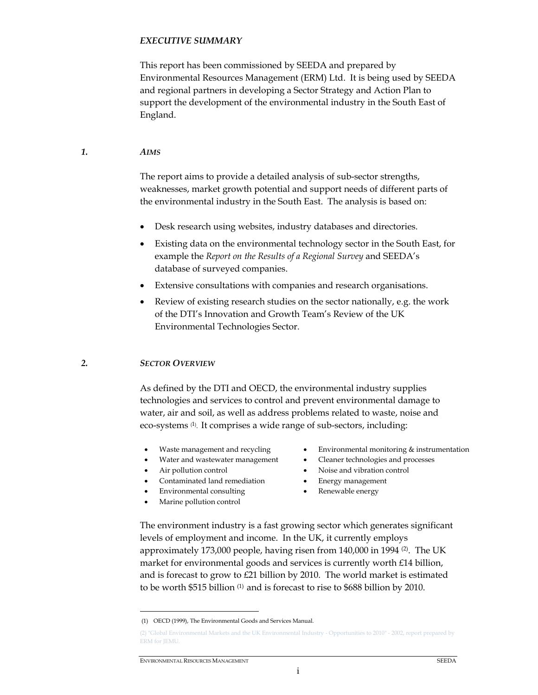### *EXECUTIVE SUMMARY*

This report has been commissioned by SEEDA and prepared by Environmental Resources Management (ERM) Ltd. It is being used by SEEDA and regional partners in developing a Sector Strategy and Action Plan to support the development of the environmental industry in the South East of England.

### *1. AIMS*

The report aims to provide a detailed analysis of sub-sector strengths, weaknesses, market growth potential and support needs of different parts of the environmental industry in the South East. The analysis is based on:

- Desk research using websites, industry databases and directories.
- Existing data on the environmental technology sector in the South East, for example the *Report on the Results of a Regional Survey* and SEEDA's database of surveyed companies.
- Extensive consultations with companies and research organisations.
- Review of existing research studies on the sector nationally, e.g. the work of the DTI's Innovation and Growth Team's Review of the UK Environmental Technologies Sector.

### *2. SECTOR OVERVIEW*

-

As defined by the DTI and OECD, the environmental industry supplies technologies and services to control and prevent environmental damage to water, air and soil, as well as address problems related to waste, noise and eco-systems<sup>(1)</sup>. It comprises a wide range of sub-sectors, including:

- Waste management and recycling
- Water and wastewater management
- Air pollution control
- Contaminated land remediation
- Environmental consulting
- Marine pollution control
- Environmental monitoring & instrumentation
- Cleaner technologies and processes
- Noise and vibration control
- Energy management
- Renewable energy

The environment industry is a fast growing sector which generates significant levels of employment and income. In the UK, it currently employs approximately 173,000 people, having risen from 140,000 in 1994<sup>(2)</sup>. The UK market for environmental goods and services is currently worth £14 billion, and is forecast to grow to £21 billion by 2010. The world market is estimated to be worth \$515 billion (1) and is forecast to rise to \$688 billion by 2010.

i

ENVIRONMENTAL RESOURCES MANAGEMENT SEEDA

 <sup>(1)</sup> OECD (1999), The Environmental Goods and Services Manual.

<sup>(2) &</sup>quot;Global Environmental Markets and the UK Environmental Industry - Opportunities to 2010" - 2002, report prepared by ERM for JEMU.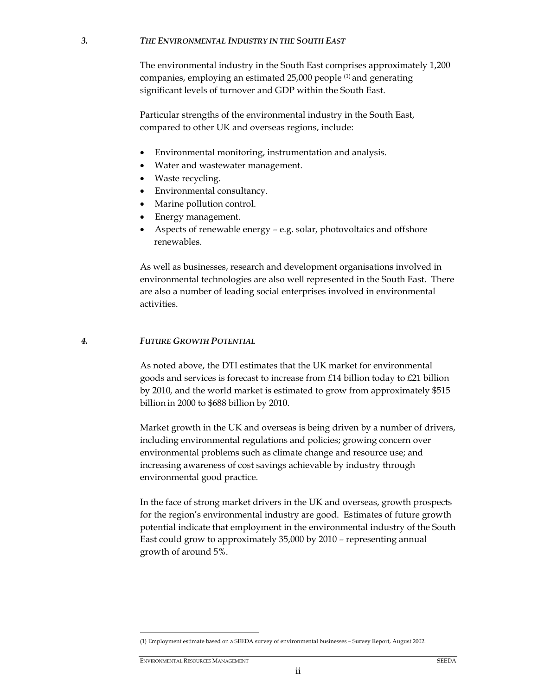### *3. THE ENVIRONMENTAL INDUSTRY IN THE SOUTH EAST*

The environmental industry in the South East comprises approximately 1,200 companies, employing an estimated 25,000 people (1) and generating significant levels of turnover and GDP within the South East.

Particular strengths of the environmental industry in the South East, compared to other UK and overseas regions, include:

- Environmental monitoring, instrumentation and analysis.
- Water and wastewater management.
- Waste recycling.
- Environmental consultancy.
- Marine pollution control.
- Energy management.
- Aspects of renewable energy e.g. solar, photovoltaics and offshore renewables.

As well as businesses, research and development organisations involved in environmental technologies are also well represented in the South East. There are also a number of leading social enterprises involved in environmental activities.

#### *4. FUTURE GROWTH POTENTIAL*

As noted above, the DTI estimates that the UK market for environmental goods and services is forecast to increase from £14 billion today to £21 billion by 2010*,* and the world market is estimated to grow from approximately \$515 billion in 2000 to \$688 billion by 2010.

Market growth in the UK and overseas is being driven by a number of drivers, including environmental regulations and policies; growing concern over environmental problems such as climate change and resource use; and increasing awareness of cost savings achievable by industry through environmental good practice.

In the face of strong market drivers in the UK and overseas, growth prospects for the region's environmental industry are good. Estimates of future growth potential indicate that employment in the environmental industry of the South East could grow to approximately 35,000 by 2010 – representing annual growth of around 5%.

-

<sup>(1)</sup> Employment estimate based on a SEEDA survey of environmental businesses – Survey Report, August 2002.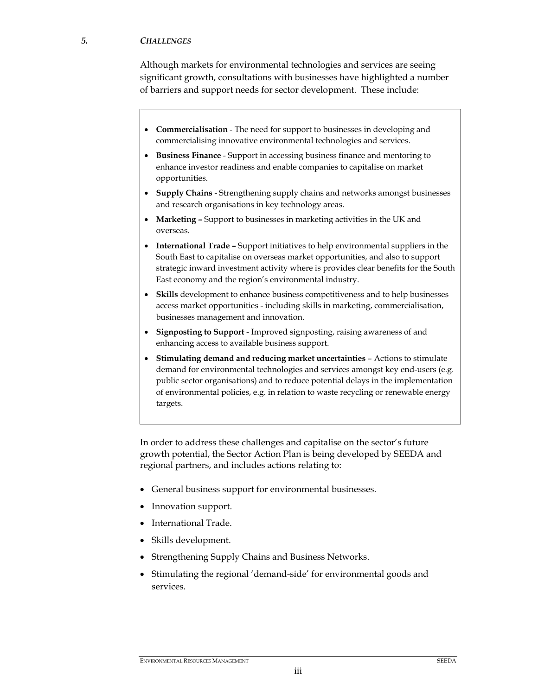### *5. CHALLENGES*

Although markets for environmental technologies and services are seeing significant growth, consultations with businesses have highlighted a number of barriers and support needs for sector development. These include:

- **Commercialisation** The need for support to businesses in developing and commercialising innovative environmental technologies and services.
- **Business Finance** Support in accessing business finance and mentoring to enhance investor readiness and enable companies to capitalise on market opportunities.
- **Supply Chains** Strengthening supply chains and networks amongst businesses and research organisations in key technology areas.
- **Marketing** Support to businesses in marketing activities in the UK and overseas.
- **International Trade –** Support initiatives to help environmental suppliers in the South East to capitalise on overseas market opportunities, and also to support strategic inward investment activity where is provides clear benefits for the South East economy and the region's environmental industry.
- **Skills** development to enhance business competitiveness and to help businesses access market opportunities - including skills in marketing, commercialisation, businesses management and innovation.
- **Signposting to Support** Improved signposting, raising awareness of and enhancing access to available business support.
- **Stimulating demand and reducing market uncertainties**  Actions to stimulate demand for environmental technologies and services amongst key end-users (e.g. public sector organisations) and to reduce potential delays in the implementation of environmental policies, e.g. in relation to waste recycling or renewable energy targets.

In order to address these challenges and capitalise on the sector's future growth potential, the Sector Action Plan is being developed by SEEDA and regional partners, and includes actions relating to:

- General business support for environmental businesses.
- Innovation support.
- International Trade.
- Skills development.
- Strengthening Supply Chains and Business Networks.
- Stimulating the regional 'demand-side' for environmental goods and services.

#### ENVIRONMENTAL RESOURCES MANAGEMENT SEEDA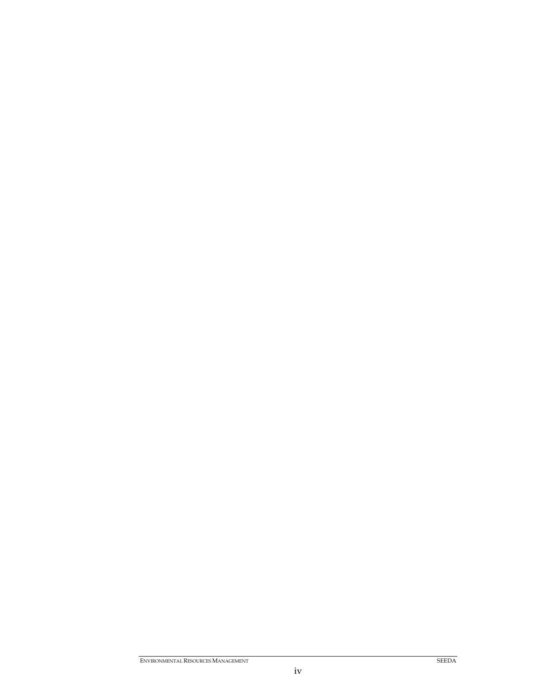### ENVIRONMENTAL RESOURCES MANAGEMENT SEEDA

# iv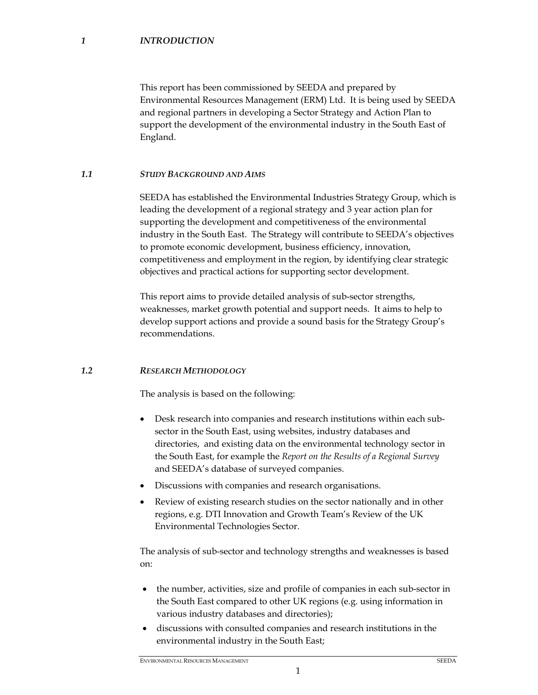### *1 INTRODUCTION*

This report has been commissioned by SEEDA and prepared by Environmental Resources Management (ERM) Ltd. It is being used by SEEDA and regional partners in developing a Sector Strategy and Action Plan to support the development of the environmental industry in the South East of England.

### *1.1 STUDY BACKGROUND AND AIMS*

SEEDA has established the Environmental Industries Strategy Group, which is leading the development of a regional strategy and 3 year action plan for supporting the development and competitiveness of the environmental industry in the South East. The Strategy will contribute to SEEDA's objectives to promote economic development, business efficiency, innovation, competitiveness and employment in the region, by identifying clear strategic objectives and practical actions for supporting sector development.

This report aims to provide detailed analysis of sub-sector strengths, weaknesses, market growth potential and support needs. It aims to help to develop support actions and provide a sound basis for the Strategy Group's recommendations.

### *1.2 RESEARCH METHODOLOGY*

The analysis is based on the following:

- Desk research into companies and research institutions within each subsector in the South East, using websites, industry databases and directories, and existing data on the environmental technology sector in the South East, for example the *Report on the Results of a Regional Survey* and SEEDA's database of surveyed companies.
- Discussions with companies and research organisations.
- Review of existing research studies on the sector nationally and in other regions, e.g. DTI Innovation and Growth Team's Review of the UK Environmental Technologies Sector.

The analysis of sub-sector and technology strengths and weaknesses is based on:

- the number, activities, size and profile of companies in each sub-sector in the South East compared to other UK regions (e.g. using information in various industry databases and directories);
- discussions with consulted companies and research institutions in the environmental industry in the South East;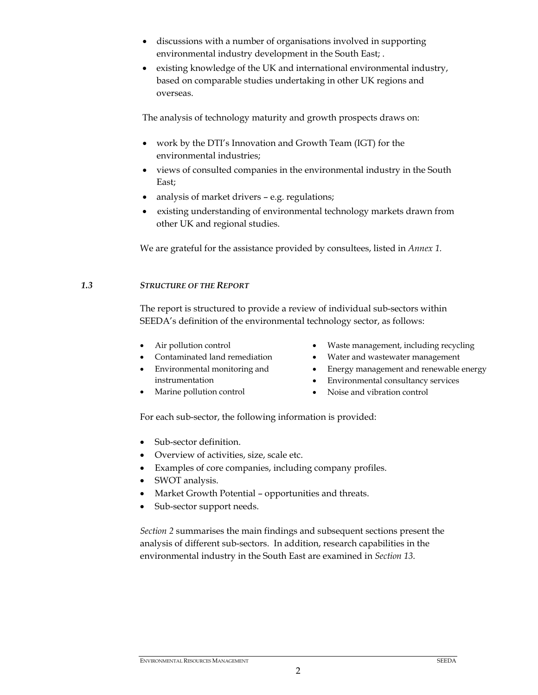- discussions with a number of organisations involved in supporting environmental industry development in the South East; .
- existing knowledge of the UK and international environmental industry, based on comparable studies undertaking in other UK regions and overseas.

The analysis of technology maturity and growth prospects draws on:

- work by the DTI's Innovation and Growth Team (IGT) for the environmental industries;
- views of consulted companies in the environmental industry in the South East;
- analysis of market drivers e.g. regulations;
- existing understanding of environmental technology markets drawn from other UK and regional studies.

We are grateful for the assistance provided by consultees, listed in *Annex 1.* 

## *1.3 STRUCTURE OF THE REPORT*

The report is structured to provide a review of individual sub-sectors within SEEDA's definition of the environmental technology sector, as follows:

• Air pollution control

instrumentation • Marine pollution control

- Waste management, including recycling
- Water and wastewater management
- Energy management and renewable energy
- Environmental consultancy services
- Noise and vibration control

For each sub-sector, the following information is provided:

- Sub-sector definition.
- Overview of activities, size, scale etc.

• Contaminated land remediation • Environmental monitoring and

- Examples of core companies, including company profiles.
- SWOT analysis.
- Market Growth Potential opportunities and threats.
- Sub-sector support needs.

*Section 2* summarises the main findings and subsequent sections present the analysis of different sub-sectors. In addition, research capabilities in the environmental industry in the South East are examined in *Section 13*.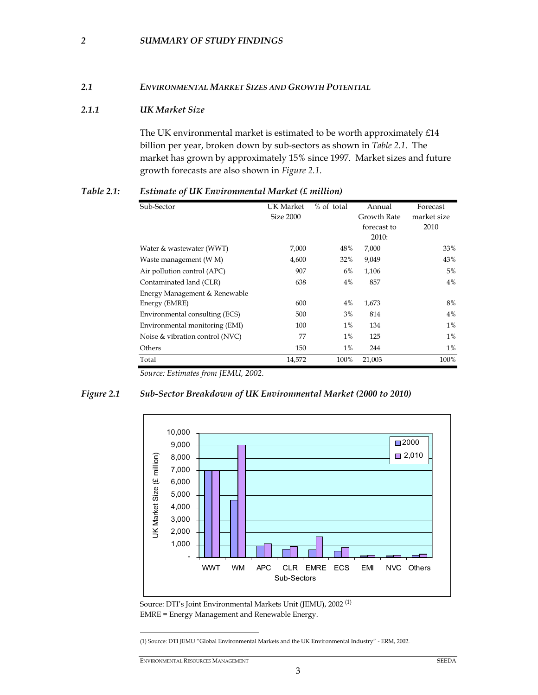### *2 SUMMARY OF STUDY FINDINGS*

### *2.1 ENVIRONMENTAL MARKET SIZES AND GROWTH POTENTIAL*

## *2.1.1 UK Market Size*

The UK environmental market is estimated to be worth approximately £14 billion per year, broken down by sub-sectors as shown in *Table 2.1*. The market has grown by approximately 15% since 1997. Market sizes and future growth forecasts are also shown in *Figure 2.1*.

| Sub-Sector                      | UK Market | % of total | Annual      | Forecast    |
|---------------------------------|-----------|------------|-------------|-------------|
|                                 | Size 2000 |            | Growth Rate | market size |
|                                 |           |            | forecast to | 2010        |
|                                 |           |            | 2010:       |             |
| Water & wastewater (WWT)        | 7,000     | 48%        | 7,000       | 33%         |
| Waste management (W M)          | 4,600     | 32%        | 9,049       | 43%         |
| Air pollution control (APC)     | 907       | 6%         | 1,106       | $5\%$       |
| Contaminated land (CLR)         | 638       | 4%         | 857         | $4\%$       |
| Energy Management & Renewable   |           |            |             |             |
| Energy (EMRE)                   | 600       | 4%         | 1,673       | 8%          |
| Environmental consulting (ECS)  | 500       | 3%         | 814         | $4\%$       |
| Environmental monitoring (EMI)  | 100       | $1\%$      | 134         | $1\%$       |
| Noise & vibration control (NVC) | 77        | $1\%$      | 125         | $1\%$       |
| Others                          | 150       | $1\%$      | 244         | $1\%$       |
| Total                           | 14,572    | 100%       | 21,003      | 100%        |

### *Table 2.1: Estimate of UK Environmental Market (£ million)*

*Source: Estimates from JEMU, 2002.* 

### *Figure 2.1 Sub-Sector Breakdown of UK Environmental Market (2000 to 2010)*



Source: DTI's Joint Environmental Markets Unit (JEMU), 2002 (1) EMRE = Energy Management and Renewable Energy.

(1) Source: DTI JEMU "Global Environmental Markets and the UK Environmental Industry" - ERM, 2002.

-

**ENVIRONMENTAL RESOURCES MANAGEMENT** SEEDA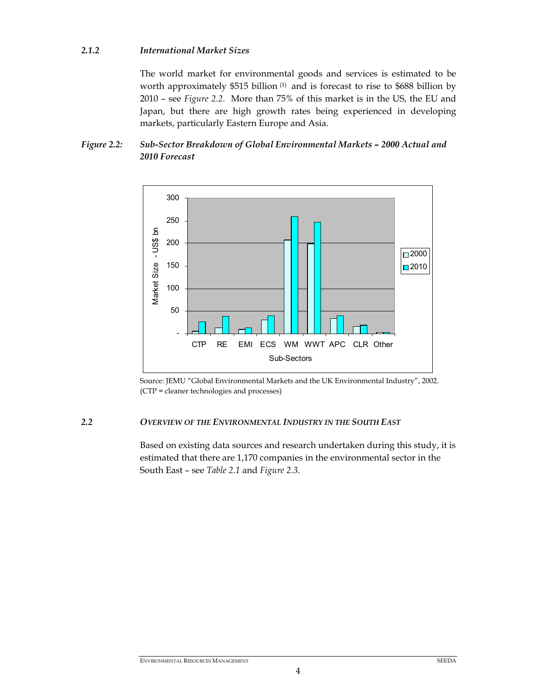### *2.1.2 International Market Sizes*

The world market for environmental goods and services is estimated to be worth approximately \$515 billion (1) and is forecast to rise to \$688 billion by 2010 – see *Figure 2.2*. More than 75% of this market is in the US, the EU and Japan, but there are high growth rates being experienced in developing markets, particularly Eastern Europe and Asia.

## *Figure 2.2: Sub-Sector Breakdown of Global Environmental Markets – 2000 Actual and 2010 Forecast*



Source: JEMU "Global Environmental Markets and the UK Environmental Industry", 2002. (CTP = cleaner technologies and processes)

### *2.2 OVERVIEW OF THE ENVIRONMENTAL INDUSTRY IN THE SOUTH EAST*

Based on existing data sources and research undertaken during this study, it is estimated that there are 1,170 companies in the environmental sector in the South East – see *Table 2.1* and *Figure 2.3*.

4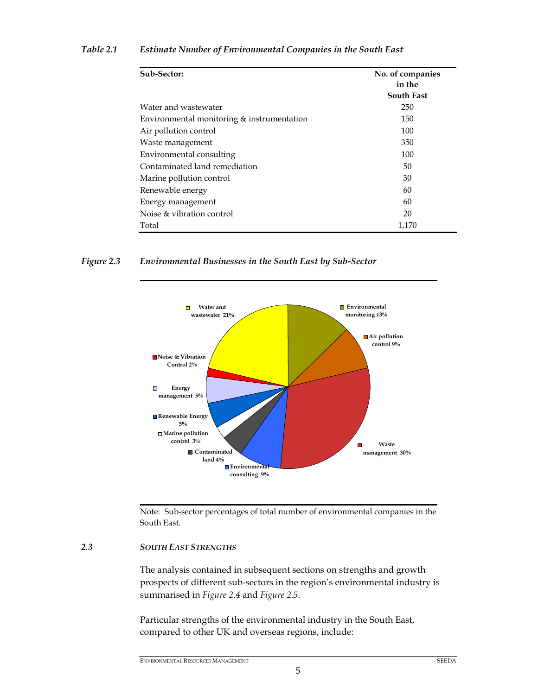| Sub-Sector:                                | No. of companies<br>in the |  |  |
|--------------------------------------------|----------------------------|--|--|
|                                            | <b>South East</b>          |  |  |
| Water and wastewater                       | 250                        |  |  |
| Environmental monitoring & instrumentation | 150                        |  |  |
| Air pollution control                      | 100                        |  |  |
| Waste management                           | 350                        |  |  |
| Environmental consulting                   | 100                        |  |  |
| Contaminated land remediation              | 50                         |  |  |
| Marine pollution control                   | 30                         |  |  |
| Renewable energy                           | 60                         |  |  |
| Energy management                          | 60                         |  |  |
| Noise & vibration control                  | 20                         |  |  |
| Total                                      | 1,170                      |  |  |

## *Table 2.1 Estimate Number of Environmental Companies in the South East*

## *Figure 2.3 Environmental Businesses in the South East by Sub-Sector*



Note: Sub-sector percentages of total number of environmental companies in the South East.

### *2.3 SOUTH EAST STRENGTHS*

The analysis contained in subsequent sections on strengths and growth prospects of different sub-sectors in the region's environmental industry is summarised in *Figure 2.4* and *Figure 2.5*.

Particular strengths of the environmental industry in the South East, compared to other UK and overseas regions, include: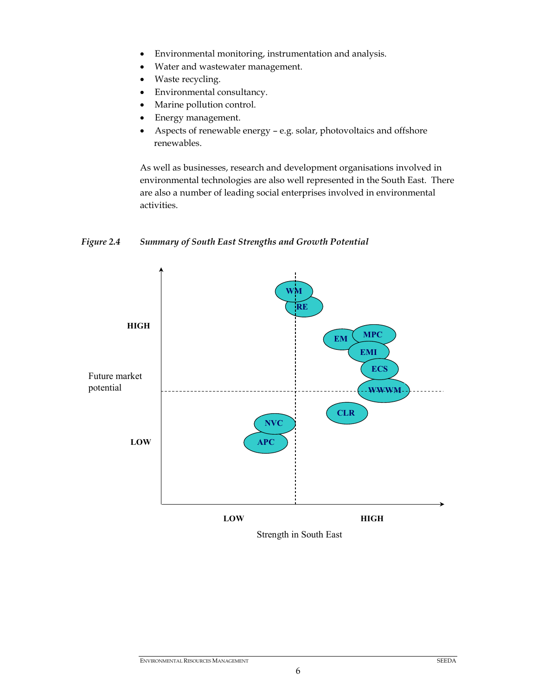- Environmental monitoring, instrumentation and analysis.
- Water and wastewater management.
- Waste recycling.
- Environmental consultancy.
- Marine pollution control.
- Energy management.
- Aspects of renewable energy e.g. solar, photovoltaics and offshore renewables.

As well as businesses, research and development organisations involved in environmental technologies are also well represented in the South East. There are also a number of leading social enterprises involved in environmental activities.

*Figure 2.4 Summary of South East Strengths and Growth Potential* 



Strength in South East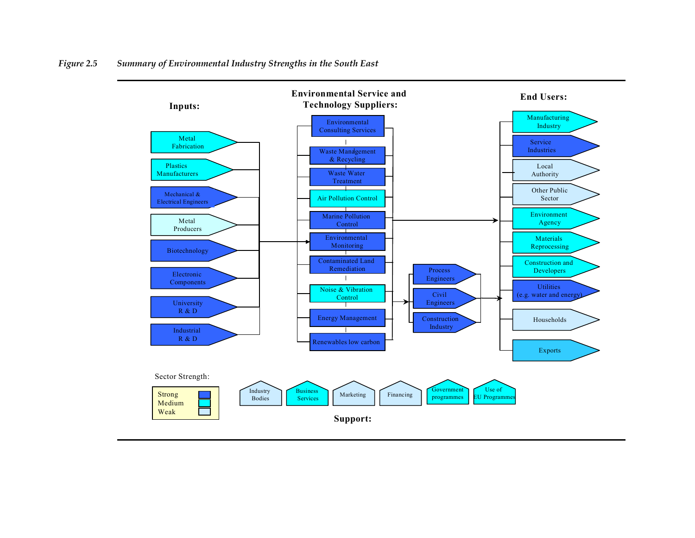

*Figure 2.5 Summary of Environmental Industry Strengths in the South East*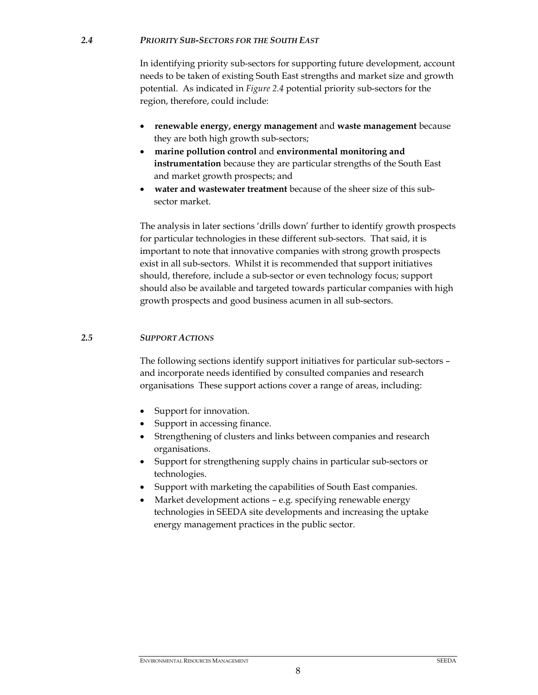## *2.4 PRIORITY SUB-SECTORS FOR THE SOUTH EAST*

In identifying priority sub-sectors for supporting future development, account needs to be taken of existing South East strengths and market size and growth potential. As indicated in *Figure 2.4* potential priority sub-sectors for the region, therefore, could include:

- **renewable energy, energy management** and **waste management** because they are both high growth sub-sectors;
- **marine pollution control** and **environmental monitoring and instrumentation** because they are particular strengths of the South East and market growth prospects; and
- **water and wastewater treatment** because of the sheer size of this subsector market.

The analysis in later sections 'drills down' further to identify growth prospects for particular technologies in these different sub-sectors. That said, it is important to note that innovative companies with strong growth prospects exist in all sub-sectors. Whilst it is recommended that support initiatives should, therefore, include a sub-sector or even technology focus; support should also be available and targeted towards particular companies with high growth prospects and good business acumen in all sub-sectors.

### *2.5 SUPPORT ACTIONS*

The following sections identify support initiatives for particular sub-sectors – and incorporate needs identified by consulted companies and research organisations These support actions cover a range of areas, including:

- Support for innovation.
- Support in accessing finance.
- Strengthening of clusters and links between companies and research organisations.
- Support for strengthening supply chains in particular sub-sectors or technologies.
- Support with marketing the capabilities of South East companies.
- Market development actions e.g. specifying renewable energy technologies in SEEDA site developments and increasing the uptake energy management practices in the public sector.

### **ENVIRONMENTAL RESOURCES MANAGEMENT** SEEDA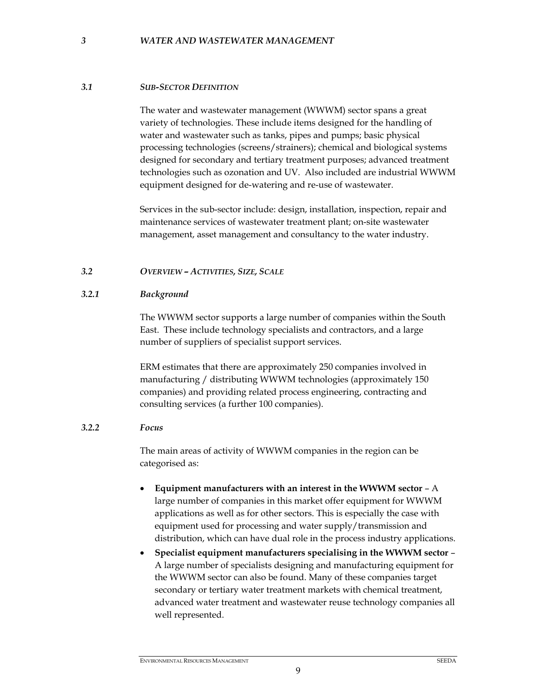### *3 WATER AND WASTEWATER MANAGEMENT*

### *3.1 SUB-SECTOR DEFINITION*

The water and wastewater management (WWWM) sector spans a great variety of technologies. These include items designed for the handling of water and wastewater such as tanks, pipes and pumps; basic physical processing technologies (screens/strainers); chemical and biological systems designed for secondary and tertiary treatment purposes; advanced treatment technologies such as ozonation and UV. Also included are industrial WWWM equipment designed for de-watering and re-use of wastewater.

Services in the sub-sector include: design, installation, inspection, repair and maintenance services of wastewater treatment plant; on-site wastewater management, asset management and consultancy to the water industry.

### *3.2 OVERVIEW – ACTIVITIES, SIZE, SCALE*

### *3.2.1 Background*

The WWWM sector supports a large number of companies within the South East. These include technology specialists and contractors, and a large number of suppliers of specialist support services.

ERM estimates that there are approximately 250 companies involved in manufacturing / distributing WWWM technologies (approximately 150 companies) and providing related process engineering, contracting and consulting services (a further 100 companies).

### *3.2.2 Focus*

The main areas of activity of WWWM companies in the region can be categorised as:

- **Equipment manufacturers with an interest in the WWWM sector** A large number of companies in this market offer equipment for WWWM applications as well as for other sectors. This is especially the case with equipment used for processing and water supply/transmission and distribution, which can have dual role in the process industry applications.
- **Specialist equipment manufacturers specialising in the WWWM sector** A large number of specialists designing and manufacturing equipment for the WWWM sector can also be found. Many of these companies target secondary or tertiary water treatment markets with chemical treatment, advanced water treatment and wastewater reuse technology companies all well represented.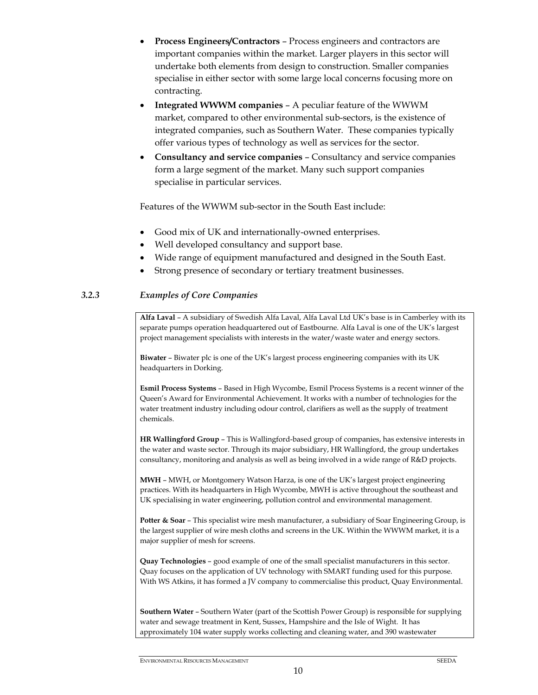- **Process Engineers/Contractors** Process engineers and contractors are important companies within the market. Larger players in this sector will undertake both elements from design to construction. Smaller companies specialise in either sector with some large local concerns focusing more on contracting.
- **Integrated WWWM companies** A peculiar feature of the WWWM market, compared to other environmental sub-sectors, is the existence of integrated companies, such as Southern Water. These companies typically offer various types of technology as well as services for the sector.
- **Consultancy and service companies** Consultancy and service companies form a large segment of the market. Many such support companies specialise in particular services.

Features of the WWWM sub-sector in the South East include:

- Good mix of UK and internationally-owned enterprises.
- Well developed consultancy and support base.
- Wide range of equipment manufactured and designed in the South East.
- Strong presence of secondary or tertiary treatment businesses.

## *3.2.3 Examples of Core Companies*

**Alfa Laval** – A subsidiary of Swedish Alfa Laval, Alfa Laval Ltd UK's base is in Camberley with its separate pumps operation headquartered out of Eastbourne. Alfa Laval is one of the UK's largest project management specialists with interests in the water/waste water and energy sectors.

**Biwater** – Biwater plc is one of the UK's largest process engineering companies with its UK headquarters in Dorking.

**Esmil Process Systems** – Based in High Wycombe, Esmil Process Systems is a recent winner of the Queen's Award for Environmental Achievement. It works with a number of technologies for the water treatment industry including odour control, clarifiers as well as the supply of treatment chemicals.

**HR Wallingford Group** – This is Wallingford-based group of companies, has extensive interests in the water and waste sector. Through its major subsidiary, HR Wallingford, the group undertakes consultancy, monitoring and analysis as well as being involved in a wide range of R&D projects.

**MWH** – MWH, or Montgomery Watson Harza, is one of the UK's largest project engineering practices. With its headquarters in High Wycombe, MWH is active throughout the southeast and UK specialising in water engineering, pollution control and environmental management.

**Potter & Soar** – This specialist wire mesh manufacturer, a subsidiary of Soar Engineering Group, is the largest supplier of wire mesh cloths and screens in the UK. Within the WWWM market, it is a major supplier of mesh for screens.

**Quay Technologies** – good example of one of the small specialist manufacturers in this sector. Quay focuses on the application of UV technology with SMART funding used for this purpose. With WS Atkins, it has formed a JV company to commercialise this product, Quay Environmental.

**Southern Water** – Southern Water (part of the Scottish Power Group) is responsible for supplying water and sewage treatment in Kent, Sussex, Hampshire and the Isle of Wight. It has approximately 104 water supply works collecting and cleaning water, and 390 wastewater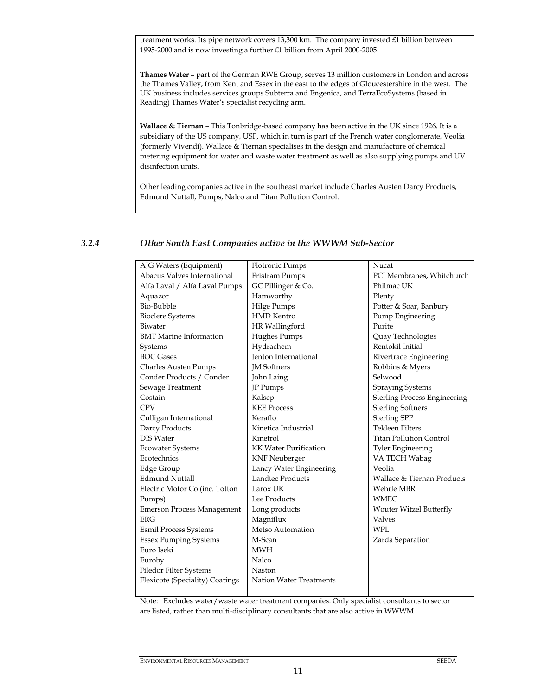treatment works. Its pipe network covers 13,300 km. The company invested £1 billion between 1995-2000 and is now investing a further £1 billion from April 2000-2005.

**Thames Water** – part of the German RWE Group, serves 13 million customers in London and across the Thames Valley, from Kent and Essex in the east to the edges of Gloucestershire in the west. The UK business includes services groups Subterra and Engenica, and TerraEcoSystems (based in Reading) Thames Water's specialist recycling arm.

**Wallace & Tiernan** – This Tonbridge-based company has been active in the UK since 1926. It is a subsidiary of the US company, USF, which in turn is part of the French water conglomerate, Veolia (formerly Vivendi). Wallace & Tiernan specialises in the design and manufacture of chemical metering equipment for water and waste water treatment as well as also supplying pumps and UV disinfection units.

Other leading companies active in the southeast market include Charles Austen Darcy Products, Edmund Nuttall, Pumps, Nalco and Titan Pollution Control.

| AJG Waters (Equipment)          | <b>Flotronic Pumps</b>       | Nucat                               |
|---------------------------------|------------------------------|-------------------------------------|
| Abacus Valves International     | Fristram Pumps               | PCI Membranes, Whitchurch           |
| Alfa Laval / Alfa Laval Pumps   | GC Pillinger & Co.           | Philmac UK                          |
| Aquazor                         | Hamworthy                    | Plenty                              |
| Bio-Bubble                      | Hilge Pumps                  | Potter & Soar, Banbury              |
| <b>Bioclere Systems</b>         | <b>HMD</b> Kentro            | Pump Engineering                    |
| Biwater                         | HR Wallingford               | Purite                              |
| <b>BMT</b> Marine Information   | Hughes Pumps                 | Quay Technologies                   |
| Systems                         | Hydrachem                    | Rentokil Initial                    |
| <b>BOC Gases</b>                | <b>Jenton International</b>  | Rivertrace Engineering              |
| <b>Charles Austen Pumps</b>     | <b>IM</b> Softners           | Robbins & Myers                     |
| Conder Products / Conder        | John Laing                   | Selwood                             |
| Sewage Treatment                | JP Pumps                     | <b>Spraying Systems</b>             |
| Costain                         | Kalsep                       | <b>Sterling Process Engineering</b> |
| <b>CPV</b>                      | <b>KEE Process</b>           | <b>Sterling Softners</b>            |
| Culligan International          | Keraflo                      | <b>Sterling SPP</b>                 |
| Darcy Products                  | Kinetica Industrial          | <b>Tekleen Filters</b>              |
| DIS Water                       | Kinetrol                     | <b>Titan Pollution Control</b>      |
| <b>Ecowater Systems</b>         | <b>KK Water Purification</b> | <b>Tyler Engineering</b>            |
| Ecotechnics                     | <b>KNF Neuberger</b>         | VA TECH Wabag                       |
| Edge Group                      | Lancy Water Engineering      | Veolia                              |
| <b>Edmund Nuttall</b>           | <b>Landtec Products</b>      | Wallace & Tiernan Products          |
| Electric Motor Co (inc. Totton  | Larox UK                     | Wehrle MBR                          |
| Pumps)                          | Lee Products                 | <b>WMEC</b>                         |
| Emerson Process Management      | Long products                | Wouter Witzel Butterfly             |
| <b>ERG</b>                      | Magniflux                    | <b>Valves</b>                       |
| Esmil Process Systems           | Metso Automation             | WPL.                                |
| <b>Essex Pumping Systems</b>    | M-Scan                       | Zarda Separation                    |
| Euro Iseki                      | <b>MWH</b>                   |                                     |
| Euroby                          | Nalco                        |                                     |
| Filedor Filter Systems          | Naston                       |                                     |
| Flexicote (Speciality) Coatings | Nation Water Treatments      |                                     |
|                                 |                              |                                     |

## *3.2.4 Other South East Companies active in the WWWM Sub-Sector*

Note: Excludes water/waste water treatment companies. Only specialist consultants to sector are listed, rather than multi-disciplinary consultants that are also active in WWWM.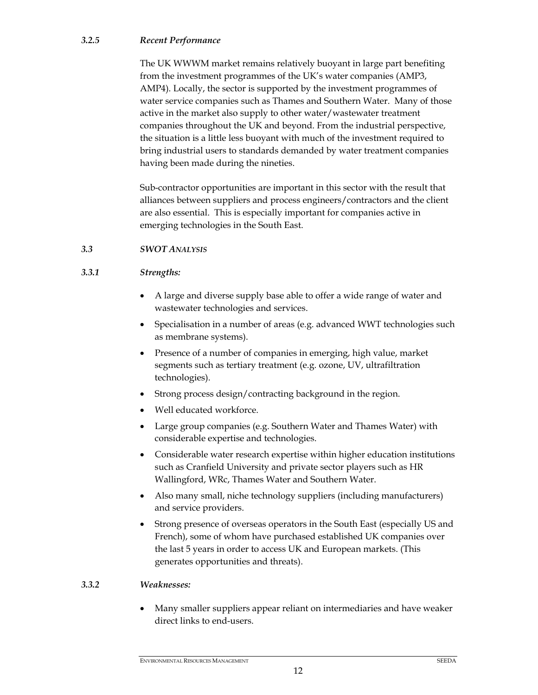## *3.2.5 Recent Performance*

The UK WWWM market remains relatively buoyant in large part benefiting from the investment programmes of the UK's water companies (AMP3, AMP4). Locally, the sector is supported by the investment programmes of water service companies such as Thames and Southern Water. Many of those active in the market also supply to other water/wastewater treatment companies throughout the UK and beyond. From the industrial perspective, the situation is a little less buoyant with much of the investment required to bring industrial users to standards demanded by water treatment companies having been made during the nineties.

Sub-contractor opportunities are important in this sector with the result that alliances between suppliers and process engineers/contractors and the client are also essential. This is especially important for companies active in emerging technologies in the South East.

## *3.3 SWOT ANALYSIS*

## *3.3.1 Strengths:*

- A large and diverse supply base able to offer a wide range of water and wastewater technologies and services.
- Specialisation in a number of areas (e.g. advanced WWT technologies such as membrane systems).
- Presence of a number of companies in emerging, high value, market segments such as tertiary treatment (e.g. ozone, UV, ultrafiltration technologies).
- Strong process design/contracting background in the region.
- Well educated workforce.
- Large group companies (e.g. Southern Water and Thames Water) with considerable expertise and technologies.
- Considerable water research expertise within higher education institutions such as Cranfield University and private sector players such as HR Wallingford, WRc, Thames Water and Southern Water.
- Also many small, niche technology suppliers (including manufacturers) and service providers.
- Strong presence of overseas operators in the South East (especially US and French), some of whom have purchased established UK companies over the last 5 years in order to access UK and European markets. (This generates opportunities and threats).

## *3.3.2 Weaknesses:*

• Many smaller suppliers appear reliant on intermediaries and have weaker direct links to end-users.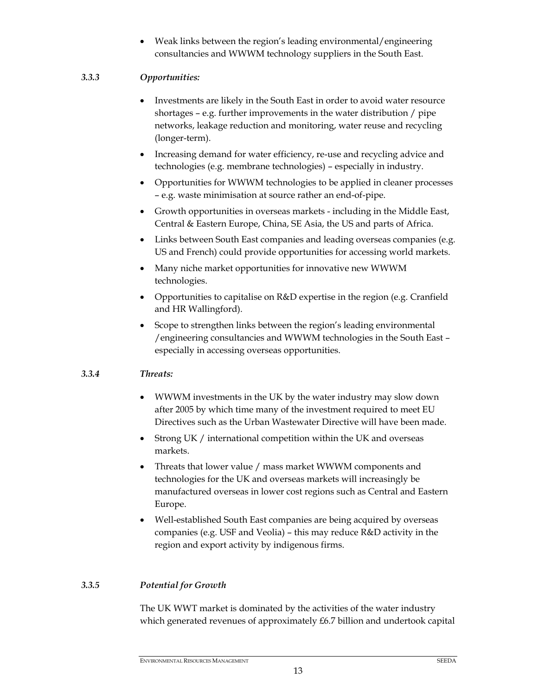• Weak links between the region's leading environmental/engineering consultancies and WWWM technology suppliers in the South East.

# *3.3.3 Opportunities:*

- Investments are likely in the South East in order to avoid water resource shortages – e.g. further improvements in the water distribution / pipe networks, leakage reduction and monitoring, water reuse and recycling (longer-term).
- Increasing demand for water efficiency, re-use and recycling advice and technologies (e.g. membrane technologies) – especially in industry.
- Opportunities for WWWM technologies to be applied in cleaner processes – e.g. waste minimisation at source rather an end-of-pipe.
- Growth opportunities in overseas markets including in the Middle East, Central & Eastern Europe, China, SE Asia, the US and parts of Africa.
- Links between South East companies and leading overseas companies (e.g. US and French) could provide opportunities for accessing world markets.
- Many niche market opportunities for innovative new WWWM technologies.
- Opportunities to capitalise on R&D expertise in the region (e.g. Cranfield and HR Wallingford).
- Scope to strengthen links between the region's leading environmental /engineering consultancies and WWWM technologies in the South East – especially in accessing overseas opportunities.

# *3.3.4 Threats:*

- WWWM investments in the UK by the water industry may slow down after 2005 by which time many of the investment required to meet EU Directives such as the Urban Wastewater Directive will have been made.
- Strong UK / international competition within the UK and overseas markets.
- Threats that lower value / mass market WWWM components and technologies for the UK and overseas markets will increasingly be manufactured overseas in lower cost regions such as Central and Eastern Europe.
- Well-established South East companies are being acquired by overseas companies (e.g. USF and Veolia) – this may reduce R&D activity in the region and export activity by indigenous firms.

# *3.3.5 Potential for Growth*

The UK WWT market is dominated by the activities of the water industry which generated revenues of approximately £6.7 billion and undertook capital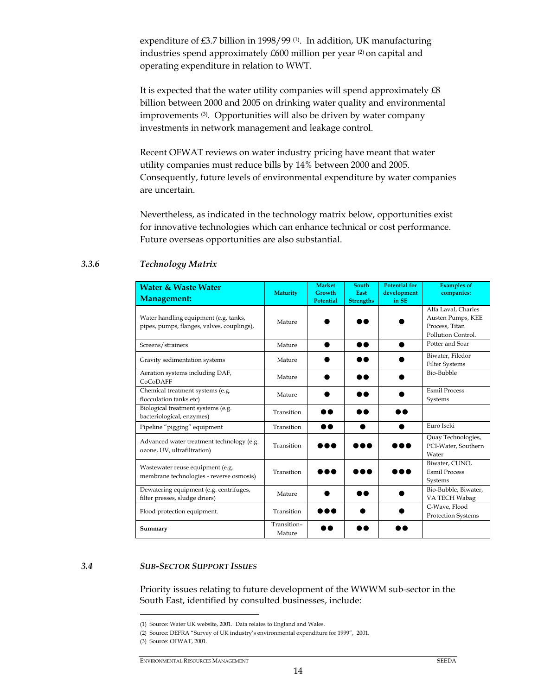expenditure of  $£3.7$  billion in 1998/99<sup>(1)</sup>. In addition, UK manufacturing industries spend approximately  $£600$  million per year  $(2)$  on capital and operating expenditure in relation to WWT.

It is expected that the water utility companies will spend approximately £8 billion between 2000 and 2005 on drinking water quality and environmental improvements (3). Opportunities will also be driven by water company investments in network management and leakage control.

Recent OFWAT reviews on water industry pricing have meant that water utility companies must reduce bills by 14% between 2000 and 2005. Consequently, future levels of environmental expenditure by water companies are uncertain.

Nevertheless, as indicated in the technology matrix below, opportunities exist for innovative technologies which can enhance technical or cost performance. Future overseas opportunities are also substantial.

### *3.3.6 Technology Matrix*

| Water & Waste Water<br>Management:                                                  | <b>Maturity</b>       | <b>Market</b><br>Growth<br>Potential | <b>South</b><br>East<br><b>Strengths</b> | <b>Potential for</b><br>development<br>in SE | <b>Examples of</b><br>companies:                                                 |
|-------------------------------------------------------------------------------------|-----------------------|--------------------------------------|------------------------------------------|----------------------------------------------|----------------------------------------------------------------------------------|
| Water handling equipment (e.g. tanks,<br>pipes, pumps, flanges, valves, couplings), | Mature                |                                      |                                          |                                              | Alfa Laval, Charles<br>Austen Pumps, KEE<br>Process, Titan<br>Pollution Control. |
| Screens/strainers                                                                   | Mature                |                                      | $\bullet\bullet$                         |                                              | Potter and Soar                                                                  |
| Gravity sedimentation systems                                                       | Mature                |                                      |                                          |                                              | Biwater, Filedor<br><b>Filter Systems</b>                                        |
| Aeration systems including DAF,<br>CoCoDAFF                                         | Mature                |                                      | D O                                      |                                              | Bio-Bubble                                                                       |
| Chemical treatment systems (e.g.<br>flocculation tanks etc)                         | Mature                |                                      |                                          |                                              | <b>Esmil Process</b><br>Systems                                                  |
| Biological treatment systems (e.g.<br>bacteriological, enzymes)                     | Transition            | n a                                  | n a                                      | D O                                          |                                                                                  |
| Pipeline "pigging" equipment                                                        | Transition            |                                      | ●                                        | ●                                            | Euro Iseki                                                                       |
| Advanced water treatment technology (e.g.<br>ozone, UV, ultrafiltration)            | Transition            |                                      | $\sim$                                   |                                              | Quay Technologies,<br>PCI-Water, Southern<br>Water                               |
| Wastewater reuse equipment (e.g.<br>membrane technologies - reverse osmosis)        | Transition            | .                                    | .                                        | .                                            | Biwater, CUNO,<br><b>Esmil Process</b><br>Systems                                |
| Dewatering equipment (e.g. centrifuges,<br>filter presses, sludge driers)           | Mature                |                                      | a a                                      |                                              | Bio-Bubble, Biwater,<br>VA TECH Wabag                                            |
| Flood protection equipment.                                                         | Transition            | .                                    |                                          |                                              | C-Wave, Flood<br><b>Protection Systems</b>                                       |
| Summary                                                                             | Transition-<br>Mature |                                      | b Q                                      | D Q                                          |                                                                                  |

### *3.4 SUB-SECTOR SUPPORT ISSUES*

-

Priority issues relating to future development of the WWWM sub-sector in the South East, identified by consulted businesses, include:

<sup>(1)</sup> Source: Water UK website, 2001. Data relates to England and Wales.

<sup>(2)</sup> Source: DEFRA "Survey of UK industry's environmental expenditure for 1999", 2001. (3) Source: OFWAT, 2001.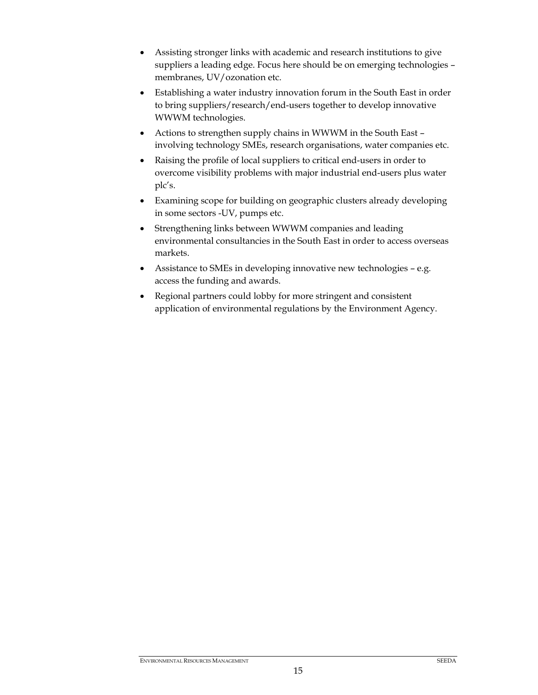- Assisting stronger links with academic and research institutions to give suppliers a leading edge. Focus here should be on emerging technologies – membranes, UV/ozonation etc.
- Establishing a water industry innovation forum in the South East in order to bring suppliers/research/end-users together to develop innovative WWWM technologies.
- Actions to strengthen supply chains in WWWM in the South East involving technology SMEs, research organisations, water companies etc.
- Raising the profile of local suppliers to critical end-users in order to overcome visibility problems with major industrial end-users plus water plc's.
- Examining scope for building on geographic clusters already developing in some sectors -UV, pumps etc.
- Strengthening links between WWWM companies and leading environmental consultancies in the South East in order to access overseas markets.
- Assistance to SMEs in developing innovative new technologies e.g. access the funding and awards.
- Regional partners could lobby for more stringent and consistent application of environmental regulations by the Environment Agency.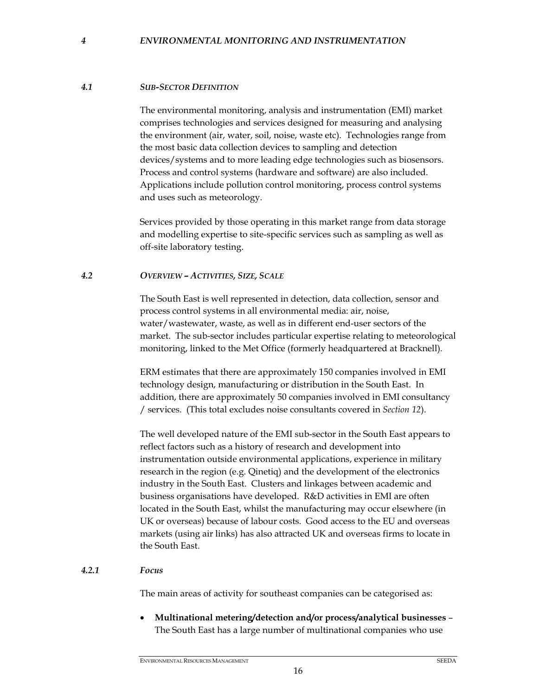### *4.1 SUB-SECTOR DEFINITION*

The environmental monitoring, analysis and instrumentation (EMI) market comprises technologies and services designed for measuring and analysing the environment (air, water, soil, noise, waste etc). Technologies range from the most basic data collection devices to sampling and detection devices/systems and to more leading edge technologies such as biosensors. Process and control systems (hardware and software) are also included. Applications include pollution control monitoring, process control systems and uses such as meteorology.

Services provided by those operating in this market range from data storage and modelling expertise to site-specific services such as sampling as well as off-site laboratory testing.

## *4.2 OVERVIEW – ACTIVITIES, SIZE, SCALE*

The South East is well represented in detection, data collection, sensor and process control systems in all environmental media: air, noise, water/wastewater, waste, as well as in different end-user sectors of the market. The sub-sector includes particular expertise relating to meteorological monitoring, linked to the Met Office (formerly headquartered at Bracknell).

ERM estimates that there are approximately 150 companies involved in EMI technology design, manufacturing or distribution in the South East. In addition, there are approximately 50 companies involved in EMI consultancy / services. (This total excludes noise consultants covered in *Section 12*).

The well developed nature of the EMI sub-sector in the South East appears to reflect factors such as a history of research and development into instrumentation outside environmental applications, experience in military research in the region (e.g. Qinetiq) and the development of the electronics industry in the South East. Clusters and linkages between academic and business organisations have developed. R&D activities in EMI are often located in the South East, whilst the manufacturing may occur elsewhere (in UK or overseas) because of labour costs. Good access to the EU and overseas markets (using air links) has also attracted UK and overseas firms to locate in the South East.

### *4.2.1 Focus*

The main areas of activity for southeast companies can be categorised as:

• **Multinational metering/detection and/or process/analytical businesses** – The South East has a large number of multinational companies who use

16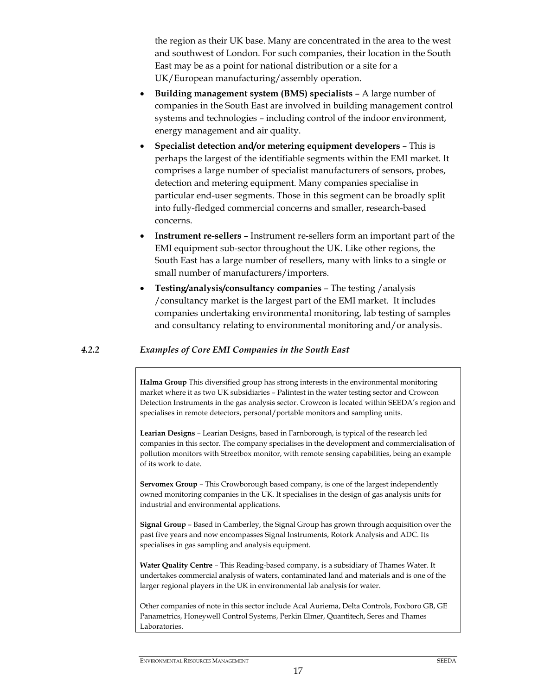the region as their UK base. Many are concentrated in the area to the west and southwest of London. For such companies, their location in the South East may be as a point for national distribution or a site for a UK/European manufacturing/assembly operation.

- **Building management system (BMS) specialists** A large number of companies in the South East are involved in building management control systems and technologies – including control of the indoor environment, energy management and air quality.
- **Specialist detection and/or metering equipment developers** This is perhaps the largest of the identifiable segments within the EMI market. It comprises a large number of specialist manufacturers of sensors, probes, detection and metering equipment. Many companies specialise in particular end-user segments. Those in this segment can be broadly split into fully-fledged commercial concerns and smaller, research-based concerns.
- **Instrument re-sellers** Instrument re-sellers form an important part of the EMI equipment sub-sector throughout the UK. Like other regions, the South East has a large number of resellers, many with links to a single or small number of manufacturers/importers.
- **Testing/analysis/consultancy companies** The testing /analysis /consultancy market is the largest part of the EMI market. It includes companies undertaking environmental monitoring, lab testing of samples and consultancy relating to environmental monitoring and/or analysis.

## *4.2.2 Examples of Core EMI Companies in the South East*

**Halma Group** This diversified group has strong interests in the environmental monitoring market where it as two UK subsidiaries – Palintest in the water testing sector and Crowcon Detection Instruments in the gas analysis sector. Crowcon is located within SEEDA's region and specialises in remote detectors, personal/portable monitors and sampling units.

**Learian Designs** – Learian Designs, based in Farnborough, is typical of the research led companies in this sector. The company specialises in the development and commercialisation of pollution monitors with Streetbox monitor, with remote sensing capabilities, being an example of its work to date.

**Servomex Group** – This Crowborough based company, is one of the largest independently owned monitoring companies in the UK. It specialises in the design of gas analysis units for industrial and environmental applications.

**Signal Group** – Based in Camberley, the Signal Group has grown through acquisition over the past five years and now encompasses Signal Instruments, Rotork Analysis and ADC. Its specialises in gas sampling and analysis equipment.

**Water Quality Centre** – This Reading-based company, is a subsidiary of Thames Water. It undertakes commercial analysis of waters, contaminated land and materials and is one of the larger regional players in the UK in environmental lab analysis for water.

Other companies of note in this sector include Acal Auriema, Delta Controls, Foxboro GB, GE Panametrics, Honeywell Control Systems, Perkin Elmer, Quantitech, Seres and Thames Laboratories.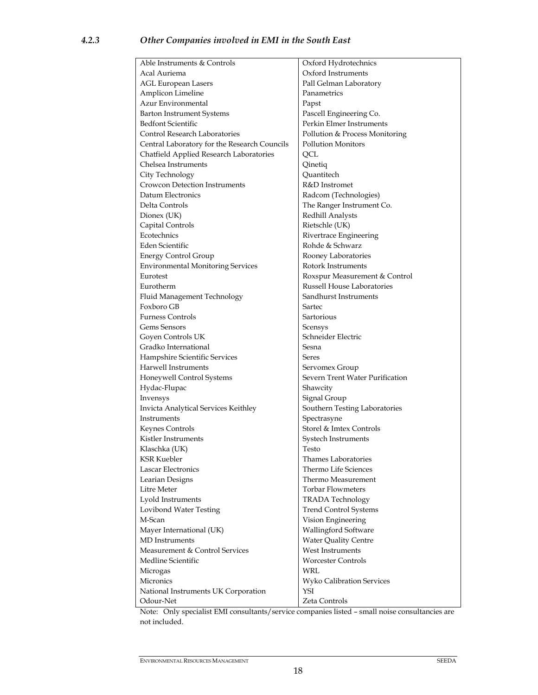| Able Instruments & Controls                                             | Oxford Hydrotechnics                                        |
|-------------------------------------------------------------------------|-------------------------------------------------------------|
| Acal Auriema                                                            | Oxford Instruments                                          |
| <b>AGL European Lasers</b>                                              | Pall Gelman Laboratory                                      |
| Amplicon Limeline                                                       | Panametrics                                                 |
| Azur Environmental                                                      | Papst                                                       |
| <b>Barton Instrument Systems</b>                                        | Pascell Engineering Co.                                     |
| <b>Bedfont Scientific</b>                                               | Perkin Elmer Instruments                                    |
| <b>Control Research Laboratories</b>                                    | Pollution & Process Monitoring                              |
| Central Laboratory for the Research Councils                            | <b>Pollution Monitors</b>                                   |
| Chatfield Applied Research Laboratories                                 | QCL                                                         |
| Chelsea Instruments                                                     | Qinetiq                                                     |
| City Technology                                                         | Quantitech                                                  |
| <b>Crowcon Detection Instruments</b>                                    | R&D Instromet                                               |
| Datum Electronics                                                       | Radcom (Technologies)                                       |
| Delta Controls                                                          | The Ranger Instrument Co.                                   |
| Dionex (UK)                                                             | Redhill Analysts                                            |
| Capital Controls                                                        | Rietschle (UK)                                              |
| Ecotechnics                                                             | Rivertrace Engineering                                      |
| Eden Scientific                                                         | Rohde & Schwarz                                             |
|                                                                         | Rooney Laboratories                                         |
| <b>Energy Control Group</b><br><b>Environmental Monitoring Services</b> | Rotork Instruments                                          |
| Eurotest                                                                |                                                             |
| Eurotherm                                                               | Roxspur Measurement & Control<br>Russell House Laboratories |
|                                                                         | Sandhurst Instruments                                       |
| Fluid Management Technology<br>Foxboro GB                               | Sartec                                                      |
| <b>Furness Controls</b>                                                 | Sartorious                                                  |
| Gems Sensors                                                            |                                                             |
|                                                                         | Scensys<br>Schneider Electric                               |
| Goyen Controls UK                                                       | Sesna                                                       |
| Gradko International                                                    |                                                             |
| Hampshire Scientific Services<br>Harwell Instruments                    | Seres                                                       |
|                                                                         | Servomex Group                                              |
| Honeywell Control Systems                                               | Severn Trent Water Purification                             |
| Hydac-Flupac                                                            | Shawcity                                                    |
| Invensys                                                                | Signal Group                                                |
| Invicta Analytical Services Keithley                                    | Southern Testing Laboratories                               |
| Instruments                                                             | Spectrasyne                                                 |
| Keynes Controls                                                         | Storel & Imtex Controls                                     |
| Kistler Instruments                                                     | Systech Instruments                                         |
| Klaschka (UK)                                                           | Testo                                                       |
| <b>KSR Kuebler</b>                                                      | Thames Laboratories                                         |
| <b>Lascar Electronics</b>                                               | <b>Thermo Life Sciences</b>                                 |
| Learian Designs                                                         | Thermo Measurement                                          |
| Litre Meter                                                             | <b>Torbar Flowmeters</b>                                    |
| Lyold Instruments                                                       | <b>TRADA</b> Technology                                     |
| Lovibond Water Testing                                                  | <b>Trend Control Systems</b>                                |
| M-Scan                                                                  | Vision Engineering                                          |
| Mayer International (UK)                                                | Wallingford Software                                        |
| <b>MD</b> Instruments                                                   | <b>Water Quality Centre</b>                                 |
| Measurement & Control Services                                          | West Instruments                                            |
| Medline Scientific                                                      | <b>Worcester Controls</b>                                   |
| Microgas                                                                | WRL                                                         |
| Micronics                                                               | Wyko Calibration Services                                   |
| National Instruments UK Corporation                                     | YSI                                                         |
| Odour-Net                                                               | Zeta Controls                                               |

Note: Only specialist EMI consultants/service companies listed – small noise consultancies are not included.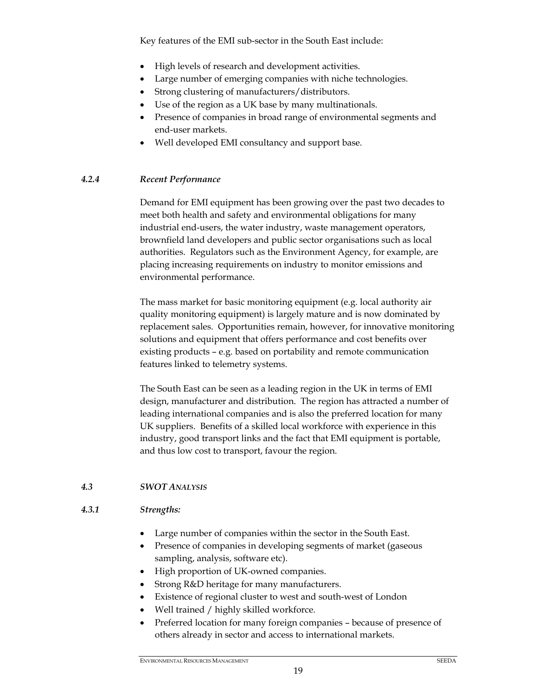Key features of the EMI sub-sector in the South East include:

- High levels of research and development activities.
- Large number of emerging companies with niche technologies.
- Strong clustering of manufacturers/distributors.
- Use of the region as a UK base by many multinationals.
- Presence of companies in broad range of environmental segments and end-user markets.
- Well developed EMI consultancy and support base.

## *4.2.4 Recent Performance*

Demand for EMI equipment has been growing over the past two decades to meet both health and safety and environmental obligations for many industrial end-users, the water industry, waste management operators, brownfield land developers and public sector organisations such as local authorities. Regulators such as the Environment Agency, for example, are placing increasing requirements on industry to monitor emissions and environmental performance.

The mass market for basic monitoring equipment (e.g. local authority air quality monitoring equipment) is largely mature and is now dominated by replacement sales. Opportunities remain, however, for innovative monitoring solutions and equipment that offers performance and cost benefits over existing products – e.g. based on portability and remote communication features linked to telemetry systems.

The South East can be seen as a leading region in the UK in terms of EMI design, manufacturer and distribution. The region has attracted a number of leading international companies and is also the preferred location for many UK suppliers. Benefits of a skilled local workforce with experience in this industry, good transport links and the fact that EMI equipment is portable, and thus low cost to transport, favour the region.

## *4.3 SWOT ANALYSIS*

## *4.3.1 Strengths:*

- Large number of companies within the sector in the South East.
- Presence of companies in developing segments of market (gaseous sampling, analysis, software etc).
- High proportion of UK-owned companies.
- Strong R&D heritage for many manufacturers.
- Existence of regional cluster to west and south-west of London
- Well trained / highly skilled workforce.
- Preferred location for many foreign companies because of presence of others already in sector and access to international markets.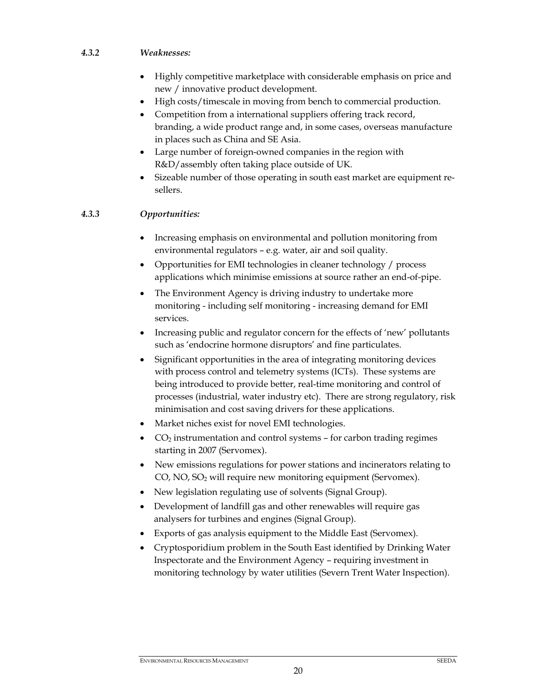## *4.3.2 Weaknesses:*

- Highly competitive marketplace with considerable emphasis on price and new / innovative product development.
- High costs/timescale in moving from bench to commercial production.
- Competition from a international suppliers offering track record, branding, a wide product range and, in some cases, overseas manufacture in places such as China and SE Asia.
- Large number of foreign-owned companies in the region with R&D/assembly often taking place outside of UK.
- Sizeable number of those operating in south east market are equipment resellers.

# *4.3.3 Opportunities:*

- Increasing emphasis on environmental and pollution monitoring from environmental regulators – e.g. water, air and soil quality.
- Opportunities for EMI technologies in cleaner technology / process applications which minimise emissions at source rather an end-of-pipe.
- The Environment Agency is driving industry to undertake more monitoring - including self monitoring - increasing demand for EMI services.
- Increasing public and regulator concern for the effects of 'new' pollutants such as 'endocrine hormone disruptors' and fine particulates.
- Significant opportunities in the area of integrating monitoring devices with process control and telemetry systems (ICTs). These systems are being introduced to provide better, real-time monitoring and control of processes (industrial, water industry etc). There are strong regulatory, risk minimisation and cost saving drivers for these applications.
- Market niches exist for novel EMI technologies.
- $CO<sub>2</sub>$  instrumentation and control systems for carbon trading regimes starting in 2007 (Servomex).
- New emissions regulations for power stations and incinerators relating to CO, NO, SO2 will require new monitoring equipment (Servomex).
- New legislation regulating use of solvents (Signal Group).
- Development of landfill gas and other renewables will require gas analysers for turbines and engines (Signal Group).
- Exports of gas analysis equipment to the Middle East (Servomex).
- Cryptosporidium problem in the South East identified by Drinking Water Inspectorate and the Environment Agency – requiring investment in monitoring technology by water utilities (Severn Trent Water Inspection).

#### **ENVIRONMENTAL RESOURCES MANAGEMENT** SEEDA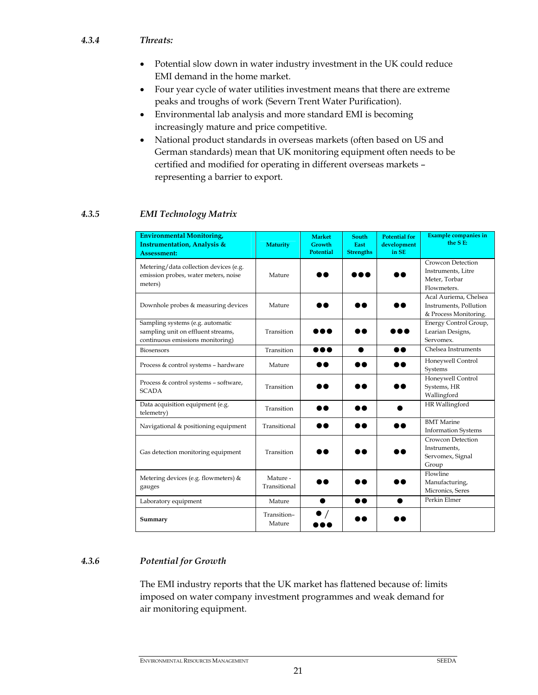- Potential slow down in water industry investment in the UK could reduce EMI demand in the home market.
- Four year cycle of water utilities investment means that there are extreme peaks and troughs of work (Severn Trent Water Purification).
- Environmental lab analysis and more standard EMI is becoming increasingly mature and price competitive.
- National product standards in overseas markets (often based on US and German standards) mean that UK monitoring equipment often needs to be certified and modified for operating in different overseas markets – representing a barrier to export.

# *4.3.5 EMI Technology Matrix*

| <b>Environmental Monitoring,</b><br><b>Instrumentation</b> , Analysis &<br><b>Assessment:</b>              | <b>Maturity</b>          | <b>Market</b><br><b>Growth</b><br><b>Potential</b> | <b>South</b><br><b>East</b><br><b>Strengths</b> | <b>Potential for</b><br>development<br>in SE | Example companies in<br>the SE:                                          |
|------------------------------------------------------------------------------------------------------------|--------------------------|----------------------------------------------------|-------------------------------------------------|----------------------------------------------|--------------------------------------------------------------------------|
| Metering/data collection devices (e.g.<br>emission probes, water meters, noise<br>meters)                  | Mature                   |                                                    |                                                 |                                              | Crowcon Detection<br>Instruments, Litre<br>Meter, Torbar<br>Flowmeters.  |
| Downhole probes & measuring devices                                                                        | Mature                   |                                                    |                                                 | n (                                          | Acal Auriema, Chelsea<br>Instruments, Pollution<br>& Process Monitoring. |
| Sampling systems (e.g. automatic<br>sampling unit on effluent streams,<br>continuous emissions monitoring) | Transition               | m a a                                              |                                                 | 88 S                                         | Energy Control Group,<br>Learian Designs,<br>Servomex.                   |
| <b>Biosensors</b>                                                                                          | Transition               |                                                    | ●                                               | $\bullet\bullet$                             | Chelsea Instruments                                                      |
| Process & control systems - hardware                                                                       | Mature                   | œ                                                  | D A                                             | D O                                          | Honeywell Control<br>Systems                                             |
| Process & control systems - software,<br><b>SCADA</b>                                                      | Transition               |                                                    |                                                 |                                              | Honeywell Control<br>Systems, HR<br>Wallingford                          |
| Data acquisition equipment (e.g.<br>telemetry)                                                             | Transition               | œ                                                  | ∙                                               |                                              | HR Wallingford                                                           |
| Navigational & positioning equipment                                                                       | Transitional             | 88                                                 | 88                                              | 6 Q                                          | <b>BMT</b> Marine<br><b>Information Systems</b>                          |
| Gas detection monitoring equipment                                                                         | Transition               |                                                    |                                                 |                                              | Crowcon Detection<br>Instruments.<br>Servomex, Signal<br>Group           |
| Metering devices (e.g. flowmeters) &<br>gauges                                                             | Mature -<br>Transitional |                                                    |                                                 |                                              | Flowline<br>Manufacturing,<br>Micronics, Seres                           |
| Laboratory equipment                                                                                       | Mature                   |                                                    | 88                                              |                                              | Perkin Elmer                                                             |
| Summary                                                                                                    | Transition-<br>Mature    |                                                    |                                                 |                                              |                                                                          |

## *4.3.6 Potential for Growth*

The EMI industry reports that the UK market has flattened because of: limits imposed on water company investment programmes and weak demand for air monitoring equipment.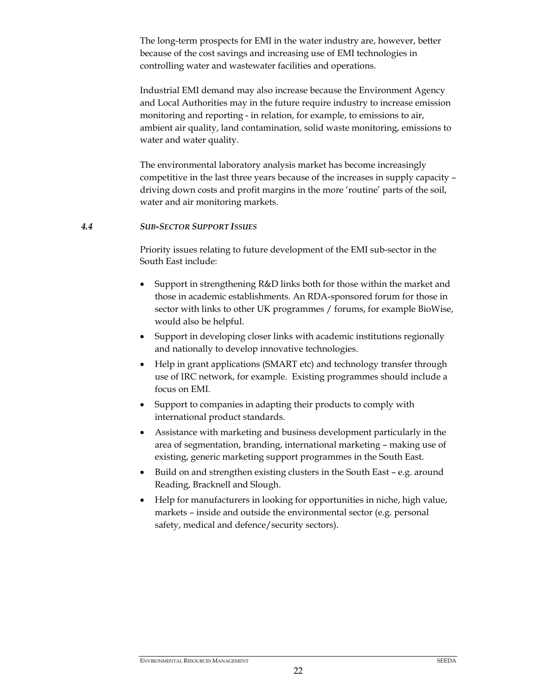The long-term prospects for EMI in the water industry are, however, better because of the cost savings and increasing use of EMI technologies in controlling water and wastewater facilities and operations.

Industrial EMI demand may also increase because the Environment Agency and Local Authorities may in the future require industry to increase emission monitoring and reporting - in relation, for example, to emissions to air, ambient air quality, land contamination, solid waste monitoring, emissions to water and water quality.

The environmental laboratory analysis market has become increasingly competitive in the last three years because of the increases in supply capacity – driving down costs and profit margins in the more 'routine' parts of the soil, water and air monitoring markets.

### *4.4 SUB-SECTOR SUPPORT ISSUES*

Priority issues relating to future development of the EMI sub-sector in the South East include:

- Support in strengthening R&D links both for those within the market and those in academic establishments. An RDA-sponsored forum for those in sector with links to other UK programmes / forums, for example BioWise, would also be helpful.
- Support in developing closer links with academic institutions regionally and nationally to develop innovative technologies.
- Help in grant applications (SMART etc) and technology transfer through use of IRC network, for example. Existing programmes should include a focus on EMI.
- Support to companies in adapting their products to comply with international product standards.
- Assistance with marketing and business development particularly in the area of segmentation, branding, international marketing – making use of existing, generic marketing support programmes in the South East.
- Build on and strengthen existing clusters in the South East e.g. around Reading, Bracknell and Slough.
- Help for manufacturers in looking for opportunities in niche, high value, markets – inside and outside the environmental sector (e.g. personal safety, medical and defence/security sectors).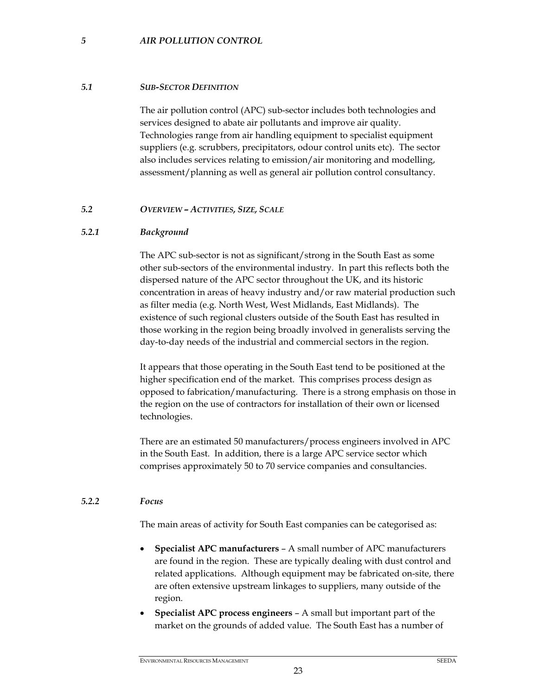### *5 AIR POLLUTION CONTROL*

### *5.1 SUB-SECTOR DEFINITION*

The air pollution control (APC) sub-sector includes both technologies and services designed to abate air pollutants and improve air quality. Technologies range from air handling equipment to specialist equipment suppliers (e.g. scrubbers, precipitators, odour control units etc). The sector also includes services relating to emission/air monitoring and modelling, assessment/planning as well as general air pollution control consultancy.

### *5.2 OVERVIEW – ACTIVITIES, SIZE, SCALE*

## *5.2.1 Background*

The APC sub-sector is not as significant/strong in the South East as some other sub-sectors of the environmental industry. In part this reflects both the dispersed nature of the APC sector throughout the UK, and its historic concentration in areas of heavy industry and/or raw material production such as filter media (e.g. North West, West Midlands, East Midlands). The existence of such regional clusters outside of the South East has resulted in those working in the region being broadly involved in generalists serving the day-to-day needs of the industrial and commercial sectors in the region.

It appears that those operating in the South East tend to be positioned at the higher specification end of the market. This comprises process design as opposed to fabrication/manufacturing. There is a strong emphasis on those in the region on the use of contractors for installation of their own or licensed technologies.

There are an estimated 50 manufacturers/process engineers involved in APC in the South East. In addition, there is a large APC service sector which comprises approximately 50 to 70 service companies and consultancies.

## *5.2.2 Focus*

The main areas of activity for South East companies can be categorised as:

- **Specialist APC manufacturers** A small number of APC manufacturers are found in the region. These are typically dealing with dust control and related applications. Although equipment may be fabricated on-site, there are often extensive upstream linkages to suppliers, many outside of the region.
- **Specialist APC process engineers** A small but important part of the market on the grounds of added value. The South East has a number of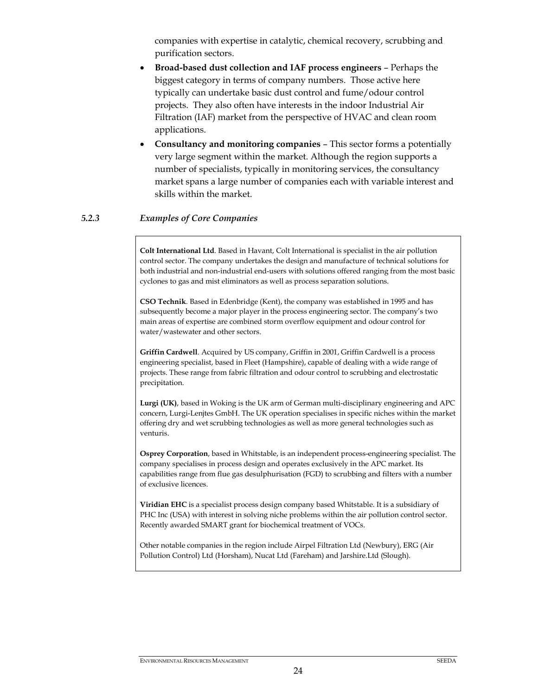companies with expertise in catalytic, chemical recovery, scrubbing and purification sectors.

- **Broad-based dust collection and IAF process engineers** Perhaps the biggest category in terms of company numbers. Those active here typically can undertake basic dust control and fume/odour control projects. They also often have interests in the indoor Industrial Air Filtration (IAF) market from the perspective of HVAC and clean room applications.
- **Consultancy and monitoring companies** This sector forms a potentially very large segment within the market. Although the region supports a number of specialists, typically in monitoring services, the consultancy market spans a large number of companies each with variable interest and skills within the market.

### *5.2.3 Examples of Core Companies*

**Colt International Ltd**. Based in Havant, Colt International is specialist in the air pollution control sector. The company undertakes the design and manufacture of technical solutions for both industrial and non-industrial end-users with solutions offered ranging from the most basic cyclones to gas and mist eliminators as well as process separation solutions.

**CSO Technik**. Based in Edenbridge (Kent), the company was established in 1995 and has subsequently become a major player in the process engineering sector. The company's two main areas of expertise are combined storm overflow equipment and odour control for water/wastewater and other sectors.

**Griffin Cardwell**. Acquired by US company, Griffin in 2001, Griffin Cardwell is a process engineering specialist, based in Fleet (Hampshire), capable of dealing with a wide range of projects. These range from fabric filtration and odour control to scrubbing and electrostatic precipitation.

**Lurgi (UK)**, based in Woking is the UK arm of German multi-disciplinary engineering and APC concern, Lurgi-Lenjtes GmbH. The UK operation specialises in specific niches within the market offering dry and wet scrubbing technologies as well as more general technologies such as venturis.

**Osprey Corporation**, based in Whitstable, is an independent process-engineering specialist. The company specialises in process design and operates exclusively in the APC market. Its capabilities range from flue gas desulphurisation (FGD) to scrubbing and filters with a number of exclusive licences.

**Viridian EHC** is a specialist process design company based Whitstable. It is a subsidiary of PHC Inc (USA) with interest in solving niche problems within the air pollution control sector. Recently awarded SMART grant for biochemical treatment of VOCs.

Other notable companies in the region include Airpel Filtration Ltd (Newbury), ERG (Air Pollution Control) Ltd (Horsham), Nucat Ltd (Fareham) and Jarshire.Ltd (Slough).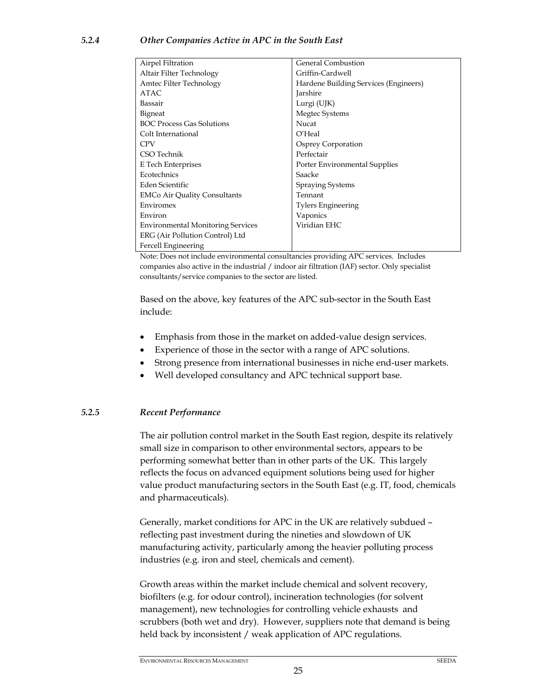| Airpel Filtration                        | General Combustion                    |
|------------------------------------------|---------------------------------------|
| Altair Filter Technology                 | Griffin-Cardwell                      |
| Amtec Filter Technology                  | Hardene Building Services (Engineers) |
| <b>ATAC</b>                              | Jarshire                              |
| Bassair                                  | Lurgi (UJK)                           |
| <b>Bigneat</b>                           | Megtec Systems                        |
| <b>BOC Process Gas Solutions</b>         | Nucat                                 |
| Colt International                       | $O'$ Heal                             |
| <b>CPV</b>                               | Osprey Corporation                    |
| CSO Technik                              | Perfectair                            |
| E Tech Enterprises                       | Porter Environmental Supplies         |
| Ecotechnics                              | Saacke                                |
| Eden Scientific                          | Spraying Systems                      |
| <b>EMCo Air Quality Consultants</b>      | Tennant                               |
| Enviromex                                | <b>Tylers Engineering</b>             |
| Environ                                  | Vaponics                              |
| <b>Environmental Monitoring Services</b> | Viridian EHC                          |
| ERG (Air Pollution Control) Ltd          |                                       |
| Fercell Engineering                      |                                       |

Note: Does not include environmental consultancies providing APC services. Includes companies also active in the industrial / indoor air filtration (IAF) sector. Only specialist consultants/service companies to the sector are listed.

Based on the above, key features of the APC sub-sector in the South East include:

- Emphasis from those in the market on added-value design services.
- Experience of those in the sector with a range of APC solutions.
- Strong presence from international businesses in niche end-user markets.
- Well developed consultancy and APC technical support base.

## *5.2.5 Recent Performance*

The air pollution control market in the South East region, despite its relatively small size in comparison to other environmental sectors, appears to be performing somewhat better than in other parts of the UK. This largely reflects the focus on advanced equipment solutions being used for higher value product manufacturing sectors in the South East (e.g. IT, food, chemicals and pharmaceuticals).

Generally, market conditions for APC in the UK are relatively subdued – reflecting past investment during the nineties and slowdown of UK manufacturing activity, particularly among the heavier polluting process industries (e.g. iron and steel, chemicals and cement).

Growth areas within the market include chemical and solvent recovery, biofilters (e.g. for odour control), incineration technologies (for solvent management), new technologies for controlling vehicle exhausts and scrubbers (both wet and dry). However, suppliers note that demand is being held back by inconsistent / weak application of APC regulations.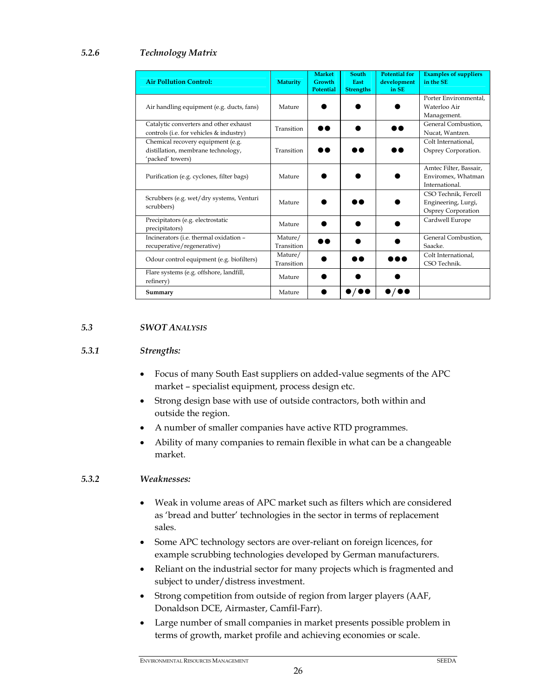## *5.2.6 Technology Matrix*

| <b>Air Pollution Control:</b>                                                               | <b>Maturity</b>       | <b>Market</b><br><b>Growth</b><br><b>Potential</b> | <b>South</b><br>East<br><b>Strengths</b> | <b>Potential for</b><br>development<br>in SE | <b>Examples of suppliers</b><br>in the SE                         |
|---------------------------------------------------------------------------------------------|-----------------------|----------------------------------------------------|------------------------------------------|----------------------------------------------|-------------------------------------------------------------------|
| Air handling equipment (e.g. ducts, fans)                                                   | Mature                |                                                    |                                          |                                              | Porter Environmental.<br>Waterloo Air<br>Management.              |
| Catalytic converters and other exhaust<br>controls (i.e. for vehicles & industry)           | Transition            | D O                                                |                                          |                                              | General Combustion.<br>Nucat, Wantzen.                            |
| Chemical recovery equipment (e.g.<br>distillation, membrane technology,<br>'packed' towers) | Transition            |                                                    |                                          |                                              | Colt International.<br>Osprey Corporation.                        |
| Purification (e.g. cyclones, filter bags)                                                   | Mature                |                                                    |                                          |                                              | Amtec Filter, Bassair,<br>Enviromex, Whatman<br>International     |
| Scrubbers (e.g. wet/dry systems, Venturi<br>scrubbers)                                      | Mature                |                                                    |                                          |                                              | CSO Technik, Fercell<br>Engineering, Lurgi,<br>Osprey Corporation |
| Precipitators (e.g. electrostatic<br>precipitators)                                         | Mature                |                                                    |                                          |                                              | Cardwell Europe                                                   |
| Incinerators (i.e. thermal oxidation -<br>recuperative/regenerative)                        | Mature/<br>Transition | b A                                                |                                          |                                              | General Combustion.<br>Saacke.                                    |
| Odour control equipment (e.g. biofilters)                                                   | Mature/<br>Transition |                                                    | 88                                       |                                              | Colt International.<br>CSO Technik.                               |
| Flare systems (e.g. offshore, landfill,<br>refinery)                                        | Mature                |                                                    |                                          |                                              |                                                                   |
| Summary                                                                                     | Mature                |                                                    | $\bullet$ / (                            | $\bullet$ / 0 0                              |                                                                   |

## *5.3 SWOT ANALYSIS*

## *5.3.1 Strengths:*

- Focus of many South East suppliers on added-value segments of the APC market – specialist equipment, process design etc.
- Strong design base with use of outside contractors, both within and outside the region.
- A number of smaller companies have active RTD programmes.
- Ability of many companies to remain flexible in what can be a changeable market.

## *5.3.2 Weaknesses:*

- Weak in volume areas of APC market such as filters which are considered as 'bread and butter' technologies in the sector in terms of replacement sales.
- Some APC technology sectors are over-reliant on foreign licences, for example scrubbing technologies developed by German manufacturers.
- Reliant on the industrial sector for many projects which is fragmented and subject to under/distress investment.
- Strong competition from outside of region from larger players (AAF, Donaldson DCE, Airmaster, Camfil-Farr).
- Large number of small companies in market presents possible problem in terms of growth, market profile and achieving economies or scale.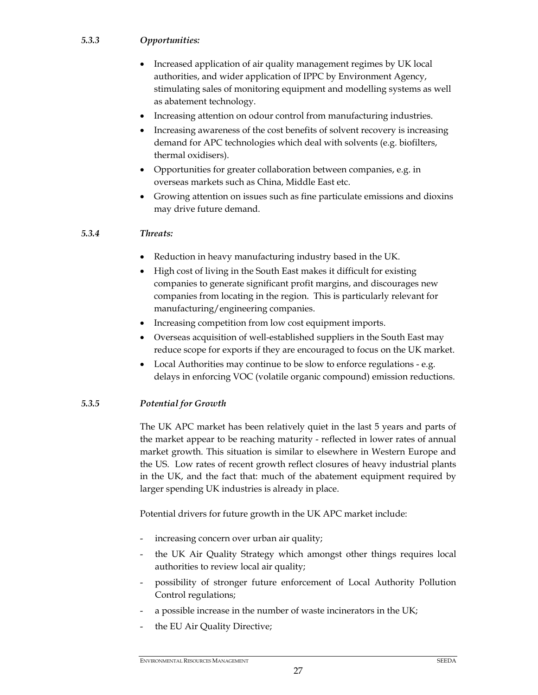# *5.3.3 Opportunities:*

- Increased application of air quality management regimes by UK local authorities, and wider application of IPPC by Environment Agency, stimulating sales of monitoring equipment and modelling systems as well as abatement technology.
- Increasing attention on odour control from manufacturing industries.
- Increasing awareness of the cost benefits of solvent recovery is increasing demand for APC technologies which deal with solvents (e.g. biofilters, thermal oxidisers).
- Opportunities for greater collaboration between companies, e.g. in overseas markets such as China, Middle East etc.
- Growing attention on issues such as fine particulate emissions and dioxins may drive future demand.

## *5.3.4 Threats:*

- Reduction in heavy manufacturing industry based in the UK.
- High cost of living in the South East makes it difficult for existing companies to generate significant profit margins, and discourages new companies from locating in the region. This is particularly relevant for manufacturing/engineering companies.
- Increasing competition from low cost equipment imports.
- Overseas acquisition of well-established suppliers in the South East may reduce scope for exports if they are encouraged to focus on the UK market.
- Local Authorities may continue to be slow to enforce regulations e.g. delays in enforcing VOC (volatile organic compound) emission reductions.

## *5.3.5 Potential for Growth*

The UK APC market has been relatively quiet in the last 5 years and parts of the market appear to be reaching maturity - reflected in lower rates of annual market growth. This situation is similar to elsewhere in Western Europe and the US. Low rates of recent growth reflect closures of heavy industrial plants in the UK, and the fact that: much of the abatement equipment required by larger spending UK industries is already in place.

Potential drivers for future growth in the UK APC market include:

- increasing concern over urban air quality;
- the UK Air Quality Strategy which amongst other things requires local authorities to review local air quality;
- possibility of stronger future enforcement of Local Authority Pollution Control regulations;
- a possible increase in the number of waste incinerators in the UK;
- the EU Air Quality Directive;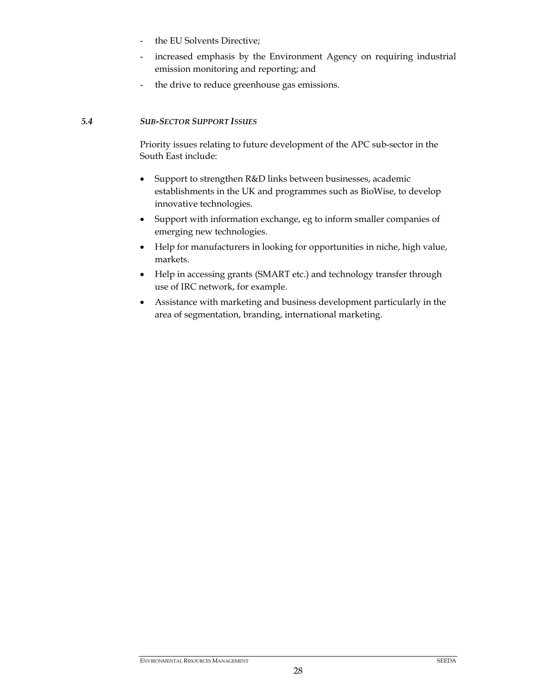- the EU Solvents Directive;
- increased emphasis by the Environment Agency on requiring industrial emission monitoring and reporting; and
- the drive to reduce greenhouse gas emissions.

## *5.4 SUB-SECTOR SUPPORT ISSUES*

Priority issues relating to future development of the APC sub-sector in the South East include:

- Support to strengthen R&D links between businesses, academic establishments in the UK and programmes such as BioWise, to develop innovative technologies.
- Support with information exchange, eg to inform smaller companies of emerging new technologies.
- Help for manufacturers in looking for opportunities in niche, high value, markets.
- Help in accessing grants (SMART etc.) and technology transfer through use of IRC network, for example.
- Assistance with marketing and business development particularly in the area of segmentation, branding, international marketing.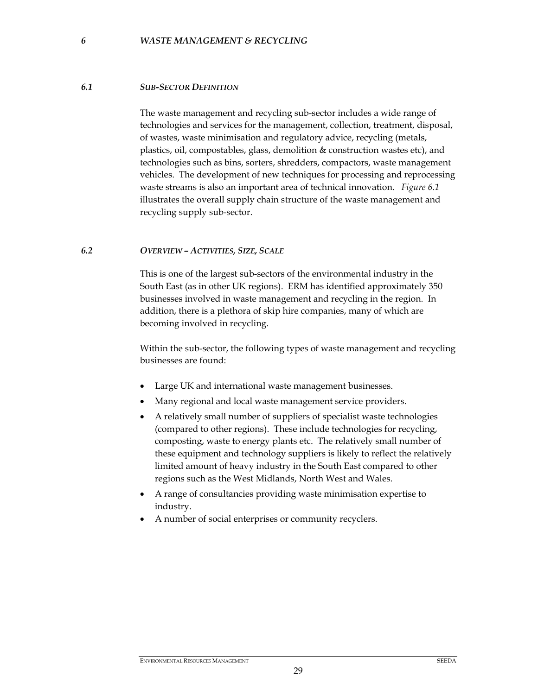### *6 WASTE MANAGEMENT & RECYCLING*

### *6.1 SUB-SECTOR DEFINITION*

The waste management and recycling sub-sector includes a wide range of technologies and services for the management, collection, treatment, disposal, of wastes, waste minimisation and regulatory advice, recycling (metals, plastics, oil, compostables, glass, demolition & construction wastes etc), and technologies such as bins, sorters, shredders, compactors, waste management vehicles. The development of new techniques for processing and reprocessing waste streams is also an important area of technical innovation. *Figure 6.1*  illustrates the overall supply chain structure of the waste management and recycling supply sub-sector.

## *6.2 OVERVIEW – ACTIVITIES, SIZE, SCALE*

This is one of the largest sub-sectors of the environmental industry in the South East (as in other UK regions). ERM has identified approximately 350 businesses involved in waste management and recycling in the region. In addition, there is a plethora of skip hire companies, many of which are becoming involved in recycling.

Within the sub-sector, the following types of waste management and recycling businesses are found:

- Large UK and international waste management businesses.
- Many regional and local waste management service providers.
- A relatively small number of suppliers of specialist waste technologies (compared to other regions). These include technologies for recycling, composting, waste to energy plants etc. The relatively small number of these equipment and technology suppliers is likely to reflect the relatively limited amount of heavy industry in the South East compared to other regions such as the West Midlands, North West and Wales.
- A range of consultancies providing waste minimisation expertise to industry.
- A number of social enterprises or community recyclers.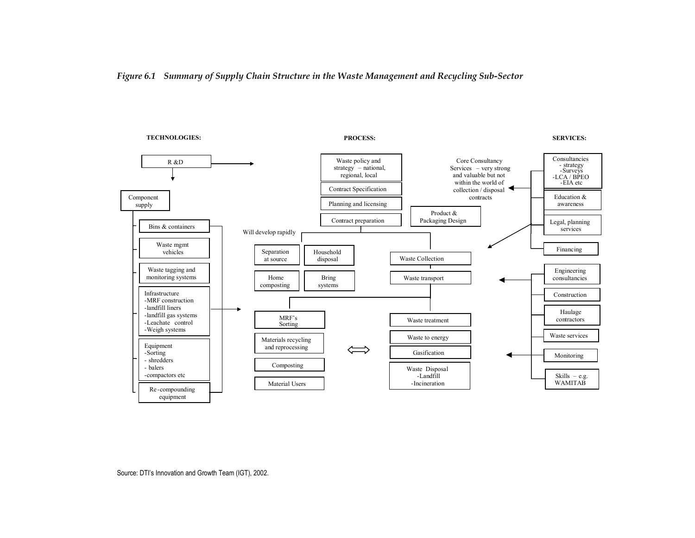*Figure 6.1 Summary of Supply Chain Structure in the Waste Management and Recycling Sub-Sector* 

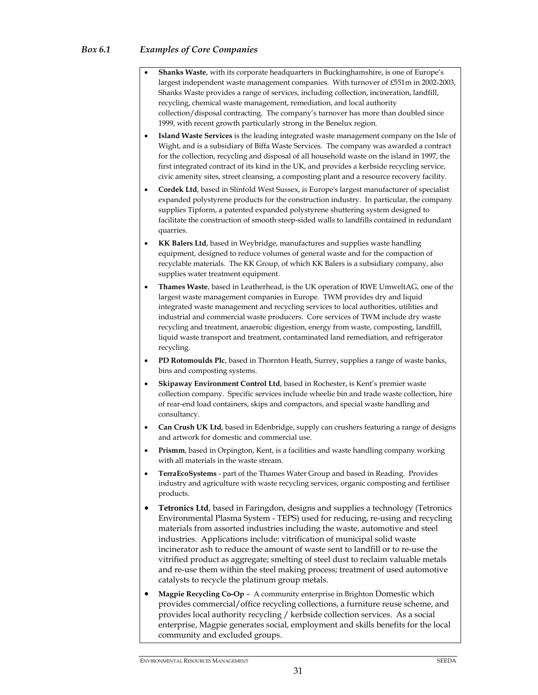- **Shanks Waste**, with its corporate headquarters in Buckinghamshire, is one of Europe's largest independent waste management companies. With turnover of £551m in 2002-2003, Shanks Waste provides a range of services, including collection, incineration, landfill, recycling, chemical waste management, remediation, and local authority collection/disposal contracting. The company's turnover has more than doubled since 1999, with recent growth particularly strong in the Benelux region.
- **Island Waste Services** is the leading integrated waste management company on the Isle of Wight, and is a subsidiary of Biffa Waste Services. The company was awarded a contract for the collection, recycling and disposal of all household waste on the island in 1997, the first integrated contract of its kind in the UK, and provides a kerbside recycling service, civic amenity sites, street cleansing, a composting plant and a resource recovery facility.
- **Cordek Ltd**, based in Slinfold West Sussex, is Europe's largest manufacturer of specialist expanded polystyrene products for the construction industry. In particular, the company supplies Tipform, a patented expanded polystyrene shuttering system designed to facilitate the construction of smooth steep-sided walls to landfills contained in redundant quarries.
- **KK Balers Ltd**, based in Weybridge, manufactures and supplies waste handling equipment, designed to reduce volumes of general waste and for the compaction of recyclable materials. The KK Group, of which KK Balers is a subsidiary company, also supplies water treatment equipment.
- **Thames Waste**, based in Leatherhead, is the UK operation of RWE UmweltAG, one of the largest waste management companies in Europe. TWM provides dry and liquid integrated waste management and recycling services to local authorities, utilities and industrial and commercial waste producers. Core services of TWM include dry waste recycling and treatment, anaerobic digestion, energy from waste, composting, landfill, liquid waste transport and treatment, contaminated land remediation, and refrigerator recycling.
- **PD Rotomoulds Plc**, based in Thornton Heath, Surrey, supplies a range of waste banks, bins and composting systems.
- **Skipaway Environment Control Ltd**, based in Rochester, is Kent's premier waste collection company. Specific services include wheelie bin and trade waste collection, hire of rear-end load containers, skips and compactors, and special waste handling and consultancy.
- **Can Crush UK Ltd**, based in Edenbridge, supply can crushers featuring a range of designs and artwork for domestic and commercial use.
- **Prismm**, based in Orpington, Kent, is a facilities and waste handling company working with all materials in the waste stream.
- **TerraEcoSystems** part of the Thames Water Group and based in Reading. Provides industry and agriculture with waste recycling services, organic composting and fertiliser products.
- **Tetronics Ltd**, based in Faringdon, designs and supplies a technology (Tetronics Environmental Plasma System - TEPS) used for reducing, re-using and recycling materials from assorted industries including the waste, automotive and steel industries. Applications include: vitrification of municipal solid waste incinerator ash to reduce the amount of waste sent to landfill or to re-use the vitrified product as aggregate; smelting of steel dust to reclaim valuable metals and re-use them within the steel making process; treatment of used automotive catalysts to recycle the platinum group metals.
- **Magpie Recycling Co-Op**  A community enterprise in Brighton Domestic which provides commercial/office recycling collections, a furniture reuse scheme, and provides local authority recycling / kerbside collection services. As a social enterprise, Magpie generates social, employment and skills benefits for the local community and excluded groups.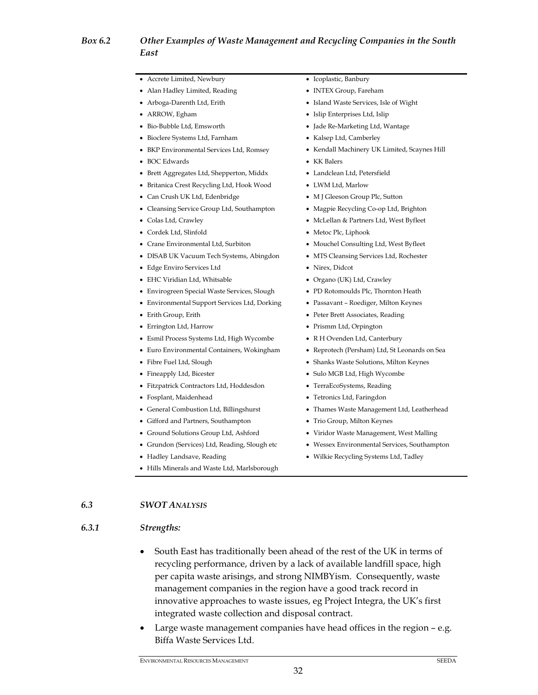# *Box 6.2 Other Examples of Waste Management and Recycling Companies in the South East*

- Accrete Limited, Newbury
- Alan Hadley Limited, Reading
- Arboga-Darenth Ltd, Erith
- ARROW, Egham
- Bio-Bubble Ltd, Emsworth
- Bioclere Systems Ltd, Farnham
- BKP Environmental Services Ltd, Romsey
- BOC Edwards
- Brett Aggregates Ltd, Shepperton, Middx
- Britanica Crest Recycling Ltd, Hook Wood
- Can Crush UK Ltd, Edenbridge
- Cleansing Service Group Ltd, Southampton
- Colas Ltd, Crawley
- Cordek Ltd, Slinfold
- Crane Environmental Ltd, Surbiton
- DISAB UK Vacuum Tech Systems, Abingdon
- Edge Enviro Services Ltd
- EHC Viridian Ltd, Whitsable
- Envirogreen Special Waste Services, Slough
- Environmental Support Services Ltd, Dorking
- Erith Group, Erith
- Errington Ltd, Harrow
- Esmil Process Systems Ltd, High Wycombe
- Euro Environmental Containers, Wokingham
- Fibre Fuel Ltd, Slough
- Fineapply Ltd, Bicester
- Fitzpatrick Contractors Ltd, Hoddesdon
- Fosplant, Maidenhead
- General Combustion Ltd, Billingshurst
- Gifford and Partners, Southampton
- Ground Solutions Group Ltd, Ashford
- Grundon (Services) Ltd, Reading, Slough etc
- Hadley Landsave, Reading
- Hills Minerals and Waste Ltd, Marlsborough
- Icoplastic, Banbury
- INTEX Group, Fareham
- Island Waste Services, Isle of Wight
- Islip Enterprises Ltd, Islip
- Jade Re-Marketing Ltd, Wantage
- Kalsep Ltd, Camberley
- Kendall Machinery UK Limited, Scaynes Hill
- KK Balers
- Landclean Ltd, Petersfield
- LWM Ltd, Marlow
- M J Gleeson Group Plc, Sutton
- Magpie Recycling Co-op Ltd, Brighton
- McLellan & Partners Ltd, West Byfleet
- Metoc Plc, Liphook
- Mouchel Consulting Ltd, West Byfleet
- MTS Cleansing Services Ltd, Rochester
- Nirex, Didcot
- Organo (UK) Ltd, Crawley
- PD Rotomoulds Plc, Thornton Heath
- Passavant Roediger, Milton Keynes
- Peter Brett Associates, Reading
- Prismm Ltd, Orpington
- R H Ovenden Ltd, Canterbury
- Reprotech (Persham) Ltd, St Leonards on Sea
- Shanks Waste Solutions, Milton Keynes
- Sulo MGB Ltd, High Wycombe
- TerraEcoSystems, Reading
- Tetronics Ltd, Faringdon
- Thames Waste Management Ltd, Leatherhead
- Trio Group, Milton Keynes
- Viridor Waste Management, West Malling
- Wessex Environmental Services, Southampton
- Wilkie Recycling Systems Ltd, Tadley

#### *6.3 SWOT ANALYSIS*

#### *6.3.1 Strengths:*

- South East has traditionally been ahead of the rest of the UK in terms of recycling performance, driven by a lack of available landfill space, high per capita waste arisings, and strong NIMBYism. Consequently, waste management companies in the region have a good track record in innovative approaches to waste issues, eg Project Integra, the UK's first integrated waste collection and disposal contract.
- Large waste management companies have head offices in the region e.g. Biffa Waste Services Ltd.

32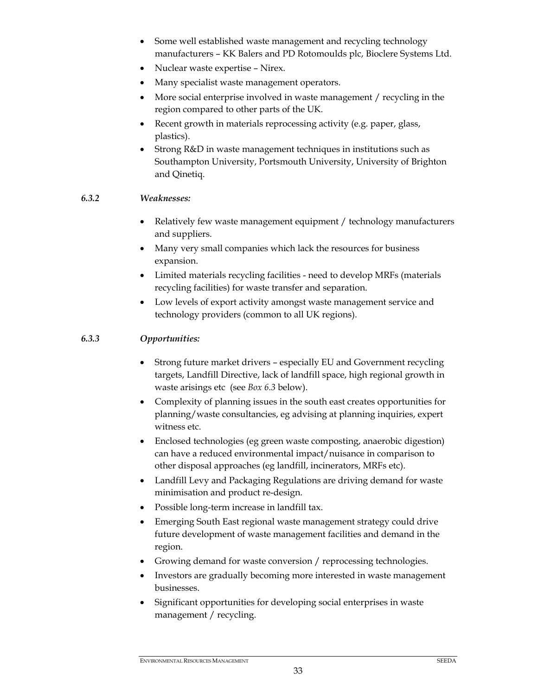- Some well established waste management and recycling technology manufacturers – KK Balers and PD Rotomoulds plc, Bioclere Systems Ltd.
- Nuclear waste expertise Nirex.
- Many specialist waste management operators.
- More social enterprise involved in waste management / recycling in the region compared to other parts of the UK.
- Recent growth in materials reprocessing activity (e.g. paper, glass, plastics).
- Strong R&D in waste management techniques in institutions such as Southampton University, Portsmouth University, University of Brighton and Qinetiq.

#### *6.3.2 Weaknesses:*

- Relatively few waste management equipment / technology manufacturers and suppliers.
- Many very small companies which lack the resources for business expansion.
- Limited materials recycling facilities need to develop MRFs (materials recycling facilities) for waste transfer and separation.
- Low levels of export activity amongst waste management service and technology providers (common to all UK regions).

## *6.3.3 Opportunities:*

- Strong future market drivers especially EU and Government recycling targets, Landfill Directive, lack of landfill space, high regional growth in waste arisings etc (see *Box 6.3* below).
- Complexity of planning issues in the south east creates opportunities for planning/waste consultancies, eg advising at planning inquiries, expert witness etc.
- Enclosed technologies (eg green waste composting, anaerobic digestion) can have a reduced environmental impact/nuisance in comparison to other disposal approaches (eg landfill, incinerators, MRFs etc).
- Landfill Levy and Packaging Regulations are driving demand for waste minimisation and product re-design.
- Possible long-term increase in landfill tax.
- Emerging South East regional waste management strategy could drive future development of waste management facilities and demand in the region.
- Growing demand for waste conversion / reprocessing technologies.
- Investors are gradually becoming more interested in waste management businesses.
- Significant opportunities for developing social enterprises in waste management / recycling.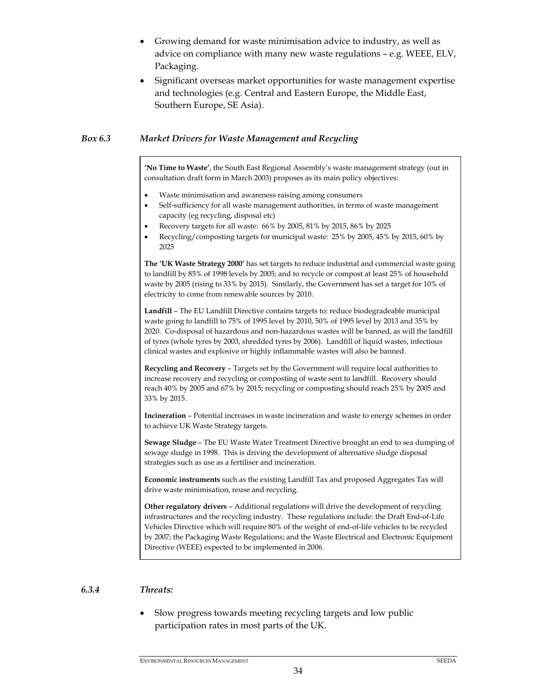- Growing demand for waste minimisation advice to industry, as well as advice on compliance with many new waste regulations – e.g. WEEE, ELV, Packaging.
- Significant overseas market opportunities for waste management expertise and technologies (e.g. Central and Eastern Europe, the Middle East, Southern Europe, SE Asia).

## *Box 6.3 Market Drivers for Waste Management and Recycling*

**'No Time to Waste'**, the South East Regional Assembly's waste management strategy (out in consultation draft form in March 2003) proposes as its main policy objectives:

- Waste minimisation and awareness raising among consumers
- Self-sufficiency for all waste management authorities, in terms of waste management capacity (eg recycling, disposal etc)
- Recovery targets for all waste: 66% by 2005, 81% by 2015, 86% by 2025
- Recycling/composting targets for municipal waste: 25% by 2005, 45% by 2015, 60% by 2025

**The 'UK Waste Strategy 2000'** has set targets to reduce industrial and commercial waste going to landfill by 85% of 1998 levels by 2005; and to recycle or compost at least 25% of household waste by 2005 (rising to 33% by 2015). Similarly, the Government has set a target for 10% of electricity to come from renewable sources by 2010.

**Landfill** – The EU Landfill Directive contains targets to: reduce biodegradeable municipal waste going to landfill to 75% of 1995 level by 2010, 50% of 1995 level by 2013 and 35% by 2020. Co-disposal of hazardous and non-hazardous wastes will be banned, as will the landfill of tyres (whole tyres by 2003, shredded tyres by 2006). Landfill of liquid wastes, infectious clinical wastes and explosive or highly inflammable wastes will also be banned.

**Recycling and Recovery** – Targets set by the Government will require local authorities to increase recovery and recycling or composting of waste sent to landfill. Recovery should reach 40% by 2005 and 67% by 2015; recycling or composting should reach 25% by 2005 and 33% by 2015.

**Incineration** – Potential increases in waste incineration and waste to energy schemes in order to achieve UK Waste Strategy targets.

**Sewage Sludge** – The EU Waste Water Treatment Directive brought an end to sea dumping of sewage sludge in 1998. This is driving the development of alternative sludge disposal strategies such as use as a fertiliser and incineration.

**Economic instruments** such as the existing Landfill Tax and proposed Aggregates Tax will drive waste minimisation, reuse and recycling.

**Other regulatory drivers** – Additional regulations will drive the development of recycling infrastructures and the recycling industry. These regulations include: the Draft End-of-Life Vehicles Directive which will require 80% of the weight of end-of-life vehicles to be recycled by 2007; the Packaging Waste Regulations; and the Waste Electrical and Electronic Equipment Directive (WEEE) expected to be implemented in 2006.

#### *6.3.4 Threats:*

• Slow progress towards meeting recycling targets and low public participation rates in most parts of the UK.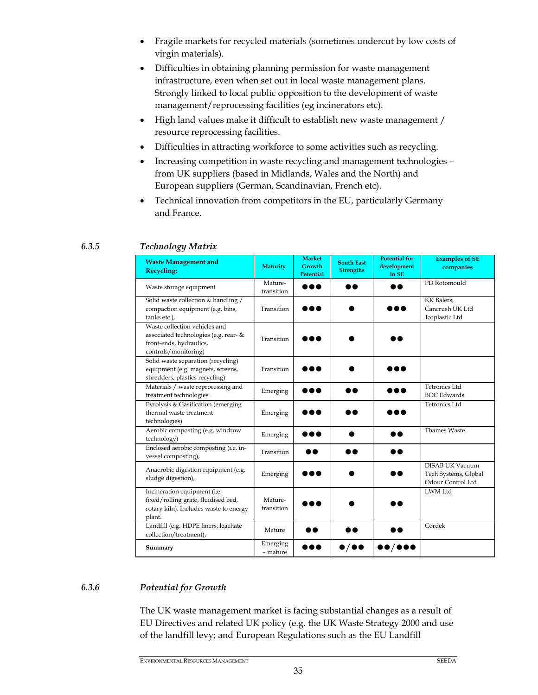- Fragile markets for recycled materials (sometimes undercut by low costs of virgin materials).
- Difficulties in obtaining planning permission for waste management infrastructure, even when set out in local waste management plans. Strongly linked to local public opposition to the development of waste management/reprocessing facilities (eg incinerators etc).
- High land values make it difficult to establish new waste management / resource reprocessing facilities.
- Difficulties in attracting workforce to some activities such as recycling.
- Increasing competition in waste recycling and management technologies from UK suppliers (based in Midlands, Wales and the North) and European suppliers (German, Scandinavian, French etc).
- Technical innovation from competitors in the EU, particularly Germany and France.

| <b>Waste Management and</b><br><b>Recycling:</b>                                                                          | <b>Maturity</b>       | <b>Market</b><br>Growth<br>Potential | <b>South East</b><br><b>Strengths</b> | <b>Potential for</b><br>development<br>in SE | <b>Examples of SE</b><br>companies                                  |
|---------------------------------------------------------------------------------------------------------------------------|-----------------------|--------------------------------------|---------------------------------------|----------------------------------------------|---------------------------------------------------------------------|
| Waste storage equipment                                                                                                   | Mature-<br>transition |                                      |                                       | D O                                          | PD Rotomould                                                        |
| Solid waste collection & handling /<br>compaction equipment (e.g. bins,<br>tanks etc.),                                   | Transition            |                                      |                                       |                                              | KK Balers.<br>Cancrush UK Ltd<br>Icoplastic Ltd                     |
| Waste collection vehicles and<br>associated technologies (e.g. rear- &<br>front-ends, hydraulics,<br>controls/monitoring) | Transition            | .                                    |                                       |                                              |                                                                     |
| Solid waste separation (recycling)<br>equipment (e.g. magnets, screens,<br>shredders, plastics recycling)                 | Transition            |                                      |                                       |                                              |                                                                     |
| Materials / waste reprocessing and<br>treatment technologies                                                              | Emerging              |                                      | 88                                    |                                              | Tetronics Ltd<br><b>BOC</b> Edwards                                 |
| Pyrolysis & Gasification (emerging<br>thermal waste treatment<br>technologies)                                            | Emerging              |                                      | 88                                    | .                                            | <b>Tetronics Ltd</b>                                                |
| Aerobic composting (e.g. windrow<br>technology)                                                                           | Emerging              |                                      |                                       | 88                                           | <b>Thames Waste</b>                                                 |
| Enclosed aerobic composting (i.e. in-<br>vessel composting),                                                              | Transition            | œ                                    | 88                                    | D O                                          |                                                                     |
| Anaerobic digestion equipment (e.g.<br>sludge digestion),                                                                 | Emerging              | .                                    |                                       |                                              | <b>DISAB UK Vacuum</b><br>Tech Systems, Global<br>Odour Control Ltd |
| Incineration equipment (i.e.<br>fixed/rolling grate, fluidised bed,<br>rotary kiln). Includes waste to energy<br>plant.   | Mature-<br>transition |                                      |                                       |                                              | LWM Ltd                                                             |
| Landfill (e.g. HDPE liners, leachate<br>collection/treatment),                                                            | Mature                |                                      |                                       | D O                                          | Cordek                                                              |
| Summary                                                                                                                   | Emerging<br>- mature  |                                      | $\bullet$ / $\bullet\bullet$          | ,,,,,                                        |                                                                     |

# *6.3.5 Technology Matrix*

# *6.3.6 Potential for Growth*

The UK waste management market is facing substantial changes as a result of EU Directives and related UK policy (e.g. the UK Waste Strategy 2000 and use of the landfill levy; and European Regulations such as the EU Landfill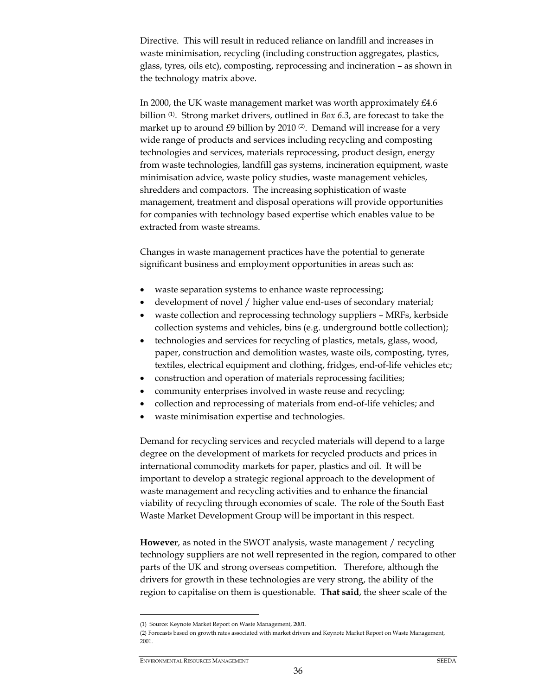Directive. This will result in reduced reliance on landfill and increases in waste minimisation, recycling (including construction aggregates, plastics, glass, tyres, oils etc), composting, reprocessing and incineration – as shown in the technology matrix above.

In 2000, the UK waste management market was worth approximately £4.6 billion (1). Strong market drivers, outlined in *Box 6.3*, are forecast to take the market up to around  $£9$  billion by 2010 $(2)$ . Demand will increase for a very wide range of products and services including recycling and composting technologies and services, materials reprocessing, product design, energy from waste technologies, landfill gas systems, incineration equipment, waste minimisation advice, waste policy studies, waste management vehicles, shredders and compactors. The increasing sophistication of waste management, treatment and disposal operations will provide opportunities for companies with technology based expertise which enables value to be extracted from waste streams.

Changes in waste management practices have the potential to generate significant business and employment opportunities in areas such as:

- waste separation systems to enhance waste reprocessing;
- development of novel / higher value end-uses of secondary material;
- waste collection and reprocessing technology suppliers MRFs, kerbside collection systems and vehicles, bins (e.g. underground bottle collection);
- technologies and services for recycling of plastics, metals, glass, wood, paper, construction and demolition wastes, waste oils, composting, tyres, textiles, electrical equipment and clothing, fridges, end-of-life vehicles etc;
- construction and operation of materials reprocessing facilities;
- community enterprises involved in waste reuse and recycling;
- collection and reprocessing of materials from end-of-life vehicles; and
- waste minimisation expertise and technologies.

Demand for recycling services and recycled materials will depend to a large degree on the development of markets for recycled products and prices in international commodity markets for paper, plastics and oil. It will be important to develop a strategic regional approach to the development of waste management and recycling activities and to enhance the financial viability of recycling through economies of scale. The role of the South East Waste Market Development Group will be important in this respect.

**However**, as noted in the SWOT analysis, waste management / recycling technology suppliers are not well represented in the region, compared to other parts of the UK and strong overseas competition. Therefore, although the drivers for growth in these technologies are very strong, the ability of the region to capitalise on them is questionable. **That said**, the sheer scale of the

-

<sup>(1)</sup> Source: Keynote Market Report on Waste Management, 2001.

<sup>(2)</sup> Forecasts based on growth rates associated with market drivers and Keynote Market Report on Waste Management, 2001.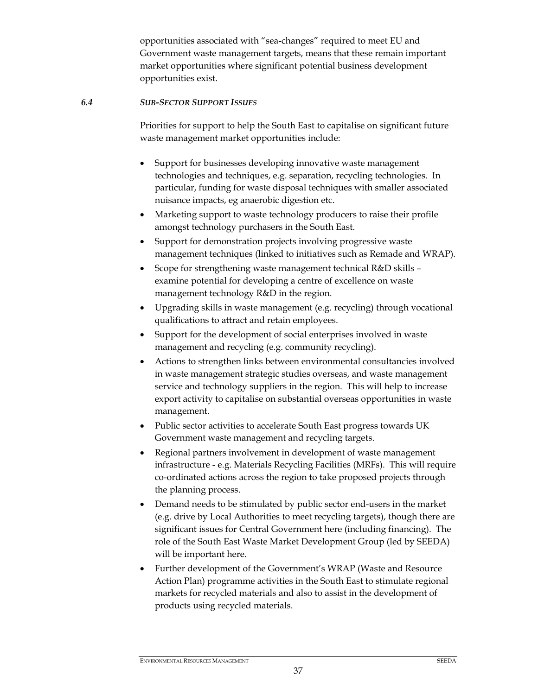opportunities associated with "sea-changes" required to meet EU and Government waste management targets, means that these remain important market opportunities where significant potential business development opportunities exist.

#### *6.4 SUB-SECTOR SUPPORT ISSUES*

Priorities for support to help the South East to capitalise on significant future waste management market opportunities include:

- Support for businesses developing innovative waste management technologies and techniques, e.g. separation, recycling technologies. In particular, funding for waste disposal techniques with smaller associated nuisance impacts, eg anaerobic digestion etc.
- Marketing support to waste technology producers to raise their profile amongst technology purchasers in the South East.
- Support for demonstration projects involving progressive waste management techniques (linked to initiatives such as Remade and WRAP).
- Scope for strengthening waste management technical R&D skills examine potential for developing a centre of excellence on waste management technology R&D in the region.
- Upgrading skills in waste management (e.g. recycling) through vocational qualifications to attract and retain employees.
- Support for the development of social enterprises involved in waste management and recycling (e.g. community recycling).
- Actions to strengthen links between environmental consultancies involved in waste management strategic studies overseas, and waste management service and technology suppliers in the region. This will help to increase export activity to capitalise on substantial overseas opportunities in waste management.
- Public sector activities to accelerate South East progress towards UK Government waste management and recycling targets.
- Regional partners involvement in development of waste management infrastructure - e.g. Materials Recycling Facilities (MRFs). This will require co-ordinated actions across the region to take proposed projects through the planning process.
- Demand needs to be stimulated by public sector end-users in the market (e.g. drive by Local Authorities to meet recycling targets), though there are significant issues for Central Government here (including financing). The role of the South East Waste Market Development Group (led by SEEDA) will be important here.
- Further development of the Government's WRAP (Waste and Resource Action Plan) programme activities in the South East to stimulate regional markets for recycled materials and also to assist in the development of products using recycled materials.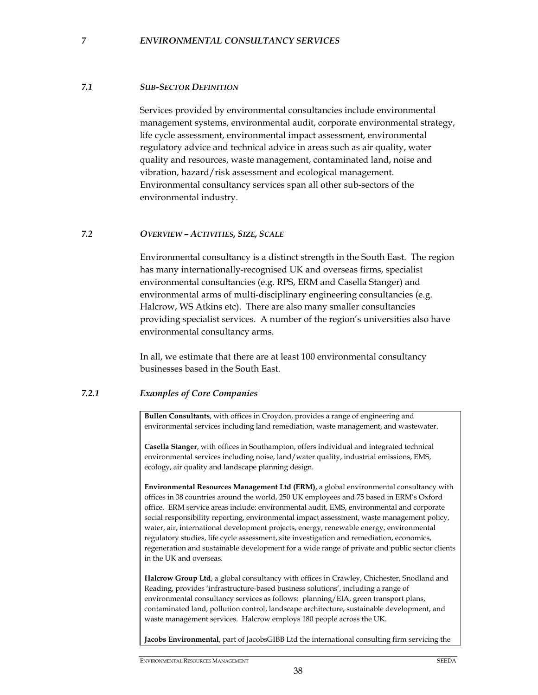#### *7 ENVIRONMENTAL CONSULTANCY SERVICES*

#### *7.1 SUB-SECTOR DEFINITION*

Services provided by environmental consultancies include environmental management systems, environmental audit, corporate environmental strategy, life cycle assessment, environmental impact assessment, environmental regulatory advice and technical advice in areas such as air quality, water quality and resources, waste management, contaminated land, noise and vibration, hazard/risk assessment and ecological management. Environmental consultancy services span all other sub-sectors of the environmental industry.

#### *7.2 OVERVIEW – ACTIVITIES, SIZE, SCALE*

Environmental consultancy is a distinct strength in the South East. The region has many internationally-recognised UK and overseas firms, specialist environmental consultancies (e.g. RPS, ERM and Casella Stanger) and environmental arms of multi-disciplinary engineering consultancies (e.g. Halcrow, WS Atkins etc). There are also many smaller consultancies providing specialist services. A number of the region's universities also have environmental consultancy arms.

In all, we estimate that there are at least 100 environmental consultancy businesses based in the South East.

#### *7.2.1 Examples of Core Companies*

**Bullen Consultants**, with offices in Croydon, provides a range of engineering and environmental services including land remediation, waste management, and wastewater.

**Casella Stanger**, with offices in Southampton, offers individual and integrated technical environmental services including noise, land/water quality, industrial emissions, EMS, ecology, air quality and landscape planning design.

**Environmental Resources Management Ltd (ERM),** a global environmental consultancy with offices in 38 countries around the world, 250 UK employees and 75 based in ERM's Oxford office. ERM service areas include: environmental audit, EMS, environmental and corporate social responsibility reporting, environmental impact assessment, waste management policy, water, air, international development projects, energy, renewable energy, environmental regulatory studies, life cycle assessment, site investigation and remediation, economics, regeneration and sustainable development for a wide range of private and public sector clients in the UK and overseas.

**Halcrow Group Ltd**, a global consultancy with offices in Crawley, Chichester, Snodland and Reading, provides 'infrastructure-based business solutions', including a range of environmental consultancy services as follows: planning/EIA, green transport plans, contaminated land, pollution control, landscape architecture, sustainable development, and waste management services. Halcrow employs 180 people across the UK.

**Jacobs Environmental**, part of JacobsGIBB Ltd the international consulting firm servicing the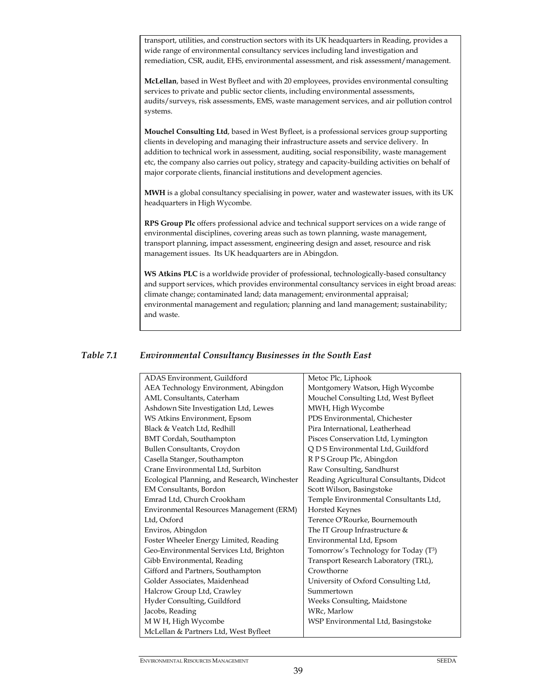transport, utilities, and construction sectors with its UK headquarters in Reading, provides a wide range of environmental consultancy services including land investigation and remediation, CSR, audit, EHS, environmental assessment, and risk assessment/management.

**McLellan**, based in West Byfleet and with 20 employees, provides environmental consulting services to private and public sector clients, including environmental assessments, audits/surveys, risk assessments, EMS, waste management services, and air pollution control systems.

**Mouchel Consulting Ltd**, based in West Byfleet, is a professional services group supporting clients in developing and managing their infrastructure assets and service delivery. In addition to technical work in assessment, auditing, social responsibility, waste management etc, the company also carries out policy, strategy and capacity-building activities on behalf of major corporate clients, financial institutions and development agencies.

**MWH** is a global consultancy specialising in power, water and wastewater issues, with its UK headquarters in High Wycombe.

**RPS Group Plc** offers professional advice and technical support services on a wide range of environmental disciplines, covering areas such as town planning, waste management, transport planning, impact assessment, engineering design and asset, resource and risk management issues. Its UK headquarters are in Abingdon.

**WS Atkins PLC** is a worldwide provider of professional, technologically-based consultancy and support services, which provides environmental consultancy services in eight broad areas: climate change; contaminated land; data management; environmental appraisal; environmental management and regulation; planning and land management; sustainability; and waste.

# *Table 7.1 Environmental Consultancy Businesses in the South East*

| ADAS Environment, Guildford                   | Metoc Plc, Liphook                       |
|-----------------------------------------------|------------------------------------------|
| AEA Technology Environment, Abingdon          | Montgomery Watson, High Wycombe          |
| AML Consultants, Caterham                     | Mouchel Consulting Ltd, West Byfleet     |
| Ashdown Site Investigation Ltd, Lewes         | MWH, High Wycombe                        |
| WS Atkins Environment, Epsom                  | PDS Environmental, Chichester            |
| Black & Veatch Ltd, Redhill                   | Pira International, Leatherhead          |
| <b>BMT Cordah, Southampton</b>                | Pisces Conservation Ltd, Lymington       |
| Bullen Consultants, Croydon                   | QDS Environmental Ltd, Guildford         |
| Casella Stanger, Southampton                  | R P S Group Plc, Abingdon                |
| Crane Environmental Ltd, Surbiton             | Raw Consulting, Sandhurst                |
| Ecological Planning, and Research, Winchester | Reading Agricultural Consultants, Didcot |
| EM Consultants, Bordon                        | Scott Wilson, Basingstoke                |
| Emrad Ltd, Church Crookham                    | Temple Environmental Consultants Ltd,    |
| Environmental Resources Management (ERM)      | <b>Horsted Keynes</b>                    |
| Ltd, Oxford                                   | Terence O'Rourke, Bournemouth            |
| Enviros, Abingdon                             | The IT Group Infrastructure &            |
| Foster Wheeler Energy Limited, Reading        | Environmental Ltd, Epsom                 |
| Geo-Environmental Services Ltd, Brighton      | Tomorrow's Technology for Today (T3)     |
| Gibb Environmental, Reading                   | Transport Research Laboratory (TRL),     |
| Gifford and Partners, Southampton             | Crowthorne                               |
| Golder Associates, Maidenhead                 | University of Oxford Consulting Ltd,     |
| Halcrow Group Ltd, Crawley                    | Summertown                               |
| Hyder Consulting, Guildford                   | Weeks Consulting, Maidstone              |
| Jacobs, Reading                               | WRc, Marlow                              |
| M W H, High Wycombe                           | WSP Environmental Ltd, Basingstoke       |
| McLellan & Partners Ltd, West Byfleet         |                                          |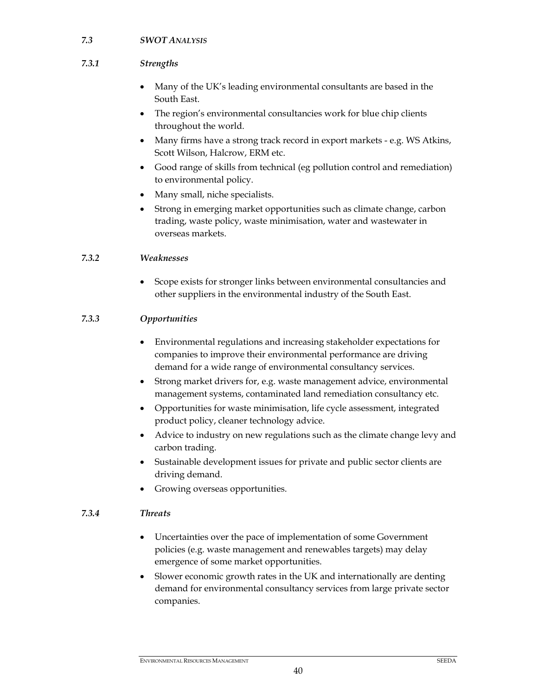## *7.3 SWOT ANALYSIS*

# *7.3.1 Strengths*

- Many of the UK's leading environmental consultants are based in the South East.
- The region's environmental consultancies work for blue chip clients throughout the world.
- Many firms have a strong track record in export markets e.g. WS Atkins, Scott Wilson, Halcrow, ERM etc.
- Good range of skills from technical (eg pollution control and remediation) to environmental policy.
- Many small, niche specialists.
- Strong in emerging market opportunities such as climate change, carbon trading, waste policy, waste minimisation, water and wastewater in overseas markets.

# *7.3.2 Weaknesses*

• Scope exists for stronger links between environmental consultancies and other suppliers in the environmental industry of the South East.

# *7.3.3 Opportunities*

- Environmental regulations and increasing stakeholder expectations for companies to improve their environmental performance are driving demand for a wide range of environmental consultancy services.
- Strong market drivers for, e.g. waste management advice, environmental management systems, contaminated land remediation consultancy etc.
- Opportunities for waste minimisation, life cycle assessment, integrated product policy, cleaner technology advice.
- Advice to industry on new regulations such as the climate change levy and carbon trading.
- Sustainable development issues for private and public sector clients are driving demand.
- Growing overseas opportunities.

# *7.3.4 Threats*

- Uncertainties over the pace of implementation of some Government policies (e.g. waste management and renewables targets) may delay emergence of some market opportunities.
- Slower economic growth rates in the UK and internationally are denting demand for environmental consultancy services from large private sector companies.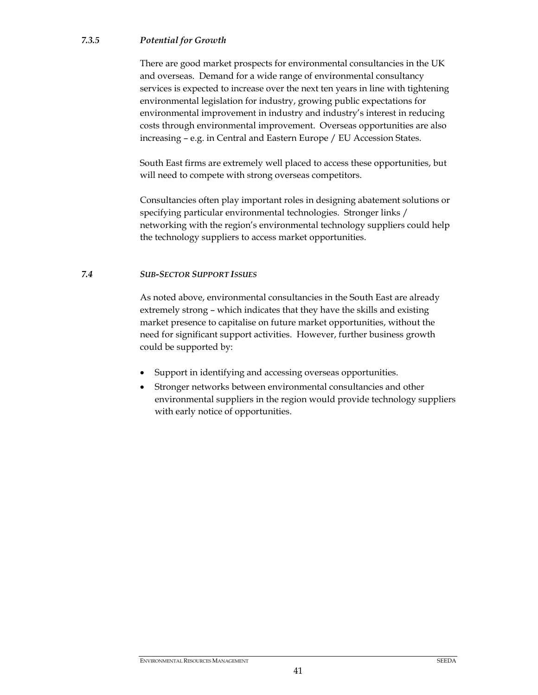## *7.3.5 Potential for Growth*

There are good market prospects for environmental consultancies in the UK and overseas. Demand for a wide range of environmental consultancy services is expected to increase over the next ten years in line with tightening environmental legislation for industry, growing public expectations for environmental improvement in industry and industry's interest in reducing costs through environmental improvement. Overseas opportunities are also increasing – e.g. in Central and Eastern Europe / EU Accession States.

South East firms are extremely well placed to access these opportunities, but will need to compete with strong overseas competitors.

Consultancies often play important roles in designing abatement solutions or specifying particular environmental technologies. Stronger links / networking with the region's environmental technology suppliers could help the technology suppliers to access market opportunities.

## *7.4 SUB-SECTOR SUPPORT ISSUES*

As noted above, environmental consultancies in the South East are already extremely strong – which indicates that they have the skills and existing market presence to capitalise on future market opportunities, without the need for significant support activities. However, further business growth could be supported by:

- Support in identifying and accessing overseas opportunities.
- Stronger networks between environmental consultancies and other environmental suppliers in the region would provide technology suppliers with early notice of opportunities.

#### **ENVIRONMENTAL RESOURCES MANAGEMENT** SEEDA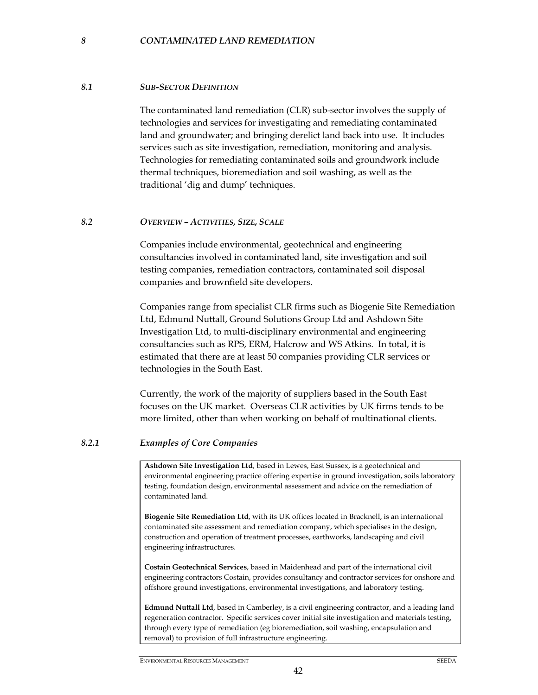#### *8 CONTAMINATED LAND REMEDIATION*

#### *8.1 SUB-SECTOR DEFINITION*

The contaminated land remediation (CLR) sub-sector involves the supply of technologies and services for investigating and remediating contaminated land and groundwater; and bringing derelict land back into use. It includes services such as site investigation, remediation, monitoring and analysis. Technologies for remediating contaminated soils and groundwork include thermal techniques, bioremediation and soil washing, as well as the traditional 'dig and dump' techniques.

#### *8.2 OVERVIEW – ACTIVITIES, SIZE, SCALE*

Companies include environmental, geotechnical and engineering consultancies involved in contaminated land, site investigation and soil testing companies, remediation contractors, contaminated soil disposal companies and brownfield site developers.

Companies range from specialist CLR firms such as Biogenie Site Remediation Ltd, Edmund Nuttall, Ground Solutions Group Ltd and Ashdown Site Investigation Ltd, to multi-disciplinary environmental and engineering consultancies such as RPS, ERM, Halcrow and WS Atkins. In total, it is estimated that there are at least 50 companies providing CLR services or technologies in the South East.

Currently, the work of the majority of suppliers based in the South East focuses on the UK market. Overseas CLR activities by UK firms tends to be more limited, other than when working on behalf of multinational clients.

#### *8.2.1 Examples of Core Companies*

**Ashdown Site Investigation Ltd**, based in Lewes, East Sussex, is a geotechnical and environmental engineering practice offering expertise in ground investigation, soils laboratory testing, foundation design, environmental assessment and advice on the remediation of contaminated land.

**Biogenie Site Remediation Ltd**, with its UK offices located in Bracknell, is an international contaminated site assessment and remediation company, which specialises in the design, construction and operation of treatment processes, earthworks, landscaping and civil engineering infrastructures.

**Costain Geotechnical Services**, based in Maidenhead and part of the international civil engineering contractors Costain, provides consultancy and contractor services for onshore and offshore ground investigations, environmental investigations, and laboratory testing.

**Edmund Nuttall Ltd**, based in Camberley, is a civil engineering contractor, and a leading land regeneration contractor. Specific services cover initial site investigation and materials testing, through every type of remediation (eg bioremediation, soil washing, encapsulation and removal) to provision of full infrastructure engineering.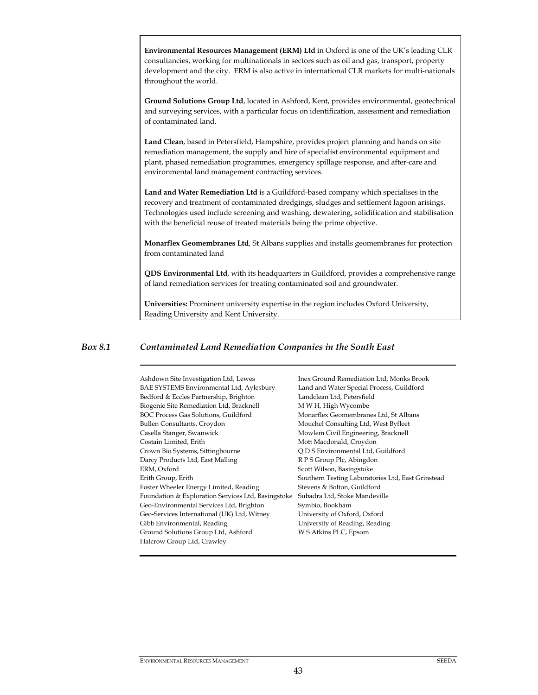**Environmental Resources Management (ERM) Ltd** in Oxford is one of the UK's leading CLR consultancies, working for multinationals in sectors such as oil and gas, transport, property development and the city. ERM is also active in international CLR markets for multi-nationals throughout the world.

**Ground Solutions Group Ltd**, located in Ashford, Kent, provides environmental, geotechnical and surveying services, with a particular focus on identification, assessment and remediation of contaminated land.

**Land Clean**, based in Petersfield, Hampshire, provides project planning and hands on site remediation management, the supply and hire of specialist environmental equipment and plant, phased remediation programmes, emergency spillage response, and after-care and environmental land management contracting services.

**Land and Water Remediation Ltd** is a Guildford-based company which specialises in the recovery and treatment of contaminated dredgings, sludges and settlement lagoon arisings. Technologies used include screening and washing, dewatering, solidification and stabilisation with the beneficial reuse of treated materials being the prime objective.

**Monarflex Geomembranes Ltd**, St Albans supplies and installs geomembranes for protection from contaminated land

**QDS Environmental Ltd**, with its headquarters in Guildford, provides a comprehensive range of land remediation services for treating contaminated soil and groundwater.

**Universities:** Prominent university expertise in the region includes Oxford University, Reading University and Kent University.

#### *Box 8.1 Contaminated Land Remediation Companies in the South East*

| Ashdown Site Investigation Ltd, Lewes              | Inex Ground Remediation Ltd, Monks Brook          |
|----------------------------------------------------|---------------------------------------------------|
| BAE SYSTEMS Environmental Ltd, Aylesbury           | Land and Water Special Process, Guildford         |
| Bedford & Eccles Partnership, Brighton             | Landclean Ltd, Petersfield                        |
| Biogenie Site Remediation Ltd, Bracknell           | M W H, High Wycombe                               |
| BOC Process Gas Solutions, Guildford               | Monarflex Geomembranes Ltd, St Albans             |
| Bullen Consultants, Croydon                        | Mouchel Consulting Ltd, West Byfleet              |
| Casella Stanger, Swanwick                          | Mowlem Civil Engineering, Bracknell               |
| Costain Limited, Erith                             | Mott Macdonald, Croydon                           |
| Crown Bio Systems, Sittingbourne                   | QDS Environmental Ltd, Guildford                  |
| Darcy Products Ltd, East Malling                   | R P S Group Plc, Abingdon                         |
| ERM, Oxford                                        | Scott Wilson, Basingstoke                         |
| Erith Group, Erith                                 | Southern Testing Laboratories Ltd, East Grinstead |
| Foster Wheeler Energy Limited, Reading             | Stevens & Bolton, Guildford                       |
| Foundation & Exploration Services Ltd, Basingstoke | Subadra Ltd, Stoke Mandeville                     |
| Geo-Environmental Services Ltd, Brighton           | Symbio, Bookham                                   |
| Geo-Services International (UK) Ltd, Witney        | University of Oxford, Oxford                      |
| Gibb Environmental, Reading                        | University of Reading, Reading                    |
| Ground Solutions Group Ltd, Ashford                | W S Atkins PLC, Epsom                             |
| Halcrow Group Ltd, Crawley                         |                                                   |
|                                                    |                                                   |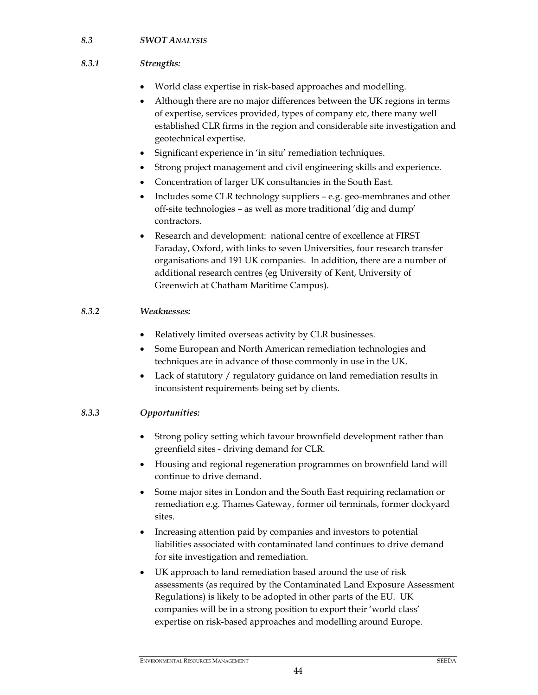## *8.3 SWOT ANALYSIS*

# *8.3.1 Strengths:*

- World class expertise in risk-based approaches and modelling.
- Although there are no major differences between the UK regions in terms of expertise, services provided, types of company etc, there many well established CLR firms in the region and considerable site investigation and geotechnical expertise.
- Significant experience in 'in situ' remediation techniques.
- Strong project management and civil engineering skills and experience.
- Concentration of larger UK consultancies in the South East.
- Includes some CLR technology suppliers e.g. geo-membranes and other off-site technologies – as well as more traditional 'dig and dump' contractors.
- Research and development: national centre of excellence at FIRST Faraday, Oxford, with links to seven Universities, four research transfer organisations and 191 UK companies. In addition, there are a number of additional research centres (eg University of Kent, University of Greenwich at Chatham Maritime Campus).

# *8.3.2 Weaknesses:*

- Relatively limited overseas activity by CLR businesses.
- Some European and North American remediation technologies and techniques are in advance of those commonly in use in the UK.
- Lack of statutory / regulatory guidance on land remediation results in inconsistent requirements being set by clients.

# *8.3.3 Opportunities:*

- Strong policy setting which favour brownfield development rather than greenfield sites - driving demand for CLR.
- Housing and regional regeneration programmes on brownfield land will continue to drive demand.
- Some major sites in London and the South East requiring reclamation or remediation e.g. Thames Gateway, former oil terminals, former dockyard sites.
- Increasing attention paid by companies and investors to potential liabilities associated with contaminated land continues to drive demand for site investigation and remediation.
- UK approach to land remediation based around the use of risk assessments (as required by the Contaminated Land Exposure Assessment Regulations) is likely to be adopted in other parts of the EU. UK companies will be in a strong position to export their 'world class' expertise on risk-based approaches and modelling around Europe.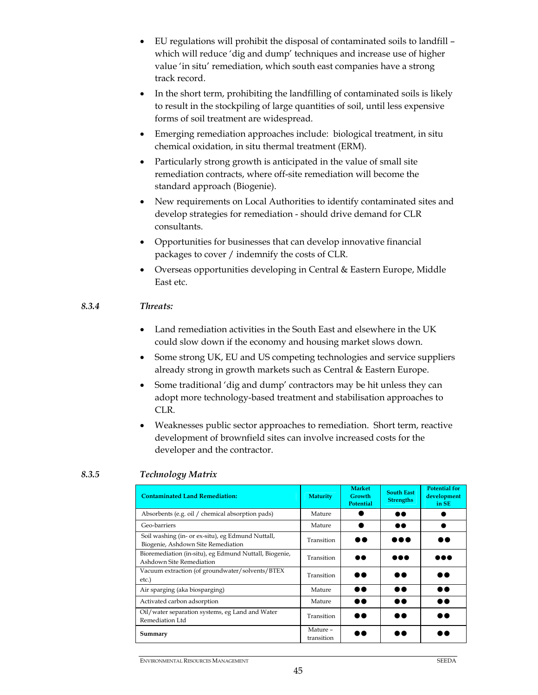- EU regulations will prohibit the disposal of contaminated soils to landfill which will reduce 'dig and dump' techniques and increase use of higher value 'in situ' remediation, which south east companies have a strong track record.
- In the short term, prohibiting the landfilling of contaminated soils is likely to result in the stockpiling of large quantities of soil, until less expensive forms of soil treatment are widespread.
- Emerging remediation approaches include: biological treatment, in situ chemical oxidation, in situ thermal treatment (ERM).
- Particularly strong growth is anticipated in the value of small site remediation contracts, where off-site remediation will become the standard approach (Biogenie).
- New requirements on Local Authorities to identify contaminated sites and develop strategies for remediation - should drive demand for CLR consultants.
- Opportunities for businesses that can develop innovative financial packages to cover / indemnify the costs of CLR.
- Overseas opportunities developing in Central & Eastern Europe, Middle East etc.

# *8.3.4 Threats:*

- Land remediation activities in the South East and elsewhere in the UK could slow down if the economy and housing market slows down.
- Some strong UK, EU and US competing technologies and service suppliers already strong in growth markets such as Central & Eastern Europe.
- Some traditional 'dig and dump' contractors may be hit unless they can adopt more technology-based treatment and stabilisation approaches to CLR.
- Weaknesses public sector approaches to remediation. Short term, reactive development of brownfield sites can involve increased costs for the developer and the contractor.

| <b>Contaminated Land Remediation:</b>                                                   | <b>Maturity</b>        | <b>Market</b><br>Growth<br>Potential | <b>South East</b><br><b>Strengths</b> | <b>Potential for</b><br>development<br>in SE |
|-----------------------------------------------------------------------------------------|------------------------|--------------------------------------|---------------------------------------|----------------------------------------------|
| Absorbents (e.g. oil / chemical absorption pads)                                        | Mature                 |                                      | $\bullet\bullet$                      |                                              |
| Geo-barriers                                                                            | Mature                 |                                      | $\bullet\bullet$                      |                                              |
| Soil washing (in- or ex-situ), eg Edmund Nuttall,<br>Biogenie, Ashdown Site Remediation | Transition             | a a                                  |                                       | D O                                          |
| Bioremediation (in-situ), eg Edmund Nuttall, Biogenie,<br>Ashdown Site Remediation      | Transition             | 88                                   |                                       | $\bullet\bullet\bullet$                      |
| Vacuum extraction (of groundwater/solvents/BTEX<br>etc.)                                | Transition             | 90                                   |                                       | a o                                          |
| Air sparging (aka biosparging)                                                          | Mature                 |                                      |                                       |                                              |
| Activated carbon adsorption                                                             | Mature                 |                                      | $\bullet\bullet$                      | $\bullet\bullet$                             |
| Oil/water separation systems, eg Land and Water<br>Remediation Ltd                      | Transition             | 88                                   |                                       | n a                                          |
| Summary                                                                                 | Mature -<br>transition | 88                                   | D A                                   |                                              |

# *8.3.5 Technology Matrix*

ENVIRONMENTAL RESOURCES MANAGEMENT SEEDA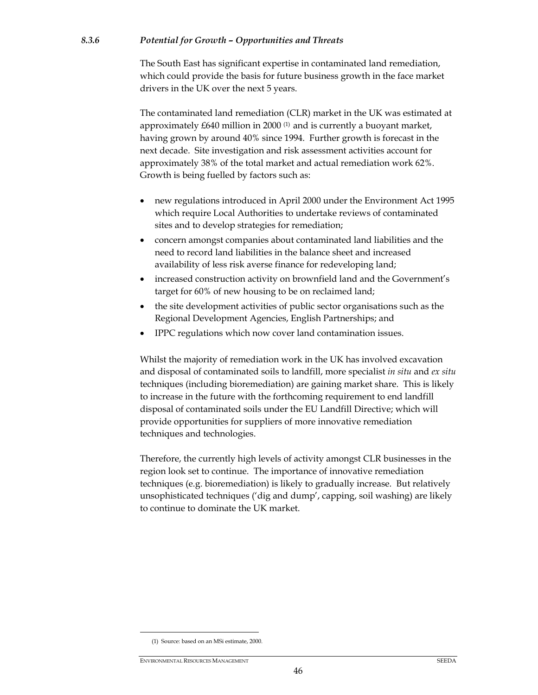#### *8.3.6 Potential for Growth – Opportunities and Threats*

The South East has significant expertise in contaminated land remediation, which could provide the basis for future business growth in the face market drivers in the UK over the next 5 years.

The contaminated land remediation (CLR) market in the UK was estimated at approximately £640 million in 2000 (1) and is currently a buoyant market, having grown by around 40% since 1994. Further growth is forecast in the next decade. Site investigation and risk assessment activities account for approximately 38% of the total market and actual remediation work 62%. Growth is being fuelled by factors such as:

- new regulations introduced in April 2000 under the Environment Act 1995 which require Local Authorities to undertake reviews of contaminated sites and to develop strategies for remediation;
- concern amongst companies about contaminated land liabilities and the need to record land liabilities in the balance sheet and increased availability of less risk averse finance for redeveloping land;
- increased construction activity on brownfield land and the Government's target for 60% of new housing to be on reclaimed land;
- the site development activities of public sector organisations such as the Regional Development Agencies, English Partnerships; and
- IPPC regulations which now cover land contamination issues.

Whilst the majority of remediation work in the UK has involved excavation and disposal of contaminated soils to landfill, more specialist *in situ* and *ex situ*  techniques (including bioremediation) are gaining market share. This is likely to increase in the future with the forthcoming requirement to end landfill disposal of contaminated soils under the EU Landfill Directive; which will provide opportunities for suppliers of more innovative remediation techniques and technologies.

Therefore, the currently high levels of activity amongst CLR businesses in the region look set to continue. The importance of innovative remediation techniques (e.g. bioremediation) is likely to gradually increase. But relatively unsophisticated techniques ('dig and dump', capping, soil washing) are likely to continue to dominate the UK market.

-

<sup>(1)</sup> Source: based on an MSi estimate, 2000.

ENVIRONMENTAL RESOURCES MANAGEMENT SEEDA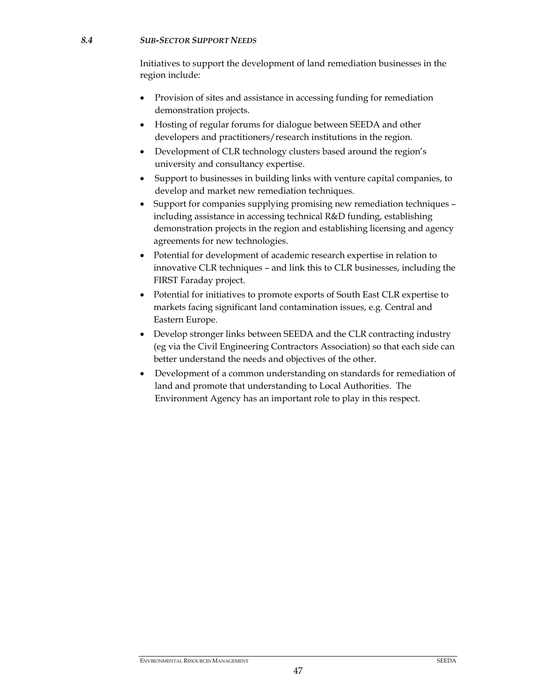#### *8.4 SUB-SECTOR SUPPORT NEEDS*

Initiatives to support the development of land remediation businesses in the region include:

- Provision of sites and assistance in accessing funding for remediation demonstration projects.
- Hosting of regular forums for dialogue between SEEDA and other developers and practitioners/research institutions in the region.
- Development of CLR technology clusters based around the region's university and consultancy expertise.
- Support to businesses in building links with venture capital companies, to develop and market new remediation techniques.
- Support for companies supplying promising new remediation techniques including assistance in accessing technical R&D funding, establishing demonstration projects in the region and establishing licensing and agency agreements for new technologies.
- Potential for development of academic research expertise in relation to innovative CLR techniques – and link this to CLR businesses, including the FIRST Faraday project.
- Potential for initiatives to promote exports of South East CLR expertise to markets facing significant land contamination issues, e.g. Central and Eastern Europe.
- Develop stronger links between SEEDA and the CLR contracting industry (eg via the Civil Engineering Contractors Association) so that each side can better understand the needs and objectives of the other.
- Development of a common understanding on standards for remediation of land and promote that understanding to Local Authorities. The Environment Agency has an important role to play in this respect.

#### **ENVIRONMENTAL RESOURCES MANAGEMENT** SEEDA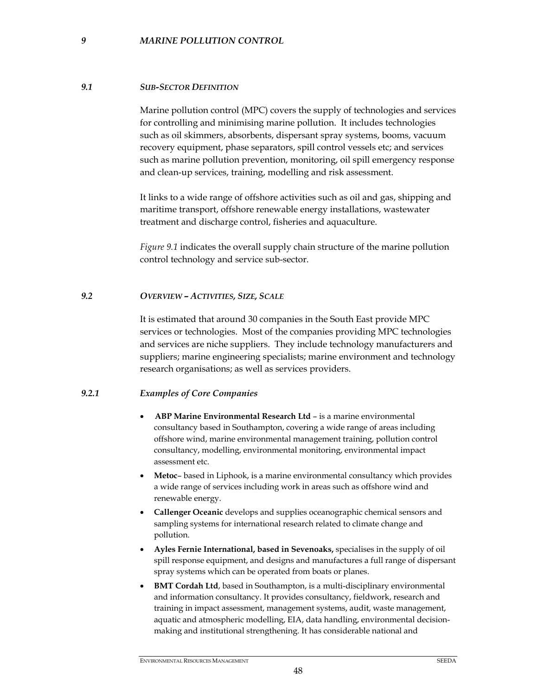#### *9 MARINE POLLUTION CONTROL*

#### *9.1 SUB-SECTOR DEFINITION*

Marine pollution control (MPC) covers the supply of technologies and services for controlling and minimising marine pollution. It includes technologies such as oil skimmers, absorbents, dispersant spray systems, booms, vacuum recovery equipment, phase separators, spill control vessels etc; and services such as marine pollution prevention, monitoring, oil spill emergency response and clean-up services, training, modelling and risk assessment.

It links to a wide range of offshore activities such as oil and gas, shipping and maritime transport, offshore renewable energy installations, wastewater treatment and discharge control, fisheries and aquaculture.

*Figure 9.1* indicates the overall supply chain structure of the marine pollution control technology and service sub-sector.

#### *9.2 OVERVIEW – ACTIVITIES, SIZE, SCALE*

It is estimated that around 30 companies in the South East provide MPC services or technologies. Most of the companies providing MPC technologies and services are niche suppliers. They include technology manufacturers and suppliers; marine engineering specialists; marine environment and technology research organisations; as well as services providers.

## *9.2.1 Examples of Core Companies*

- **ABP Marine Environmental Research Ltd**  is a marine environmental consultancy based in Southampton, covering a wide range of areas including offshore wind, marine environmental management training, pollution control consultancy, modelling, environmental monitoring, environmental impact assessment etc.
- **Metoc** based in Liphook, is a marine environmental consultancy which provides a wide range of services including work in areas such as offshore wind and renewable energy.
- **Callenger Oceanic** develops and supplies oceanographic chemical sensors and sampling systems for international research related to climate change and pollution.
- **Ayles Fernie International, based in Sevenoaks,** specialises in the supply of oil spill response equipment, and designs and manufactures a full range of dispersant spray systems which can be operated from boats or planes.
- **BMT Cordah Ltd**, based in Southampton, is a multi-disciplinary environmental and information consultancy. It provides consultancy, fieldwork, research and training in impact assessment, management systems, audit, waste management, aquatic and atmospheric modelling, EIA, data handling, environmental decisionmaking and institutional strengthening. It has considerable national and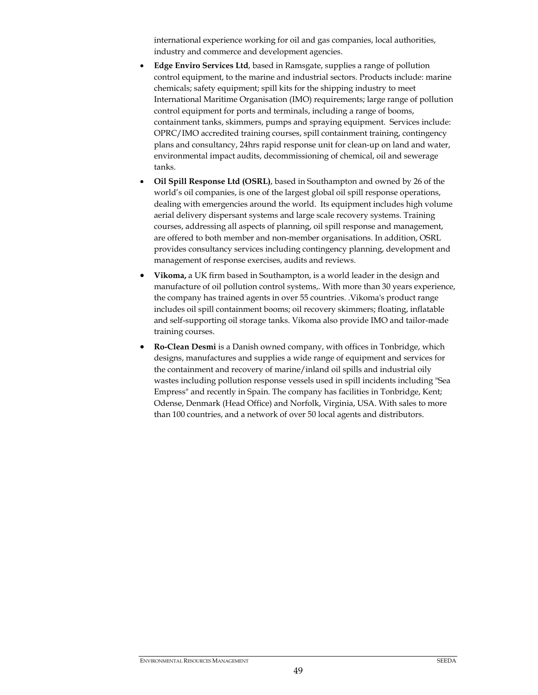international experience working for oil and gas companies, local authorities, industry and commerce and development agencies.

- **Edge Enviro Services Ltd**, based in Ramsgate, supplies a range of pollution control equipment, to the marine and industrial sectors. Products include: marine chemicals; safety equipment; spill kits for the shipping industry to meet International Maritime Organisation (IMO) requirements; large range of pollution control equipment for ports and terminals, including a range of booms, containment tanks, skimmers, pumps and spraying equipment. Services include: OPRC/IMO accredited training courses, spill containment training, contingency plans and consultancy, 24hrs rapid response unit for clean-up on land and water, environmental impact audits, decommissioning of chemical, oil and sewerage tanks.
- **Oil Spill Response Ltd (OSRL)**, based in Southampton and owned by 26 of the world's oil companies, is one of the largest global oil spill response operations, dealing with emergencies around the world. Its equipment includes high volume aerial delivery dispersant systems and large scale recovery systems. Training courses, addressing all aspects of planning, oil spill response and management, are offered to both member and non-member organisations. In addition, OSRL provides consultancy services including contingency planning, development and management of response exercises, audits and reviews.
- **Vikoma,** a UK firm based in Southampton, is a world leader in the design and manufacture of oil pollution control systems,. With more than 30 years experience, the company has trained agents in over 55 countries. .Vikoma's product range includes oil spill containment booms; oil recovery skimmers; floating, inflatable and self-supporting oil storage tanks. Vikoma also provide IMO and tailor-made training courses.
- **Ro-Clean Desmi** is a Danish owned company, with offices in Tonbridge, which designs, manufactures and supplies a wide range of equipment and services for the containment and recovery of marine/inland oil spills and industrial oily wastes including pollution response vessels used in spill incidents including "Sea Empress" and recently in Spain. The company has facilities in Tonbridge, Kent; Odense, Denmark (Head Office) and Norfolk, Virginia, USA. With sales to more than 100 countries, and a network of over 50 local agents and distributors.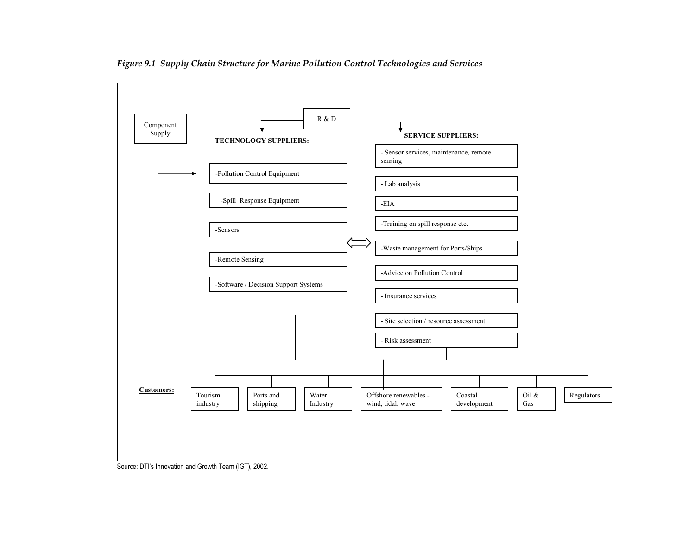

*Figure 9.1 Supply Chain Structure for Marine Pollution Control Technologies and Services* 

Source: DTI's Innovation and Growth Team (IGT), 2002.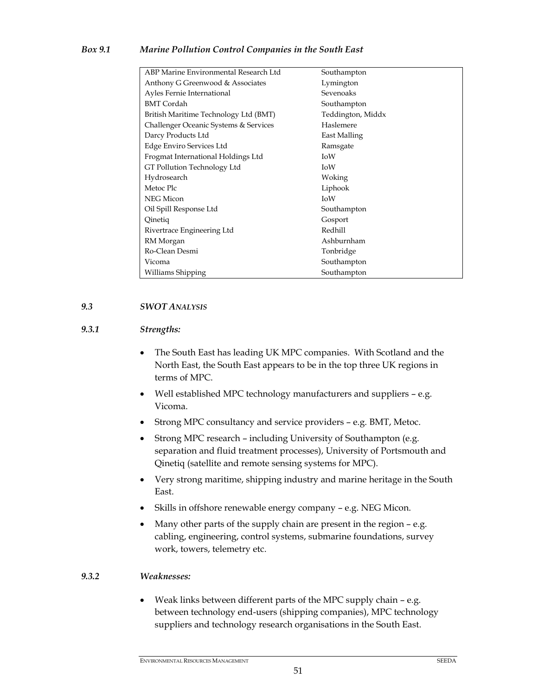## *Box 9.1 Marine Pollution Control Companies in the South East*

| ABP Marine Environmental Research Ltd | Southampton       |
|---------------------------------------|-------------------|
| Anthony G Greenwood & Associates      | Lymington         |
| Ayles Fernie International            | Sevenoaks         |
| <b>BMT</b> Cordah                     | Southampton       |
| British Maritime Technology Ltd (BMT) | Teddington, Middx |
| Challenger Oceanic Systems & Services | Haslemere         |
| Darcy Products Ltd                    | East Malling      |
| Edge Enviro Services Ltd              | Ramsgate          |
| Frogmat International Holdings Ltd    | IoW               |
| GT Pollution Technology Ltd           | IoW               |
| Hydrosearch                           | Woking            |
| Metoc Plc                             | Liphook           |
| <b>NEG Micon</b>                      | <b>IoW</b>        |
| Oil Spill Response Ltd                | Southampton       |
| Qinetiq                               | Gosport           |
| Rivertrace Engineering Ltd            | Redhill           |
| RM Morgan                             | Ashburnham        |
| Ro-Clean Desmi                        | Tonbridge         |
| Vicoma                                | Southampton       |
| Williams Shipping                     | Southampton       |

#### *9.3 SWOT ANALYSIS*

## *9.3.1 Strengths:*

- The South East has leading UK MPC companies. With Scotland and the North East, the South East appears to be in the top three UK regions in terms of MPC.
- Well established MPC technology manufacturers and suppliers e.g. Vicoma.
- Strong MPC consultancy and service providers e.g. BMT, Metoc.
- Strong MPC research including University of Southampton (e.g. separation and fluid treatment processes), University of Portsmouth and Qinetiq (satellite and remote sensing systems for MPC).
- Very strong maritime, shipping industry and marine heritage in the South East.
- Skills in offshore renewable energy company e.g. NEG Micon.
- Many other parts of the supply chain are present in the region e.g. cabling, engineering, control systems, submarine foundations, survey work, towers, telemetry etc.

#### *9.3.2 Weaknesses:*

• Weak links between different parts of the MPC supply chain – e.g. between technology end-users (shipping companies), MPC technology suppliers and technology research organisations in the South East.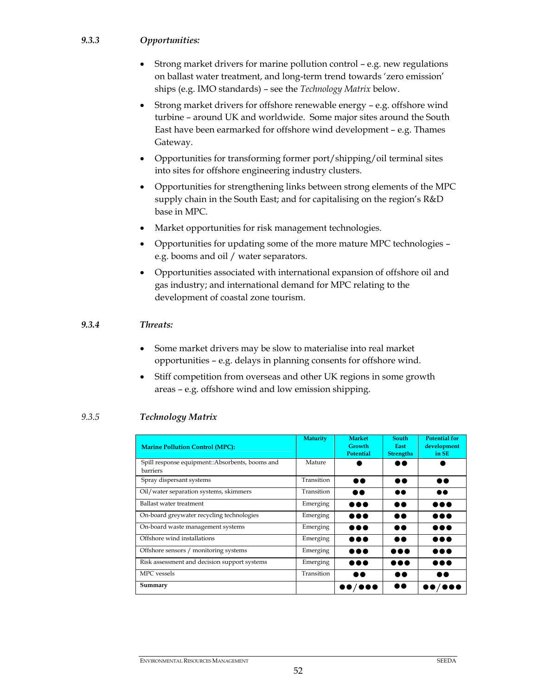- Strong market drivers for marine pollution control e.g. new regulations on ballast water treatment, and long-term trend towards 'zero emission' ships (e.g. IMO standards) – see the *Technology Matrix* below.
- Strong market drivers for offshore renewable energy e.g. offshore wind turbine – around UK and worldwide. Some major sites around the South East have been earmarked for offshore wind development – e.g. Thames Gateway.
- Opportunities for transforming former port/shipping/oil terminal sites into sites for offshore engineering industry clusters.
- Opportunities for strengthening links between strong elements of the MPC supply chain in the South East; and for capitalising on the region's R&D base in MPC.
- Market opportunities for risk management technologies.
- Opportunities for updating some of the more mature MPC technologies e.g. booms and oil / water separators.
- Opportunities associated with international expansion of offshore oil and gas industry; and international demand for MPC relating to the development of coastal zone tourism.

# *9.3.4 Threats:*

- Some market drivers may be slow to materialise into real market opportunities – e.g. delays in planning consents for offshore wind.
- Stiff competition from overseas and other UK regions in some growth areas – e.g. offshore wind and low emission shipping.

# *9.3.5 Technology Matrix*

| <b>Marine Pollution Control (MPC):</b>                      | <b>Maturity</b> | <b>Market</b><br>Growth<br><b>Potential</b> | <b>South</b><br><b>East</b><br><b>Strengths</b> | <b>Potential for</b><br>development<br>in SE |
|-------------------------------------------------------------|-----------------|---------------------------------------------|-------------------------------------------------|----------------------------------------------|
| Spill response equipment::Absorbents, booms and<br>barriers | Mature          |                                             | D O                                             |                                              |
| Spray dispersant systems                                    | Transition      |                                             | $\bullet\bullet$                                |                                              |
| Oil/water separation systems, skimmers                      | Transition      | $\bullet\bullet$                            | $\bullet\bullet$                                | $\bullet\bullet$                             |
| Ballast water treatment                                     | Emerging        | $\bullet\bullet\bullet$                     | $\bullet\bullet$                                |                                              |
| On-board greywater recycling technologies                   | Emerging        | $\bullet\bullet\bullet$                     | $\bullet\bullet$                                |                                              |
| On-board waste management systems                           | Emerging        | $\bullet\bullet\bullet$                     | $\bullet\bullet$                                |                                              |
| Offshore wind installations                                 | Emerging        |                                             | $\bullet\bullet$                                |                                              |
| Offshore sensors / monitoring systems                       | Emerging        |                                             |                                                 | $\bullet\bullet\bullet$                      |
| Risk assessment and decision support systems                | Emerging        | $\bullet\bullet\bullet$                     |                                                 |                                              |
| MPC vessels                                                 | Transition      | 66                                          | 90                                              | a a                                          |
| Summary                                                     |                 |                                             | $\bullet\bullet$                                |                                              |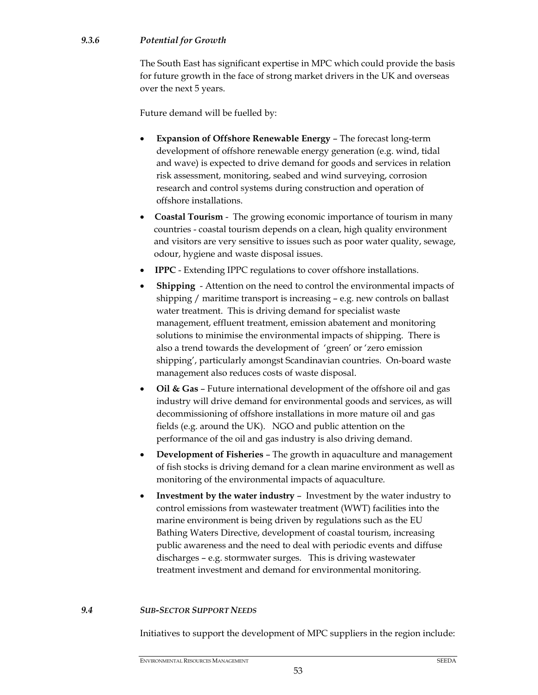The South East has significant expertise in MPC which could provide the basis for future growth in the face of strong market drivers in the UK and overseas over the next 5 years.

Future demand will be fuelled by:

- **Expansion of Offshore Renewable Energy** The forecast long-term development of offshore renewable energy generation (e.g. wind, tidal and wave) is expected to drive demand for goods and services in relation risk assessment, monitoring, seabed and wind surveying, corrosion research and control systems during construction and operation of offshore installations.
- **Coastal Tourism**  The growing economic importance of tourism in many countries - coastal tourism depends on a clean, high quality environment and visitors are very sensitive to issues such as poor water quality, sewage, odour, hygiene and waste disposal issues.
- **IPPC**  Extending IPPC regulations to cover offshore installations.
- **Shipping**  Attention on the need to control the environmental impacts of shipping / maritime transport is increasing – e.g. new controls on ballast water treatment. This is driving demand for specialist waste management, effluent treatment, emission abatement and monitoring solutions to minimise the environmental impacts of shipping. There is also a trend towards the development of 'green' or 'zero emission shipping', particularly amongst Scandinavian countries. On-board waste management also reduces costs of waste disposal.
- **Oil & Gas**  Future international development of the offshore oil and gas industry will drive demand for environmental goods and services, as will decommissioning of offshore installations in more mature oil and gas fields (e.g. around the UK). NGO and public attention on the performance of the oil and gas industry is also driving demand.
- **Development of Fisheries**  The growth in aquaculture and management of fish stocks is driving demand for a clean marine environment as well as monitoring of the environmental impacts of aquaculture.
- **Investment by the water industry**  Investment by the water industry to control emissions from wastewater treatment (WWT) facilities into the marine environment is being driven by regulations such as the EU Bathing Waters Directive, development of coastal tourism, increasing public awareness and the need to deal with periodic events and diffuse discharges – e.g. stormwater surges. This is driving wastewater treatment investment and demand for environmental monitoring.

# *9.4 SUB-SECTOR SUPPORT NEEDS*

Initiatives to support the development of MPC suppliers in the region include: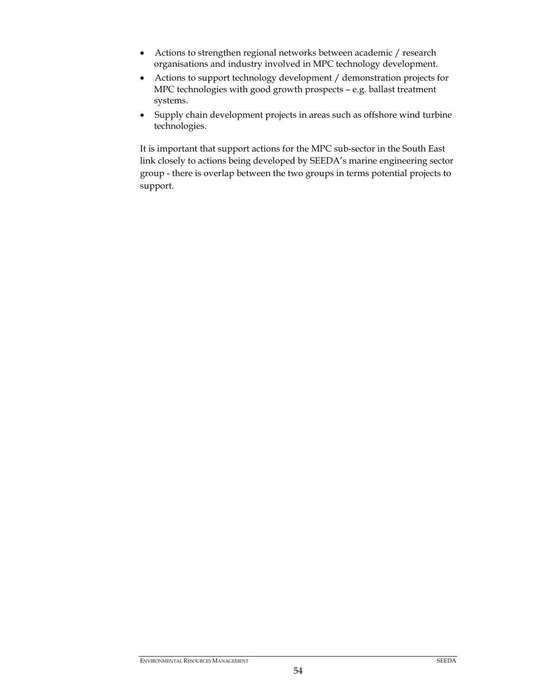- Actions to strengthen regional networks between academic / research organisations and industry involved in MPC technology development.
- Actions to support technology development / demonstration projects for MPC technologies with good growth prospects – e.g. ballast treatment systems.
- Supply chain development projects in areas such as offshore wind turbine technologies.

It is important that support actions for the MPC sub-sector in the South East link closely to actions being developed by SEEDA's marine engineering sector group - there is overlap between the two groups in terms potential projects to support.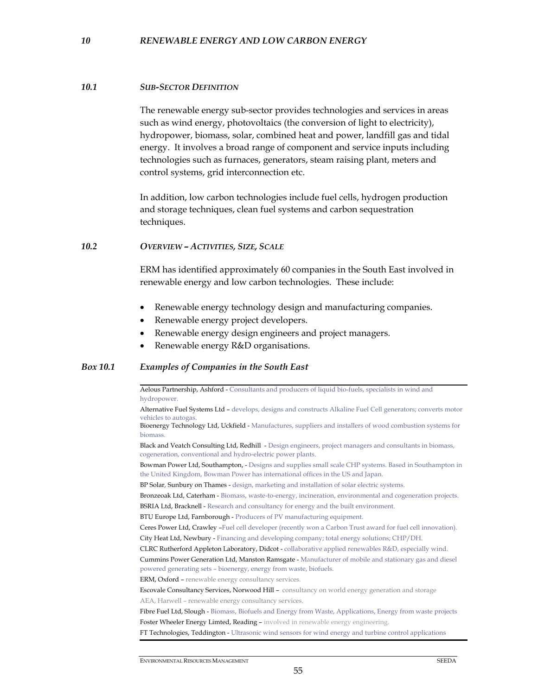#### *10 RENEWABLE ENERGY AND LOW CARBON ENERGY*

#### *10.1 SUB-SECTOR DEFINITION*

The renewable energy sub-sector provides technologies and services in areas such as wind energy, photovoltaics (the conversion of light to electricity), hydropower, biomass, solar, combined heat and power, landfill gas and tidal energy. It involves a broad range of component and service inputs including technologies such as furnaces, generators, steam raising plant, meters and control systems, grid interconnection etc.

In addition, low carbon technologies include fuel cells, hydrogen production and storage techniques, clean fuel systems and carbon sequestration techniques.

#### *10.2 OVERVIEW – ACTIVITIES, SIZE, SCALE*

ERM has identified approximately 60 companies in the South East involved in renewable energy and low carbon technologies. These include:

- Renewable energy technology design and manufacturing companies.
- Renewable energy project developers.
- Renewable energy design engineers and project managers.
- Renewable energy R&D organisations.

# *Box 10.1 Examples of Companies in the South East*

Aelous Partnership, Ashford - Consultants and producers of liquid bio-fuels, specialists in wind and hydropower.

Alternative Fuel Systems Ltd – develops, designs and constructs Alkaline Fuel Cell generators; converts motor vehicles to autogas.

Bioenergy Technology Ltd, Uckfield - Manufactures, suppliers and installers of wood combustion systems for biomass.

Black and Veatch Consulting Ltd, Redhill - Design engineers, project managers and consultants in biomass, cogeneration, conventional and hydro-electric power plants.

Bowman Power Ltd, Southampton, - Designs and supplies small scale CHP systems. Based in Southampton in the United Kingdom, Bowman Power has international offices in the US and Japan.

BP Solar*,* Sunbury on Thames - design, marketing and installation of solar electric systems.

Bronzeoak Ltd, Caterham - Biomass, waste-to-energy, incineration, environmental and cogeneration projects.

BSRIA Ltd, Bracknell - Research and consultancy for energy and the built environment.

BTU Europe Ltd, Farnborough - Producers of PV manufacturing equipment.

Ceres Power Ltd, Crawley –Fuel cell developer (recently won a Carbon Trust award for fuel cell innovation). City Heat Ltd, Newbury - Financing and developing company; total energy solutions; CHP/DH.

CLRC Rutherford Appleton Laboratory, Didcot - collaborative applied renewables R&D, especially wind. Cummins Power Generation Ltd, Manston Ramsgate - Manufacturer of mobile and stationary gas and diesel

powered generating sets – bioenergy, energy from waste, biofuels.

ERM, Oxford – renewable energy consultancy services.

Escovale Consultancy Services, Norwood Hill – consultancy on world energy generation and storage AEA, Harwell – renewable energy consultancy services.

Fibre Fuel Ltd, Slough - Biomass, Biofuels and Energy from Waste, Applications, Energy from waste projects Foster Wheeler Energy Limted, Reading - involved in renewable energy engineering.

FT Technologies, Teddington - Ultrasonic wind sensors for wind energy and turbine control applications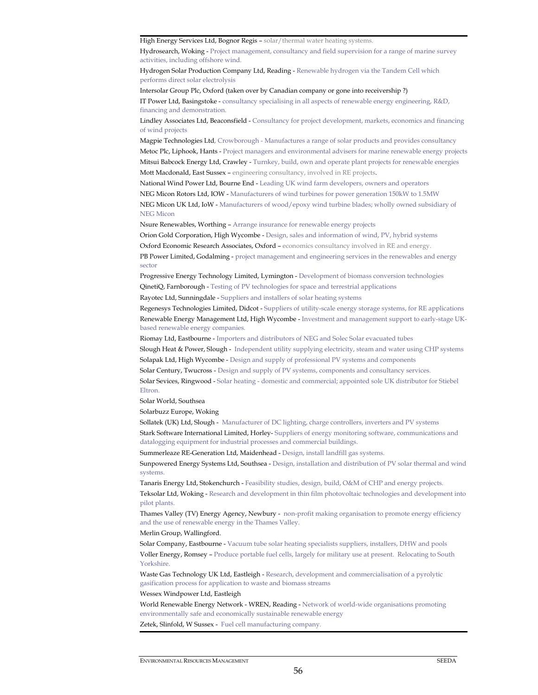High Energy Services Ltd, Bognor Regis - solar/thermal water heating systems.

Hydrosearch, Woking - Project management, consultancy and field supervision for a range of marine survey activities, including offshore wind.

Hydrogen Solar Production Company Ltd, Reading - Renewable hydrogen via the Tandem Cell which performs direct solar electrolysis

Intersolar Group Plc, Oxford (taken over by Canadian company or gone into receivership ?) IT Power Ltd, Basingstoke - consultancy specialising in all aspects of renewable energy engineering, R&D, financing and demonstration.

Lindley Associates Ltd, Beaconsfield - Consultancy for project development, markets, economics and financing of wind projects

Magpie Technologies Ltd, Crowborough - Manufactures a range of solar products and provides consultancy Metoc Plc, Liphook, Hants - Project managers and environmental advisers for marine renewable energy projects Mitsui Babcock Energy Ltd, Crawley - Turnkey, build, own and operate plant projects for renewable energies Mott Macdonald, East Sussex – engineering consultancy, involved in RE projects.

National Wind Power Ltd, Bourne End - Leading UK wind farm developers, owners and operators NEG Micon Rotors Ltd, IOW - Manufacturers of wind turbines for power generation 150kW to 1.5MW NEG Micon UK Ltd, IoW - Manufacturers of wood/epoxy wind turbine blades; wholly owned subsidiary of NEG Micon

Nsure Renewables, Worthing – Arrange insurance for renewable energy projects

Orion Gold Corporation, High Wycombe - Design, sales and information of wind, PV, hybrid systems Oxford Economic Research Associates, Oxford – economics consultancy involved in RE and energy. PB Power Limited, Godalming - project management and engineering services in the renewables and energy sector

Progressive Energy Technology Limited, Lymington - Development of biomass conversion technologies QinetiQ, Farnborough - Testing of PV technologies for space and terrestrial applications

Rayotec Ltd, Sunningdale - Suppliers and installers of solar heating systems

Regenesys Technologies Limited, Didcot - Suppliers of utility-scale energy storage systems, for RE applications Renewable Energy Management Ltd, High Wycombe - Investment and management support to early-stage UKbased renewable energy companies.

Riomay Ltd, Eastbourne - Importers and distributors of NEG and Solec Solar evacuated tubes

Slough Heat & Power, Slough - Independent utility supplying electricity, steam and water using CHP systems Solapak Ltd, High Wycombe - Design and supply of professional PV systems and components

Solar Century, Twucross - Design and supply of PV systems, components and consultancy services.

Solar Sevices, Ringwood - Solar heating - domestic and commercial; appointed sole UK distributor for Stiebel Eltron.

Solar World, Southsea

Solarbuzz Europe, Woking

Sollatek (UK) Ltd, Slough - Manufacturer of DC lighting, charge controllers, inverters and PV systems Stark Software International Limited, Horley- Suppliers of energy monitoring software, communications and datalogging equipment for industrial processes and commercial buildings.

Summerleaze RE-Generation Ltd, Maidenhead - Design, install landfill gas systems.

Sunpowered Energy Systems Ltd, Southsea - Design, installation and distribution of PV solar thermal and wind systems.

Tanaris Energy Ltd, Stokenchurch - Feasibility studies, design, build, O&M of CHP and energy projects. Teksolar Ltd, Woking - Research and development in thin film photovoltaic technologies and development into pilot plants.

Thames Valley (TV) Energy Agency, Newbury - non-profit making organisation to promote energy efficiency and the use of renewable energy in the Thames Valley.

#### Merlin Group, Wallingford.

Solar Company, Eastbourne - Vacuum tube solar heating specialists suppliers, installers, DHW and pools Voller Energy, Romsey – Produce portable fuel cells, largely for military use at present. Relocating to South Yorkshire.

Waste Gas Technology UK Ltd, Eastleigh - Research, development and commercialisation of a pyrolytic gasification process for application to waste and biomass streams

#### Wessex Windpower Ltd, Eastleigh

World Renewable Energy Network - WREN, Reading - Network of world-wide organisations promoting environmentally safe and economically sustainable renewable energy

Zetek, Slinfold, W Sussex - Fuel cell manufacturing company.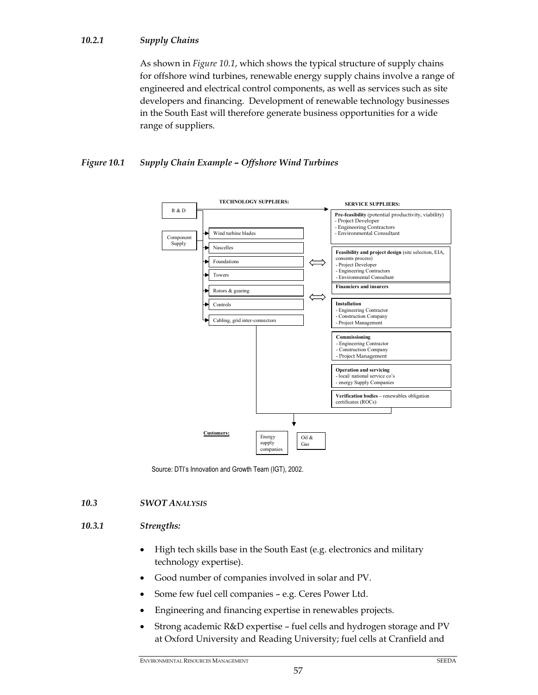# *10.2.1 Supply Chains*

As shown in *Figure 10.1*, which shows the typical structure of supply chains for offshore wind turbines, renewable energy supply chains involve a range of engineered and electrical control components, as well as services such as site developers and financing. Development of renewable technology businesses in the South East will therefore generate business opportunities for a wide range of suppliers.

# *Figure 10.1 Supply Chain Example – Offshore Wind Turbines*



Source: DTI's Innovation and Growth Team (IGT), 2002.

# *10.3 SWOT ANALYSIS*

# *10.3.1 Strengths:*

- High tech skills base in the South East (e.g. electronics and military technology expertise).
- Good number of companies involved in solar and PV.
- Some few fuel cell companies e.g. Ceres Power Ltd.
- Engineering and financing expertise in renewables projects.
- Strong academic R&D expertise fuel cells and hydrogen storage and PV at Oxford University and Reading University; fuel cells at Cranfield and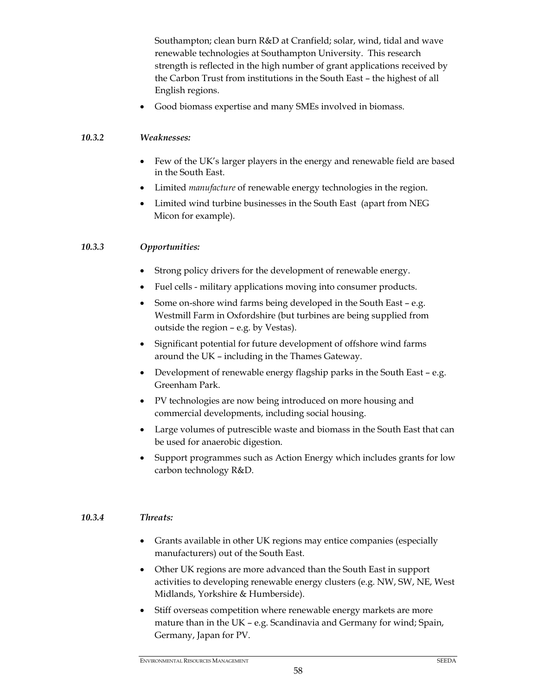Southampton; clean burn R&D at Cranfield; solar, wind, tidal and wave renewable technologies at Southampton University. This research strength is reflected in the high number of grant applications received by the Carbon Trust from institutions in the South East – the highest of all English regions.

• Good biomass expertise and many SMEs involved in biomass.

# *10.3.2 Weaknesses:*

- Few of the UK's larger players in the energy and renewable field are based in the South East.
- Limited *manufacture* of renewable energy technologies in the region.
- Limited wind turbine businesses in the South East (apart from NEG Micon for example).

## *10.3.3 Opportunities:*

- Strong policy drivers for the development of renewable energy.
- Fuel cells military applications moving into consumer products.
- Some on-shore wind farms being developed in the South East e.g. Westmill Farm in Oxfordshire (but turbines are being supplied from outside the region – e.g. by Vestas).
- Significant potential for future development of offshore wind farms around the UK – including in the Thames Gateway.
- Development of renewable energy flagship parks in the South East e.g. Greenham Park.
- PV technologies are now being introduced on more housing and commercial developments, including social housing.
- Large volumes of putrescible waste and biomass in the South East that can be used for anaerobic digestion.
- Support programmes such as Action Energy which includes grants for low carbon technology R&D.

#### *10.3.4 Threats:*

- Grants available in other UK regions may entice companies (especially manufacturers) out of the South East.
- Other UK regions are more advanced than the South East in support activities to developing renewable energy clusters (e.g. NW, SW, NE, West Midlands, Yorkshire & Humberside).
- Stiff overseas competition where renewable energy markets are more mature than in the UK – e.g. Scandinavia and Germany for wind; Spain, Germany, Japan for PV.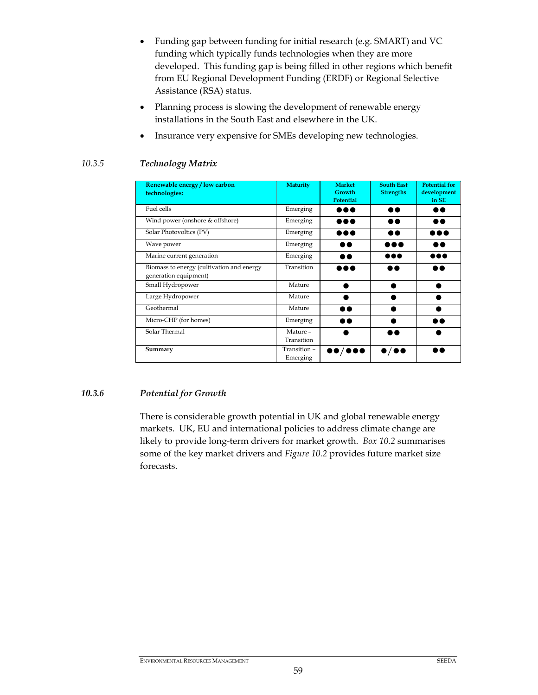- Funding gap between funding for initial research (e.g. SMART) and VC funding which typically funds technologies when they are more developed. This funding gap is being filled in other regions which benefit from EU Regional Development Funding (ERDF) or Regional Selective Assistance (RSA) status.
- Planning process is slowing the development of renewable energy installations in the South East and elsewhere in the UK.
- Insurance very expensive for SMEs developing new technologies.

| Renewable energy / low carbon<br>technologies:                     | <b>Maturity</b>         | <b>Market</b><br>Growth<br>Potential   | <b>South East</b><br><b>Strengths</b> | <b>Potential for</b><br>development<br>in SE |
|--------------------------------------------------------------------|-------------------------|----------------------------------------|---------------------------------------|----------------------------------------------|
| Fuel cells                                                         | Emerging                |                                        | 88                                    | D O                                          |
| Wind power (onshore & offshore)                                    | Emerging                |                                        |                                       |                                              |
| Solar Photovoltics (PV)                                            | Emerging                | $\bullet\bullet\bullet$                |                                       |                                              |
| Wave power                                                         | Emerging                | 88                                     |                                       | D٥                                           |
| Marine current generation                                          | Emerging                |                                        |                                       |                                              |
| Biomass to energy (cultivation and energy<br>generation equipment) | Transition              |                                        | a a                                   | D٥                                           |
| Small Hydropower                                                   | Mature                  |                                        |                                       |                                              |
| Large Hydropower                                                   | Mature                  | ●                                      |                                       |                                              |
| Geothermal                                                         | Mature                  | 6 Q                                    |                                       |                                              |
| Micro-CHP (for homes)                                              | Emerging                |                                        |                                       | 88                                           |
| Solar Thermal                                                      | Mature -<br>Transition  |                                        | 88                                    |                                              |
| Summary                                                            | Transition-<br>Emerging | $\bullet\bullet/\bullet\bullet\bullet$ | $\bullet/\bullet\bullet$              | ∙                                            |

## *10.3.5 Technology Matrix*

# *10.3.6 Potential for Growth*

There is considerable growth potential in UK and global renewable energy markets. UK, EU and international policies to address climate change are likely to provide long-term drivers for market growth. *Box 10.2* summarises some of the key market drivers and *Figure 10.2* provides future market size forecasts.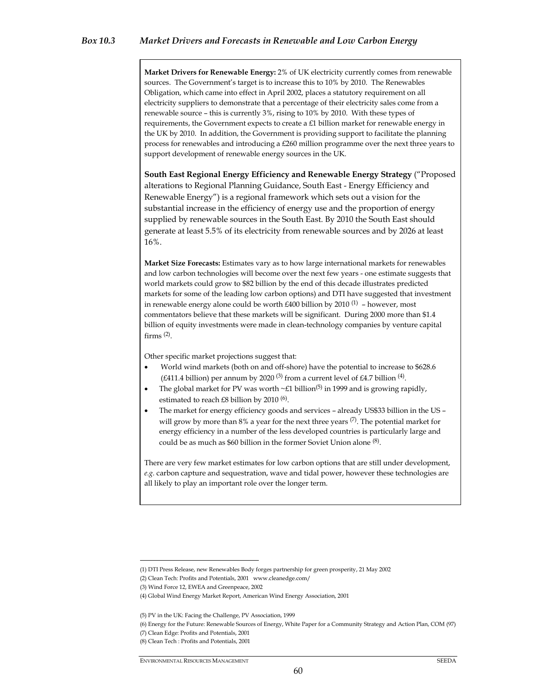**Market Drivers for Renewable Energy:** 2% of UK electricity currently comes from renewable sources. The Government's target is to increase this to 10% by 2010. The Renewables Obligation, which came into effect in April 2002, places a statutory requirement on all electricity suppliers to demonstrate that a percentage of their electricity sales come from a renewable source – this is currently 3%, rising to 10% by 2010. With these types of requirements, the Government expects to create a  $E1$  billion market for renewable energy in the UK by 2010. In addition, the Government is providing support to facilitate the planning process for renewables and introducing a £260 million programme over the next three years to support development of renewable energy sources in the UK.

**South East Regional Energy Efficiency and Renewable Energy Strategy** ("Proposed alterations to Regional Planning Guidance, South East - Energy Efficiency and Renewable Energy") is a regional framework which sets out a vision for the substantial increase in the efficiency of energy use and the proportion of energy supplied by renewable sources in the South East. By 2010 the South East should generate at least 5.5% of its electricity from renewable sources and by 2026 at least 16%.

**Market Size Forecasts:** Estimates vary as to how large international markets for renewables and low carbon technologies will become over the next few years - one estimate suggests that world markets could grow to \$82 billion by the end of this decade illustrates predicted markets for some of the leading low carbon options) and DTI have suggested that investment in renewable energy alone could be worth  $£400$  billion by  $2010$  <sup>(1)</sup> - however, most commentators believe that these markets will be significant. During 2000 more than \$1.4 billion of equity investments were made in clean-technology companies by venture capital firms  $(2)$ .

Other specific market projections suggest that:

- World wind markets (both on and off-shore) have the potential to increase to \$628.6 (£411.4 billion) per annum by 2020<sup>(3)</sup> from a current level of £4.7 billion<sup>(4)</sup>.
- The global market for PV was worth  $\sim$ £1 billion<sup>(5)</sup> in 1999 and is growing rapidly, estimated to reach  $£8$  billion by 2010  $(6)$ .
- The market for energy efficiency goods and services already US\$33 billion in the US will grow by more than  $8\%$  a year for the next three years  $(7)$ . The potential market for energy efficiency in a number of the less developed countries is particularly large and could be as much as \$60 billion in the former Soviet Union alone (8).

There are very few market estimates for low carbon options that are still under development, *e.g.* carbon capture and sequestration, wave and tidal power, however these technologies are all likely to play an important role over the longer term.

-

60

<sup>(1)</sup> DTI Press Release, new Renewables Body forges partnership for green prosperity, 21 May 2002

<sup>(2)</sup> Clean Tech: Profits and Potentials, 2001 www.cleanedge.com/

<sup>(3)</sup> Wind Force 12, EWEA and Greenpeace, 2002

<sup>(4)</sup> Global Wind Energy Market Report, American Wind Energy Association, 2001

<sup>(5)</sup> PV in the UK: Facing the Challenge, PV Association, 1999

<sup>(6)</sup> Energy for the Future: Renewable Sources of Energy, White Paper for a Community Strategy and Action Plan, COM (97) (7) Clean Edge: Profits and Potentials, 2001

<sup>(8)</sup> Clean Tech : Profits and Potentials, 2001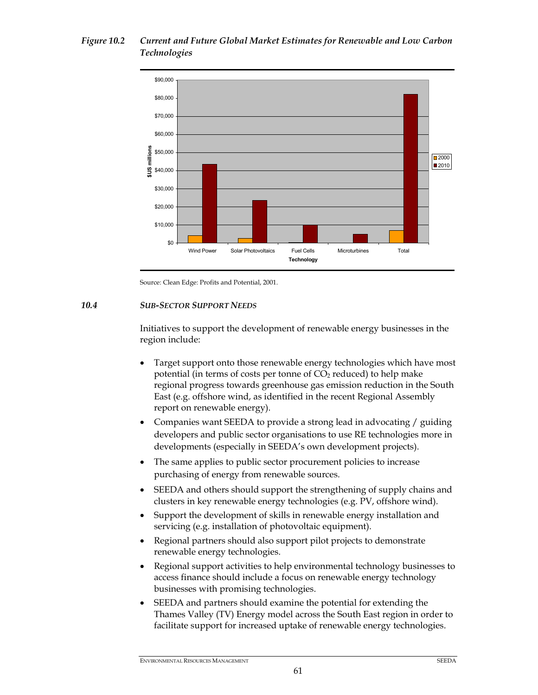# *Figure 10.2 Current and Future Global Market Estimates for Renewable and Low Carbon Technologies*



Source: Clean Edge: Profits and Potential, 2001.

#### *10.4 SUB-SECTOR SUPPORT NEEDS*

Initiatives to support the development of renewable energy businesses in the region include:

- Target support onto those renewable energy technologies which have most potential (in terms of costs per tonne of  $CO<sub>2</sub>$  reduced) to help make regional progress towards greenhouse gas emission reduction in the South East (e.g. offshore wind, as identified in the recent Regional Assembly report on renewable energy).
- Companies want SEEDA to provide a strong lead in advocating / guiding developers and public sector organisations to use RE technologies more in developments (especially in SEEDA's own development projects).
- The same applies to public sector procurement policies to increase purchasing of energy from renewable sources.
- SEEDA and others should support the strengthening of supply chains and clusters in key renewable energy technologies (e.g. PV, offshore wind).
- Support the development of skills in renewable energy installation and servicing (e.g. installation of photovoltaic equipment).
- Regional partners should also support pilot projects to demonstrate renewable energy technologies.
- Regional support activities to help environmental technology businesses to access finance should include a focus on renewable energy technology businesses with promising technologies.
- SEEDA and partners should examine the potential for extending the Thames Valley (TV) Energy model across the South East region in order to facilitate support for increased uptake of renewable energy technologies.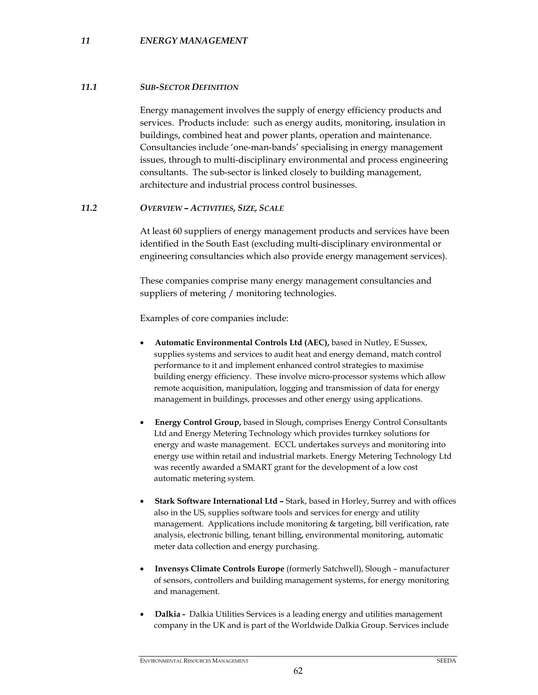#### *11 ENERGY MANAGEMENT*

#### *11.1 SUB-SECTOR DEFINITION*

Energy management involves the supply of energy efficiency products and services. Products include: such as energy audits, monitoring, insulation in buildings, combined heat and power plants, operation and maintenance. Consultancies include 'one-man-bands' specialising in energy management issues, through to multi-disciplinary environmental and process engineering consultants. The sub-sector is linked closely to building management, architecture and industrial process control businesses.

#### *11.2 OVERVIEW – ACTIVITIES, SIZE, SCALE*

At least 60 suppliers of energy management products and services have been identified in the South East (excluding multi-disciplinary environmental or engineering consultancies which also provide energy management services).

These companies comprise many energy management consultancies and suppliers of metering / monitoring technologies.

Examples of core companies include:

- **Automatic Environmental Controls Ltd (AEC),** based in Nutley, E Sussex, supplies systems and services to audit heat and energy demand, match control performance to it and implement enhanced control strategies to maximise building energy efficiency. These involve micro-processor systems which allow remote acquisition, manipulation, logging and transmission of data for energy management in buildings, processes and other energy using applications.
- **Energy Control Group,** based in Slough, comprises Energy Control Consultants Ltd and Energy Metering Technology which provides turnkey solutions for energy and waste management. ECCL undertakes surveys and monitoring into energy use within retail and industrial markets. Energy Metering Technology Ltd was recently awarded a SMART grant for the development of a low cost automatic metering system.
- **Stark Software International Ltd** Stark, based in Horley, Surrey and with offices also in the US, supplies software tools and services for energy and utility management. Applications include monitoring & targeting, bill verification, rate analysis, electronic billing, tenant billing, environmental monitoring, automatic meter data collection and energy purchasing.
- **Invensys Climate Controls Europe** (formerly Satchwell), Slough manufacturer of sensors, controllers and building management systems, for energy monitoring and management.
- **Dalkia** Dalkia Utilities Services is a leading energy and utilities management company in the UK and is part of the Worldwide Dalkia Group. Services include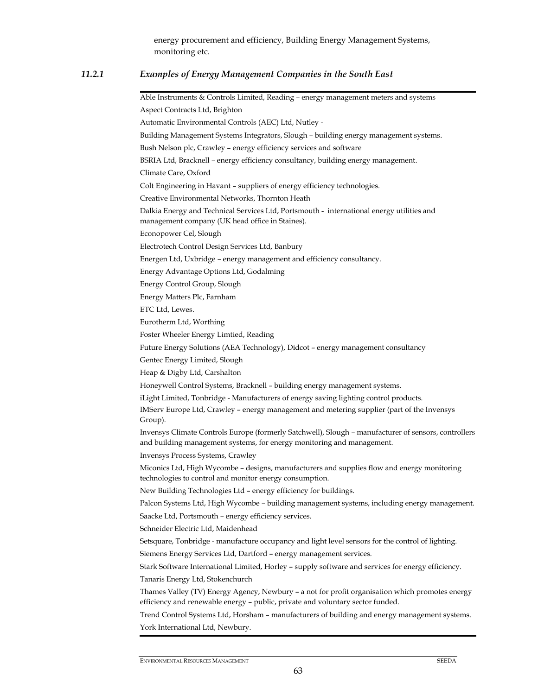energy procurement and efficiency, Building Energy Management Systems, monitoring etc.

#### *11.2.1 Examples of Energy Management Companies in the South East*

Able Instruments & Controls Limited, Reading – energy management meters and systems Aspect Contracts Ltd, Brighton Automatic Environmental Controls (AEC) Ltd, Nutley - Building Management Systems Integrators, Slough – building energy management systems. Bush Nelson plc, Crawley – energy efficiency services and software BSRIA Ltd, Bracknell – energy efficiency consultancy, building energy management. Climate Care, Oxford Colt Engineering in Havant – suppliers of energy efficiency technologies. Creative Environmental Networks, Thornton Heath Dalkia Energy and Technical Services Ltd, Portsmouth - international energy utilities and management company (UK head office in Staines). Econopower Cel, Slough Electrotech Control Design Services Ltd, Banbury Energen Ltd, Uxbridge – energy management and efficiency consultancy. Energy Advantage Options Ltd, Godalming Energy Control Group, Slough Energy Matters Plc, Farnham ETC Ltd, Lewes. Eurotherm Ltd, Worthing Foster Wheeler Energy Limtied, Reading Future Energy Solutions (AEA Technology), Didcot – energy management consultancy Gentec Energy Limited, Slough Heap & Digby Ltd, Carshalton Honeywell Control Systems, Bracknell – building energy management systems. iLight Limited, Tonbridge - Manufacturers of energy saving lighting control products. IMServ Europe Ltd, Crawley – energy management and metering supplier (part of the Invensys Group). Invensys Climate Controls Europe (formerly Satchwell), Slough – manufacturer of sensors, controllers and building management systems, for energy monitoring and management. Invensys Process Systems, Crawley Miconics Ltd, High Wycombe – designs, manufacturers and supplies flow and energy monitoring technologies to control and monitor energy consumption. New Building Technologies Ltd – energy efficiency for buildings. Palcon Systems Ltd, High Wycombe – building management systems, including energy management. Saacke Ltd, Portsmouth – energy efficiency services. Schneider Electric Ltd, Maidenhead Setsquare, Tonbridge - manufacture occupancy and light level sensors for the control of lighting. Siemens Energy Services Ltd, Dartford – energy management services. Stark Software International Limited, Horley – supply software and services for energy efficiency. Tanaris Energy Ltd, Stokenchurch Thames Valley (TV) Energy Agency, Newbury – a not for profit organisation which promotes energy efficiency and renewable energy – public, private and voluntary sector funded. Trend Control Systems Ltd, Horsham – manufacturers of building and energy management systems. York International Ltd, Newbury.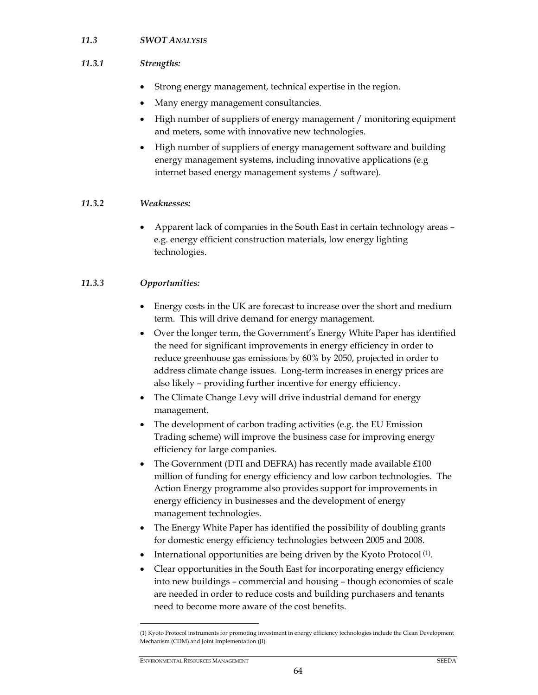#### *11.3 SWOT ANALYSIS*

## *11.3.1 Strengths:*

- Strong energy management, technical expertise in the region.
- Many energy management consultancies.
- High number of suppliers of energy management / monitoring equipment and meters, some with innovative new technologies.
- High number of suppliers of energy management software and building energy management systems, including innovative applications (e.g internet based energy management systems / software).

## *11.3.2 Weaknesses:*

• Apparent lack of companies in the South East in certain technology areas – e.g. energy efficient construction materials, low energy lighting technologies.

# *11.3.3 Opportunities:*

- Energy costs in the UK are forecast to increase over the short and medium term. This will drive demand for energy management.
- Over the longer term, the Government's Energy White Paper has identified the need for significant improvements in energy efficiency in order to reduce greenhouse gas emissions by 60% by 2050, projected in order to address climate change issues. Long-term increases in energy prices are also likely – providing further incentive for energy efficiency.
- The Climate Change Levy will drive industrial demand for energy management.
- The development of carbon trading activities (e.g. the EU Emission Trading scheme) will improve the business case for improving energy efficiency for large companies.
- The Government (DTI and DEFRA) has recently made available £100 million of funding for energy efficiency and low carbon technologies. The Action Energy programme also provides support for improvements in energy efficiency in businesses and the development of energy management technologies.
- The Energy White Paper has identified the possibility of doubling grants for domestic energy efficiency technologies between 2005 and 2008.
- International opportunities are being driven by the Kyoto Protocol<sup>(1)</sup>.
- Clear opportunities in the South East for incorporating energy efficiency into new buildings – commercial and housing – though economies of scale are needed in order to reduce costs and building purchasers and tenants need to become more aware of the cost benefits.

-

<sup>(1)</sup> Kyoto Protocol instruments for promoting investment in energy efficiency technologies include the Clean Development Mechanism (CDM) and Joint Implementation (JI).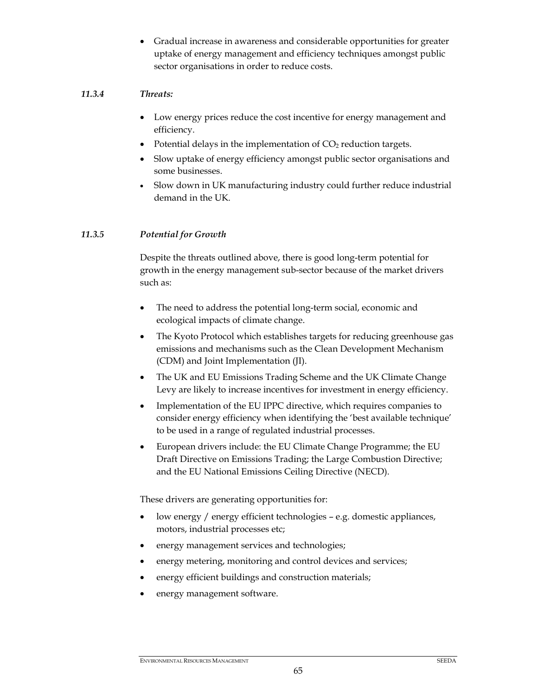• Gradual increase in awareness and considerable opportunities for greater uptake of energy management and efficiency techniques amongst public sector organisations in order to reduce costs.

## *11.3.4 Threats:*

- Low energy prices reduce the cost incentive for energy management and efficiency.
- Potential delays in the implementation of  $CO<sub>2</sub>$  reduction targets.
- Slow uptake of energy efficiency amongst public sector organisations and some businesses.
- Slow down in UK manufacturing industry could further reduce industrial demand in the UK.

# *11.3.5 Potential for Growth*

Despite the threats outlined above, there is good long-term potential for growth in the energy management sub-sector because of the market drivers such as:

- The need to address the potential long-term social, economic and ecological impacts of climate change.
- The Kyoto Protocol which establishes targets for reducing greenhouse gas emissions and mechanisms such as the Clean Development Mechanism (CDM) and Joint Implementation (JI).
- The UK and EU Emissions Trading Scheme and the UK Climate Change Levy are likely to increase incentives for investment in energy efficiency.
- Implementation of the EU IPPC directive, which requires companies to consider energy efficiency when identifying the 'best available technique' to be used in a range of regulated industrial processes.
- European drivers include: the EU Climate Change Programme; the EU Draft Directive on Emissions Trading; the Large Combustion Directive; and the EU National Emissions Ceiling Directive (NECD).

These drivers are generating opportunities for:

- low energy / energy efficient technologies e.g. domestic appliances, motors, industrial processes etc;
- energy management services and technologies;
- energy metering, monitoring and control devices and services;
- energy efficient buildings and construction materials;
- energy management software.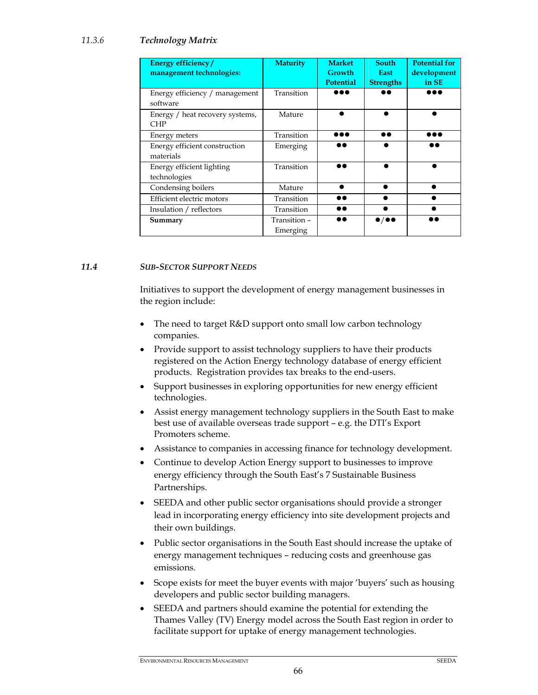# *11.3.6 Technology Matrix*

| Energy efficiency/<br>management technologies: | <b>Maturity</b>          | <b>Market</b><br><b>Growth</b><br><b>Potential</b> | <b>South</b><br>East<br><b>Strengths</b> | <b>Potential for</b><br>development<br>in SE |
|------------------------------------------------|--------------------------|----------------------------------------------------|------------------------------------------|----------------------------------------------|
| Energy efficiency / management<br>software     | Transition               |                                                    |                                          |                                              |
| Energy / heat recovery systems,<br><b>CHP</b>  | Mature                   |                                                    |                                          |                                              |
| Energy meters                                  | Transition               |                                                    |                                          |                                              |
| Energy efficient construction<br>materials     | Emerging                 | 88                                                 |                                          |                                              |
| Energy efficient lighting<br>technologies      | Transition               | 88                                                 |                                          |                                              |
| Condensing boilers                             | Mature                   |                                                    |                                          |                                              |
| Efficient electric motors                      | Transition               | 66                                                 |                                          |                                              |
| Insulation / reflectors                        | Transition               | 66                                                 |                                          |                                              |
| Summary                                        | Transition -<br>Emerging |                                                    | $\bullet/\bullet\bullet$                 |                                              |

## *11.4 SUB-SECTOR SUPPORT NEEDS*

Initiatives to support the development of energy management businesses in the region include:

- The need to target R&D support onto small low carbon technology companies.
- Provide support to assist technology suppliers to have their products registered on the Action Energy technology database of energy efficient products. Registration provides tax breaks to the end-users.
- Support businesses in exploring opportunities for new energy efficient technologies.
- Assist energy management technology suppliers in the South East to make best use of available overseas trade support – e.g. the DTI's Export Promoters scheme.
- Assistance to companies in accessing finance for technology development.
- Continue to develop Action Energy support to businesses to improve energy efficiency through the South East's 7 Sustainable Business Partnerships.
- SEEDA and other public sector organisations should provide a stronger lead in incorporating energy efficiency into site development projects and their own buildings.
- Public sector organisations in the South East should increase the uptake of energy management techniques – reducing costs and greenhouse gas emissions.
- Scope exists for meet the buyer events with major 'buyers' such as housing developers and public sector building managers.
- SEEDA and partners should examine the potential for extending the Thames Valley (TV) Energy model across the South East region in order to facilitate support for uptake of energy management technologies.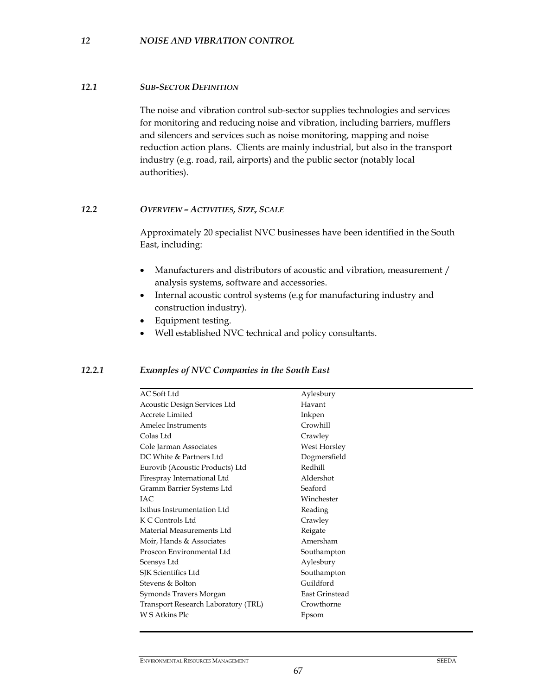### *12 NOISE AND VIBRATION CONTROL*

# *12.1 SUB-SECTOR DEFINITION*

The noise and vibration control sub-sector supplies technologies and services for monitoring and reducing noise and vibration, including barriers, mufflers and silencers and services such as noise monitoring, mapping and noise reduction action plans. Clients are mainly industrial, but also in the transport industry (e.g. road, rail, airports) and the public sector (notably local authorities).

## *12.2 OVERVIEW – ACTIVITIES, SIZE, SCALE*

Approximately 20 specialist NVC businesses have been identified in the South East, including:

- Manufacturers and distributors of acoustic and vibration, measurement / analysis systems, software and accessories.
- Internal acoustic control systems (e.g for manufacturing industry and construction industry).
- Equipment testing.
- Well established NVC technical and policy consultants.

## *12.2.1 Examples of NVC Companies in the South East*

| AC Soft Ltd                         | Aylesbury             |
|-------------------------------------|-----------------------|
| Acoustic Design Services Ltd        | Havant                |
| Accrete Limited                     | Inkpen                |
| Amelec Instruments                  | Crowhill              |
| Colas Ltd                           | Crawley               |
| Cole Jarman Associates              | West Horsley          |
| DC White & Partners Ltd             | Dogmersfield          |
| Eurovib (Acoustic Products) Ltd     | Redhill               |
| Firespray International Ltd         | Aldershot             |
| Gramm Barrier Systems Ltd           | Seaford               |
| IAC                                 | Winchester            |
| Ixthus Instrumentation Ltd          | Reading               |
| K C Controls Ltd                    | Crawley               |
| Material Measurements Ltd           | Reigate               |
| Moir, Hands & Associates            | Amersham              |
| Proscon Environmental Ltd           | Southampton           |
| Scensys Ltd                         | Aylesbury             |
| SJK Scientifics Ltd                 | Southampton           |
| Stevens & Bolton                    | Guildford             |
| Symonds Travers Morgan              | <b>East Grinstead</b> |
| Transport Research Laboratory (TRL) | Crowthorne            |
| W S Atkins Plc                      | Epsom                 |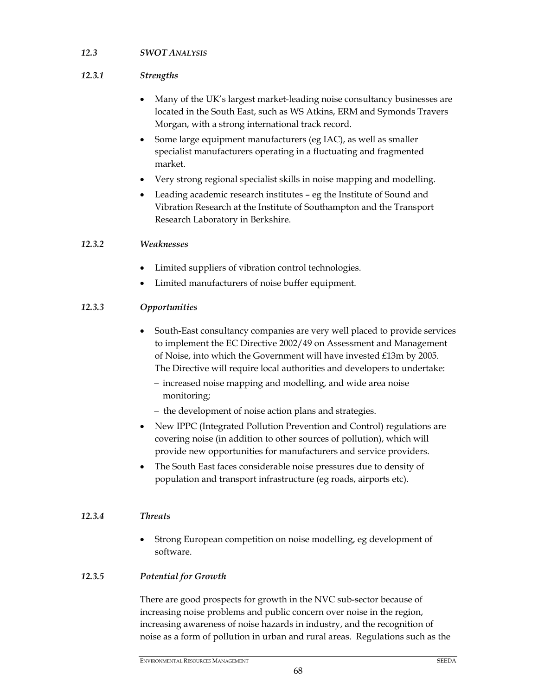# *12.3 SWOT ANALYSIS*

# *12.3.1 Strengths*

- Many of the UK's largest market-leading noise consultancy businesses are located in the South East, such as WS Atkins, ERM and Symonds Travers Morgan, with a strong international track record.
- Some large equipment manufacturers (eg IAC), as well as smaller specialist manufacturers operating in a fluctuating and fragmented market.
- Very strong regional specialist skills in noise mapping and modelling.
- Leading academic research institutes eg the Institute of Sound and Vibration Research at the Institute of Southampton and the Transport Research Laboratory in Berkshire.

# *12.3.2 Weaknesses*

- Limited suppliers of vibration control technologies.
- Limited manufacturers of noise buffer equipment.

# *12.3.3 Opportunities*

- South-East consultancy companies are very well placed to provide services to implement the EC Directive 2002/49 on Assessment and Management of Noise, into which the Government will have invested £13m by 2005. The Directive will require local authorities and developers to undertake:
	- − increased noise mapping and modelling, and wide area noise monitoring;
	- − the development of noise action plans and strategies.
- New IPPC (Integrated Pollution Prevention and Control) regulations are covering noise (in addition to other sources of pollution), which will provide new opportunities for manufacturers and service providers.
- The South East faces considerable noise pressures due to density of population and transport infrastructure (eg roads, airports etc).

## *12.3.4 Threats*

• Strong European competition on noise modelling, eg development of software.

## *12.3.5 Potential for Growth*

There are good prospects for growth in the NVC sub-sector because of increasing noise problems and public concern over noise in the region, increasing awareness of noise hazards in industry, and the recognition of noise as a form of pollution in urban and rural areas. Regulations such as the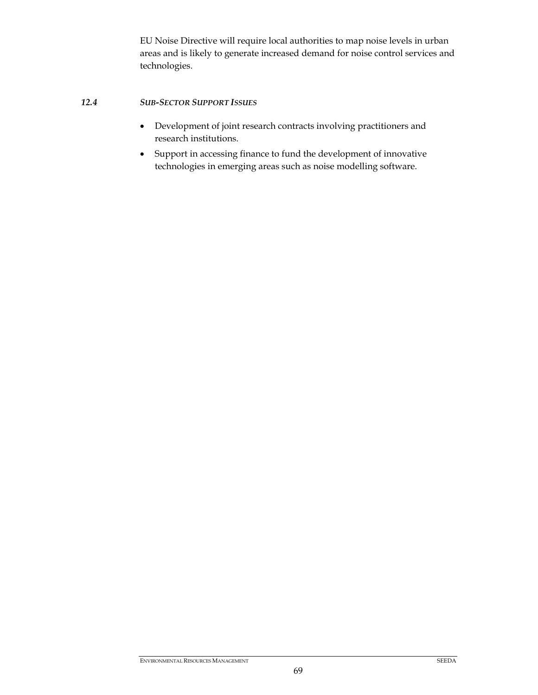EU Noise Directive will require local authorities to map noise levels in urban areas and is likely to generate increased demand for noise control services and technologies.

# *12.4 SUB-SECTOR SUPPORT ISSUES*

- Development of joint research contracts involving practitioners and research institutions.
- Support in accessing finance to fund the development of innovative technologies in emerging areas such as noise modelling software.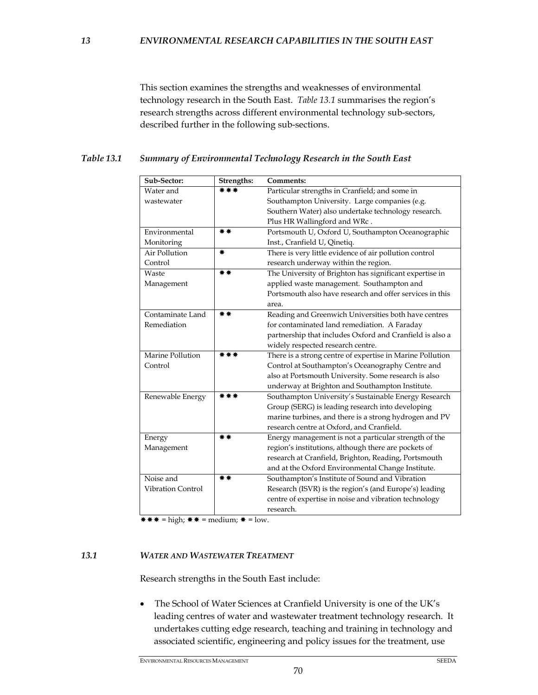This section examines the strengths and weaknesses of environmental technology research in the South East. *Table 13.1* summarises the region's research strengths across different environmental technology sub-sectors, described further in the following sub-sections.

### *Table 13.1 Summary of Environmental Technology Research in the South East*

| Sub-Sector:              | Strengths: | Comments:                                                 |  |
|--------------------------|------------|-----------------------------------------------------------|--|
| Water and                | ***        | Particular strengths in Cranfield; and some in            |  |
| wastewater               |            | Southampton University. Large companies (e.g.             |  |
|                          |            | Southern Water) also undertake technology research.       |  |
|                          |            | Plus HR Wallingford and WRc.                              |  |
| Environmental            | **         | Portsmouth U, Oxford U, Southampton Oceanographic         |  |
| Monitoring               |            | Inst., Cranfield U, Qinetiq.                              |  |
| Air Pollution            | ₩          | There is very little evidence of air pollution control    |  |
| Control                  |            | research underway within the region.                      |  |
| Waste                    | **         | The University of Brighton has significant expertise in   |  |
| Management               |            | applied waste management. Southampton and                 |  |
|                          |            | Portsmouth also have research and offer services in this  |  |
|                          |            | area.                                                     |  |
| Contaminate Land         | **         | Reading and Greenwich Universities both have centres      |  |
| Remediation              |            | for contaminated land remediation. A Faraday              |  |
|                          |            | partnership that includes Oxford and Cranfield is also a  |  |
|                          |            | widely respected research centre.                         |  |
| Marine Pollution         | ***        | There is a strong centre of expertise in Marine Pollution |  |
| Control                  |            | Control at Southampton's Oceanography Centre and          |  |
|                          |            | also at Portsmouth University. Some research is also      |  |
|                          |            | underway at Brighton and Southampton Institute.           |  |
| Renewable Energy         | ***        | Southampton University's Sustainable Energy Research      |  |
|                          |            | Group (SERG) is leading research into developing          |  |
|                          |            | marine turbines, and there is a strong hydrogen and PV    |  |
|                          |            | research centre at Oxford, and Cranfield.                 |  |
| Energy                   | **         | Energy management is not a particular strength of the     |  |
| Management               |            | region's institutions, although there are pockets of      |  |
|                          |            | research at Cranfield, Brighton, Reading, Portsmouth      |  |
|                          |            | and at the Oxford Environmental Change Institute.         |  |
| Noise and                | **         | Southampton's Institute of Sound and Vibration            |  |
| <b>Vibration Control</b> |            | Research (ISVR) is the region's (and Europe's) leading    |  |
|                          |            | centre of expertise in noise and vibration technology     |  |
|                          |            | research.                                                 |  |

 $=$  high;  $* * =$  medium;  $* =$  low.

## *13.1 WATER AND WASTEWATER TREATMENT*

Research strengths in the South East include:

70

• The School of Water Sciences at Cranfield University is one of the UK's leading centres of water and wastewater treatment technology research. It undertakes cutting edge research, teaching and training in technology and associated scientific, engineering and policy issues for the treatment, use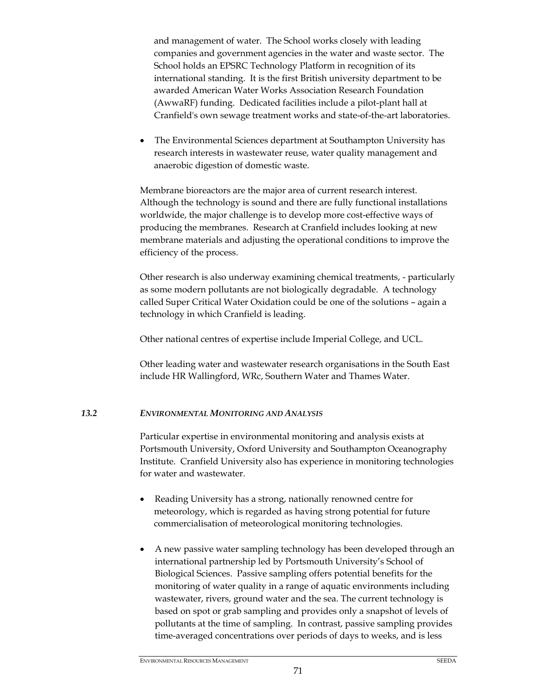and management of water. The School works closely with leading companies and government agencies in the water and waste sector. The School holds an EPSRC Technology Platform in recognition of its international standing. It is the first British university department to be awarded American Water Works Association Research Foundation (AwwaRF) funding. Dedicated facilities include a pilot-plant hall at Cranfield's own sewage treatment works and state-of-the-art laboratories.

• The Environmental Sciences department at Southampton University has research interests in wastewater reuse, water quality management and anaerobic digestion of domestic waste.

Membrane bioreactors are the major area of current research interest. Although the technology is sound and there are fully functional installations worldwide, the major challenge is to develop more cost-effective ways of producing the membranes. Research at Cranfield includes looking at new membrane materials and adjusting the operational conditions to improve the efficiency of the process.

Other research is also underway examining chemical treatments, - particularly as some modern pollutants are not biologically degradable. A technology called Super Critical Water Oxidation could be one of the solutions – again a technology in which Cranfield is leading.

Other national centres of expertise include Imperial College, and UCL.

Other leading water and wastewater research organisations in the South East include HR Wallingford, WRc, Southern Water and Thames Water.

# *13.2 ENVIRONMENTAL MONITORING AND ANALYSIS*

Particular expertise in environmental monitoring and analysis exists at Portsmouth University, Oxford University and Southampton Oceanography Institute. Cranfield University also has experience in monitoring technologies for water and wastewater.

- Reading University has a strong, nationally renowned centre for meteorology, which is regarded as having strong potential for future commercialisation of meteorological monitoring technologies.
- A new passive water sampling technology has been developed through an international partnership led by Portsmouth University's School of Biological Sciences. Passive sampling offers potential benefits for the monitoring of water quality in a range of aquatic environments including wastewater, rivers, ground water and the sea. The current technology is based on spot or grab sampling and provides only a snapshot of levels of pollutants at the time of sampling. In contrast, passive sampling provides time-averaged concentrations over periods of days to weeks, and is less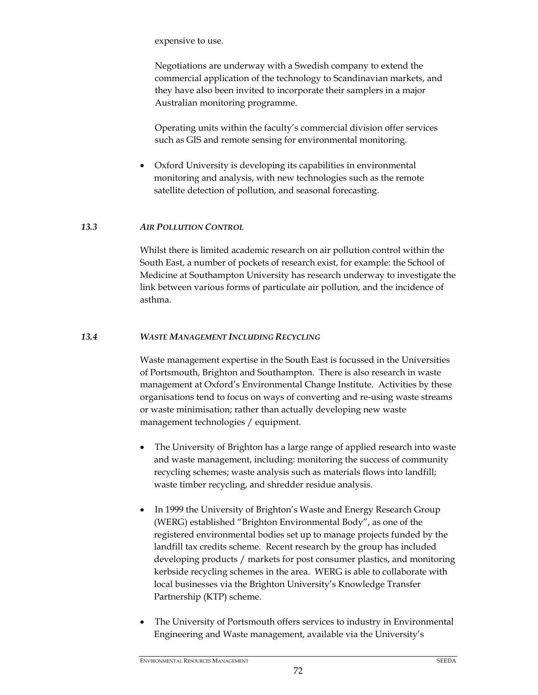expensive to use.

Negotiations are underway with a Swedish company to extend the commercial application of the technology to Scandinavian markets, and they have also been invited to incorporate their samplers in a major Australian monitoring programme.

Operating units within the faculty's commercial division offer services such as GIS and remote sensing for environmental monitoring.

• Oxford University is developing its capabilities in environmental monitoring and analysis, with new technologies such as the remote satellite detection of pollution, and seasonal forecasting.

# *13.3 AIR POLLUTION CONTROL*

Whilst there is limited academic research on air pollution control within the South East, a number of pockets of research exist, for example: the School of Medicine at Southampton University has research underway to investigate the link between various forms of particulate air pollution, and the incidence of asthma.

# *13.4 WASTE MANAGEMENT INCLUDING RECYCLING*

Waste management expertise in the South East is focussed in the Universities of Portsmouth, Brighton and Southampton. There is also research in waste management at Oxford's Environmental Change Institute. Activities by these organisations tend to focus on ways of converting and re-using waste streams or waste minimisation; rather than actually developing new waste management technologies / equipment.

- The University of Brighton has a large range of applied research into waste and waste management, including: monitoring the success of community recycling schemes; waste analysis such as materials flows into landfill; waste timber recycling, and shredder residue analysis.
- In 1999 the University of Brighton's Waste and Energy Research Group (WERG) established "Brighton Environmental Body", as one of the registered environmental bodies set up to manage projects funded by the landfill tax credits scheme. Recent research by the group has included developing products / markets for post consumer plastics, and monitoring kerbside recycling schemes in the area. WERG is able to collaborate with local businesses via the Brighton University's Knowledge Transfer Partnership (KTP) scheme.
- The University of Portsmouth offers services to industry in Environmental Engineering and Waste management, available via the University's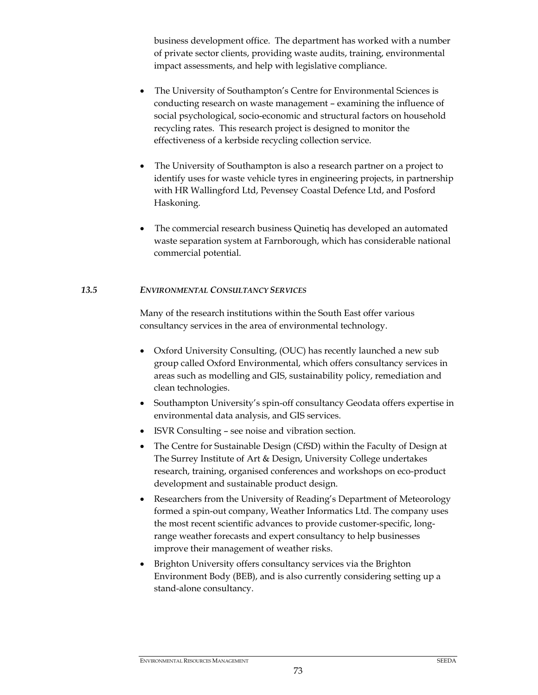business development office. The department has worked with a number of private sector clients, providing waste audits, training, environmental impact assessments, and help with legislative compliance.

- The University of Southampton's Centre for Environmental Sciences is conducting research on waste management – examining the influence of social psychological, socio-economic and structural factors on household recycling rates. This research project is designed to monitor the effectiveness of a kerbside recycling collection service.
- The University of Southampton is also a research partner on a project to identify uses for waste vehicle tyres in engineering projects, in partnership with HR Wallingford Ltd, Pevensey Coastal Defence Ltd, and Posford Haskoning.
- The commercial research business Quinetiq has developed an automated waste separation system at Farnborough, which has considerable national commercial potential.

## *13.5 ENVIRONMENTAL CONSULTANCY SERVICES*

Many of the research institutions within the South East offer various consultancy services in the area of environmental technology.

- Oxford University Consulting, (OUC) has recently launched a new sub group called Oxford Environmental, which offers consultancy services in areas such as modelling and GIS, sustainability policy, remediation and clean technologies.
- Southampton University's spin-off consultancy Geodata offers expertise in environmental data analysis, and GIS services.
- ISVR Consulting see noise and vibration section.
- The Centre for Sustainable Design (CfSD) within the Faculty of Design at The Surrey Institute of Art & Design, University College undertakes research, training, organised conferences and workshops on eco-product development and sustainable product design.
- Researchers from the University of Reading's Department of Meteorology formed a spin-out company, Weather Informatics Ltd. The company uses the most recent scientific advances to provide customer-specific, longrange weather forecasts and expert consultancy to help businesses improve their management of weather risks.
- Brighton University offers consultancy services via the Brighton Environment Body (BEB), and is also currently considering setting up a stand-alone consultancy.

#### ENVIRONMENTAL RESOURCES MANAGEMENT SEEDA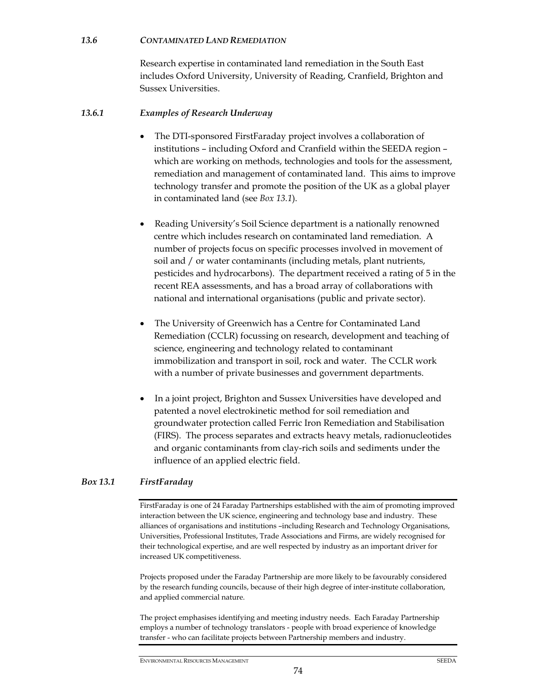#### *13.6 CONTAMINATED LAND REMEDIATION*

Research expertise in contaminated land remediation in the South East includes Oxford University, University of Reading, Cranfield, Brighton and Sussex Universities.

## *13.6.1 Examples of Research Underway*

- The DTI-sponsored FirstFaraday project involves a collaboration of institutions – including Oxford and Cranfield within the SEEDA region – which are working on methods, technologies and tools for the assessment, remediation and management of contaminated land. This aims to improve technology transfer and promote the position of the UK as a global player in contaminated land (see *Box 13.1*).
- Reading University's Soil Science department is a nationally renowned centre which includes research on contaminated land remediation. A number of projects focus on specific processes involved in movement of soil and / or water contaminants (including metals, plant nutrients, pesticides and hydrocarbons). The department received a rating of 5 in the recent REA assessments, and has a broad array of collaborations with national and international organisations (public and private sector).
- The University of Greenwich has a Centre for Contaminated Land Remediation (CCLR) focussing on research, development and teaching of science, engineering and technology related to contaminant immobilization and transport in soil, rock and water. The CCLR work with a number of private businesses and government departments.
- In a joint project, Brighton and Sussex Universities have developed and patented a novel electrokinetic method for soil remediation and groundwater protection called Ferric Iron Remediation and Stabilisation (FIRS). The process separates and extracts heavy metals, radionucleotides and organic contaminants from clay-rich soils and sediments under the influence of an applied electric field.

## *Box 13.1 FirstFaraday*

FirstFaraday is one of 24 Faraday Partnerships established with the aim of promoting improved interaction between the UK science, engineering and technology base and industry. These alliances of organisations and institutions –including Research and Technology Organisations, Universities, Professional Institutes, Trade Associations and Firms, are widely recognised for their technological expertise, and are well respected by industry as an important driver for increased UK competitiveness.

Projects proposed under the Faraday Partnership are more likely to be favourably considered by the research funding councils, because of their high degree of inter-institute collaboration, and applied commercial nature.

The project emphasises identifying and meeting industry needs. Each Faraday Partnership employs a number of technology translators - people with broad experience of knowledge transfer - who can facilitate projects between Partnership members and industry.

ENVIRONMENTAL RESOURCES MANAGEMENT SEEDA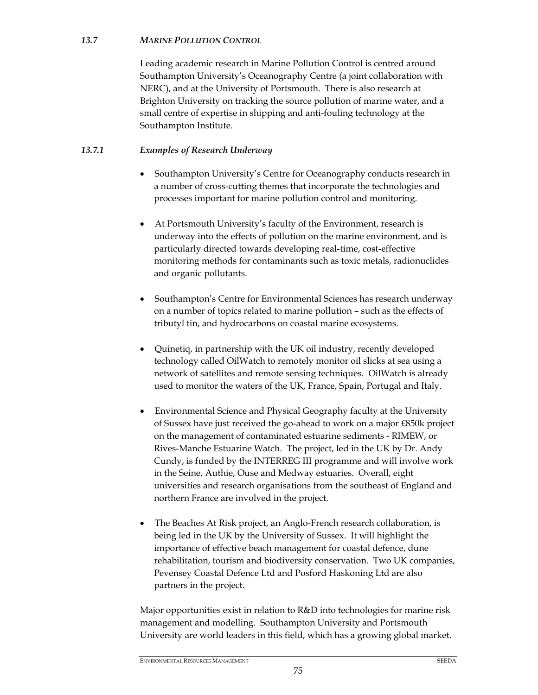# *13.7 MARINE POLLUTION CONTROL*

Leading academic research in Marine Pollution Control is centred around Southampton University's Oceanography Centre (a joint collaboration with NERC), and at the University of Portsmouth. There is also research at Brighton University on tracking the source pollution of marine water, and a small centre of expertise in shipping and anti-fouling technology at the Southampton Institute.

# *13.7.1 Examples of Research Underway*

- Southampton University's Centre for Oceanography conducts research in a number of cross-cutting themes that incorporate the technologies and processes important for marine pollution control and monitoring.
- At Portsmouth University's faculty of the Environment, research is underway into the effects of pollution on the marine environment, and is particularly directed towards developing real-time, cost-effective monitoring methods for contaminants such as toxic metals, radionuclides and organic pollutants.
- Southampton's Centre for Environmental Sciences has research underway on a number of topics related to marine pollution – such as the effects of tributyl tin, and hydrocarbons on coastal marine ecosystems.
- Quinetiq, in partnership with the UK oil industry, recently developed technology called OilWatch to remotely monitor oil slicks at sea using a network of satellites and remote sensing techniques. OilWatch is already used to monitor the waters of the UK, France, Spain, Portugal and Italy.
- Environmental Science and Physical Geography faculty at the University of Sussex have just received the go-ahead to work on a major £850k project on the management of contaminated estuarine sediments - RIMEW, or Rives-Manche Estuarine Watch. The project, led in the UK by Dr. Andy Cundy, is funded by the INTERREG III programme and will involve work in the Seine, Authie, Ouse and Medway estuaries. Overall, eight universities and research organisations from the southeast of England and northern France are involved in the project.
- The Beaches At Risk project, an Anglo-French research collaboration, is being led in the UK by the University of Sussex. It will highlight the importance of effective beach management for coastal defence, dune rehabilitation, tourism and biodiversity conservation. Two UK companies, Pevensey Coastal Defence Ltd and Posford Haskoning Ltd are also partners in the project.

Major opportunities exist in relation to R&D into technologies for marine risk management and modelling. Southampton University and Portsmouth University are world leaders in this field, which has a growing global market.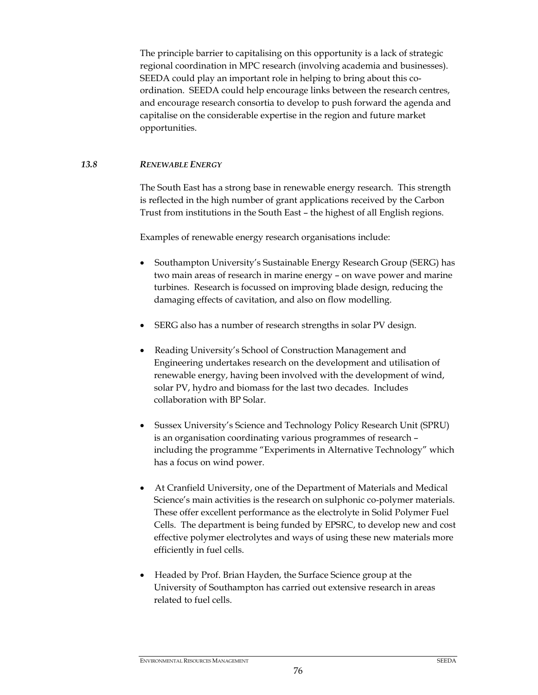The principle barrier to capitalising on this opportunity is a lack of strategic regional coordination in MPC research (involving academia and businesses). SEEDA could play an important role in helping to bring about this coordination. SEEDA could help encourage links between the research centres, and encourage research consortia to develop to push forward the agenda and capitalise on the considerable expertise in the region and future market opportunities.

## *13.8 RENEWABLE ENERGY*

The South East has a strong base in renewable energy research. This strength is reflected in the high number of grant applications received by the Carbon Trust from institutions in the South East – the highest of all English regions.

Examples of renewable energy research organisations include:

- Southampton University's Sustainable Energy Research Group (SERG) has two main areas of research in marine energy – on wave power and marine turbines. Research is focussed on improving blade design, reducing the damaging effects of cavitation, and also on flow modelling.
- SERG also has a number of research strengths in solar PV design.
- Reading University's School of Construction Management and Engineering undertakes research on the development and utilisation of renewable energy, having been involved with the development of wind, solar PV, hydro and biomass for the last two decades. Includes collaboration with BP Solar.
- Sussex University's Science and Technology Policy Research Unit (SPRU) is an organisation coordinating various programmes of research – including the programme "Experiments in Alternative Technology" which has a focus on wind power.
- At Cranfield University, one of the Department of Materials and Medical Science's main activities is the research on sulphonic co-polymer materials. These offer excellent performance as the electrolyte in Solid Polymer Fuel Cells. The department is being funded by EPSRC, to develop new and cost effective polymer electrolytes and ways of using these new materials more efficiently in fuel cells.
- Headed by Prof. Brian Hayden, the Surface Science group at the University of Southampton has carried out extensive research in areas related to fuel cells.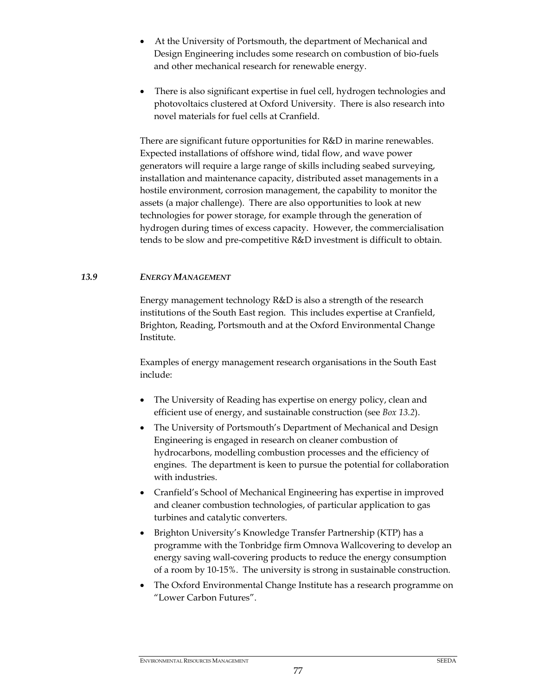- At the University of Portsmouth, the department of Mechanical and Design Engineering includes some research on combustion of bio-fuels and other mechanical research for renewable energy.
- There is also significant expertise in fuel cell, hydrogen technologies and photovoltaics clustered at Oxford University. There is also research into novel materials for fuel cells at Cranfield.

There are significant future opportunities for R&D in marine renewables. Expected installations of offshore wind, tidal flow, and wave power generators will require a large range of skills including seabed surveying, installation and maintenance capacity, distributed asset managements in a hostile environment, corrosion management, the capability to monitor the assets (a major challenge). There are also opportunities to look at new technologies for power storage, for example through the generation of hydrogen during times of excess capacity. However, the commercialisation tends to be slow and pre-competitive R&D investment is difficult to obtain.

# *13.9 ENERGY MANAGEMENT*

Energy management technology R&D is also a strength of the research institutions of the South East region. This includes expertise at Cranfield, Brighton, Reading, Portsmouth and at the Oxford Environmental Change Institute.

Examples of energy management research organisations in the South East include:

- The University of Reading has expertise on energy policy, clean and efficient use of energy, and sustainable construction (see *Box 13.2*).
- The University of Portsmouth's Department of Mechanical and Design Engineering is engaged in research on cleaner combustion of hydrocarbons, modelling combustion processes and the efficiency of engines. The department is keen to pursue the potential for collaboration with industries.
- Cranfield's School of Mechanical Engineering has expertise in improved and cleaner combustion technologies, of particular application to gas turbines and catalytic converters.
- Brighton University's Knowledge Transfer Partnership (KTP) has a programme with the Tonbridge firm Omnova Wallcovering to develop an energy saving wall-covering products to reduce the energy consumption of a room by 10-15%. The university is strong in sustainable construction.
- The Oxford Environmental Change Institute has a research programme on "Lower Carbon Futures".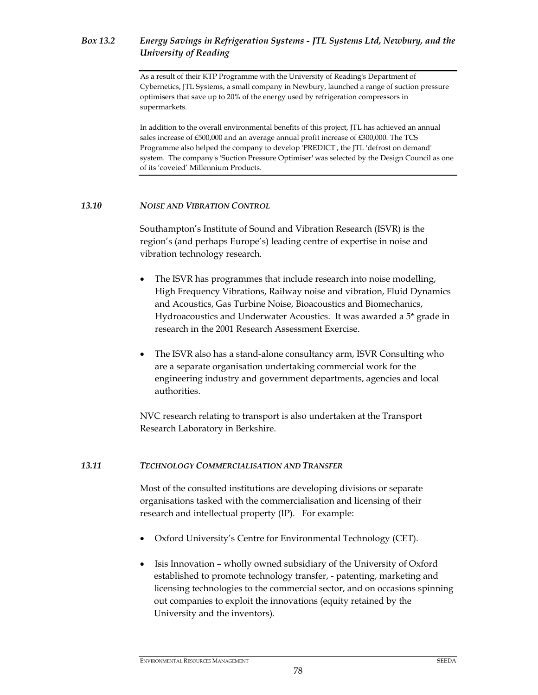# *Box 13.2 Energy Savings in Refrigeration Systems - JTL Systems Ltd, Newbury, and the University of Reading*

As a result of their KTP Programme with the University of Reading's Department of Cybernetics, JTL Systems, a small company in Newbury, launched a range of suction pressure optimisers that save up to 20% of the energy used by refrigeration compressors in supermarkets.

In addition to the overall environmental benefits of this project, JTL has achieved an annual sales increase of £500,000 and an average annual profit increase of £300,000. The TCS Programme also helped the company to develop 'PREDICT', the JTL 'defrost on demand' system. The company's 'Suction Pressure Optimiser' was selected by the Design Council as one of its 'coveted' Millennium Products.

# *13.10 NOISE AND VIBRATION CONTROL*

Southampton's Institute of Sound and Vibration Research (ISVR) is the region's (and perhaps Europe's) leading centre of expertise in noise and vibration technology research.

- The ISVR has programmes that include research into noise modelling, High Frequency Vibrations, Railway noise and vibration, Fluid Dynamics and Acoustics, Gas Turbine Noise, Bioacoustics and Biomechanics, Hydroacoustics and Underwater Acoustics. It was awarded a 5\* grade in research in the 2001 Research Assessment Exercise.
- The ISVR also has a stand-alone consultancy arm, ISVR Consulting who are a separate organisation undertaking commercial work for the engineering industry and government departments, agencies and local authorities.

NVC research relating to transport is also undertaken at the Transport Research Laboratory in Berkshire.

# *13.11 TECHNOLOGY COMMERCIALISATION AND TRANSFER*

Most of the consulted institutions are developing divisions or separate organisations tasked with the commercialisation and licensing of their research and intellectual property (IP). For example:

- Oxford University's Centre for Environmental Technology (CET).
- Isis Innovation wholly owned subsidiary of the University of Oxford established to promote technology transfer, - patenting, marketing and licensing technologies to the commercial sector, and on occasions spinning out companies to exploit the innovations (equity retained by the University and the inventors).